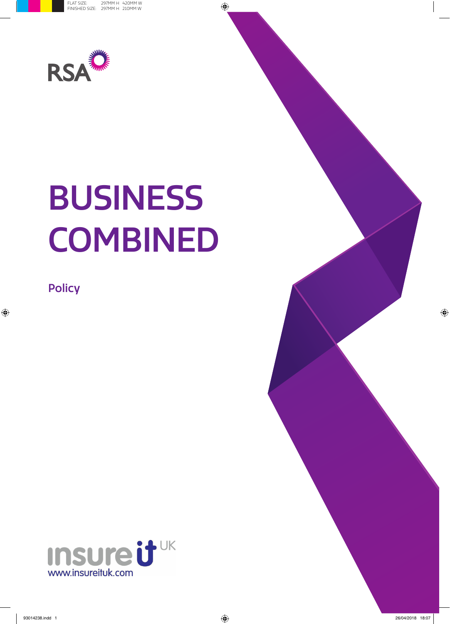

# BUSINESS **COMBINED**

**Policy** 



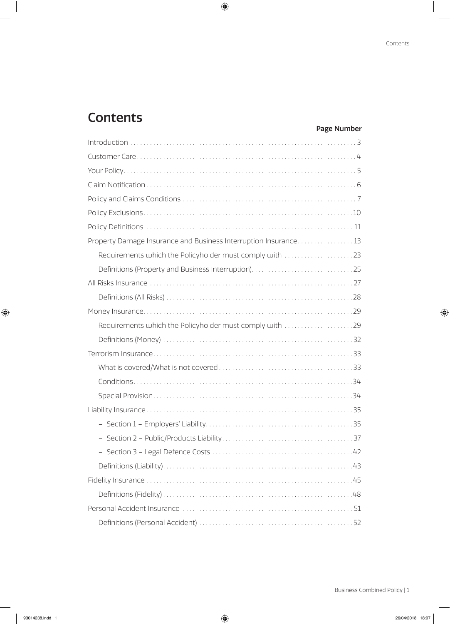# Page Number

| Property Damage Insurance and Business Interruption Insurance 13 |
|------------------------------------------------------------------|
|                                                                  |
|                                                                  |
|                                                                  |
|                                                                  |
|                                                                  |
| Requirements which the Policyholder must comply with 29          |
|                                                                  |
|                                                                  |
|                                                                  |
|                                                                  |
|                                                                  |
|                                                                  |
|                                                                  |
|                                                                  |
| $\ldots$ . 42                                                    |
|                                                                  |
|                                                                  |
|                                                                  |
|                                                                  |
|                                                                  |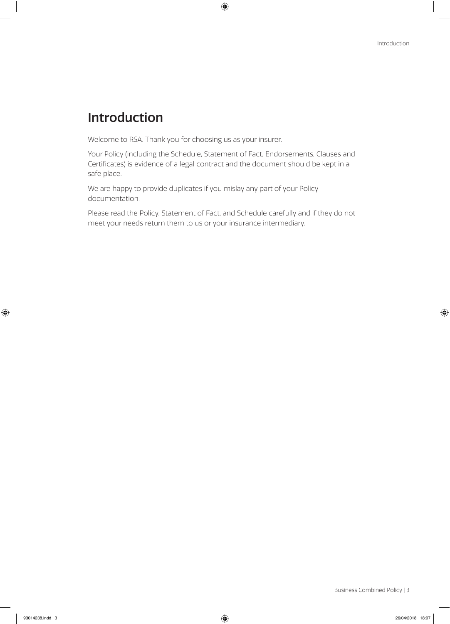# Introduction

Welcome to RSA. Thank you for choosing us as your insurer.

Your Policy (including the Schedule, Statement of Fact, Endorsements, Clauses and Certificates) is evidence of a legal contract and the document should be kept in a safe place.

We are happy to provide duplicates if you mislay any part of your Policy documentation.

Please read the Policy, Statement of Fact, and Schedule carefully and if they do not meet your needs return them to us or your insurance intermediary.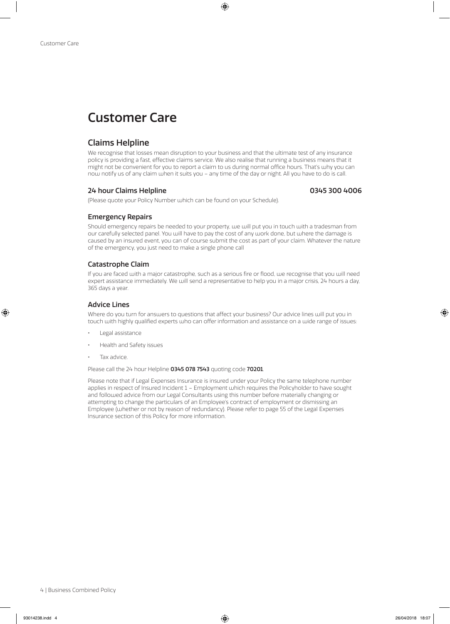# Customer Care

# Claims Helpline

We recognise that losses mean disruption to your business and that the ultimate test of any insurance policy is providing a fast, effective claims service. We also realise that running a business means that it might not be convenient for you to report a claim to us during normal office hours. That's why you can now notify us of any claim when it suits you – any time of the day or night. All you have to do is call.

### 24 hour Claims Helpline 0345 300 4006

# Emergency Repairs

Should emergency repairs be needed to your property, we will put you in touch with a tradesman from our carefully selected panel. You will have to pay the cost of any work done, but where the damage is caused by an insured event, you can of course submit the cost as part of your claim. Whatever the nature of the emergency, you just need to make a single phone call

# Catastrophe Claim

If you are faced with a major catastrophe, such as a serious fire or flood, we recognise that you will need expert assistance immediately. We will send a representative to help you in a major crisis, 24 hours a day, 365 days a year.

# Advice Lines

Where do you turn for answers to questions that affect your business? Our advice lines will put you in touch with highly qualified experts who can offer information and assistance on a wide range of issues:

- Legal assistance
- Health and Safety issues
- Tax advice.

Please call the 24 hour Helpline 0345 078 7543 quoting code 70201.

(Please quote your Policy Number which can be found on your Schedule).

Please note that if Legal Expenses Insurance is insured under your Policy the same telephone number applies in respect of Insured Incident 1 – Employment which requires the Policyholder to have sought and followed advice from our Legal Consultants using this number before materially changing or attempting to change the particulars of an Employee's contract of employment or dismissing an Employee (whether or not by reason of redundancy). Please refer to page 55 of the Legal Expenses Insurance section of this Policy for more information.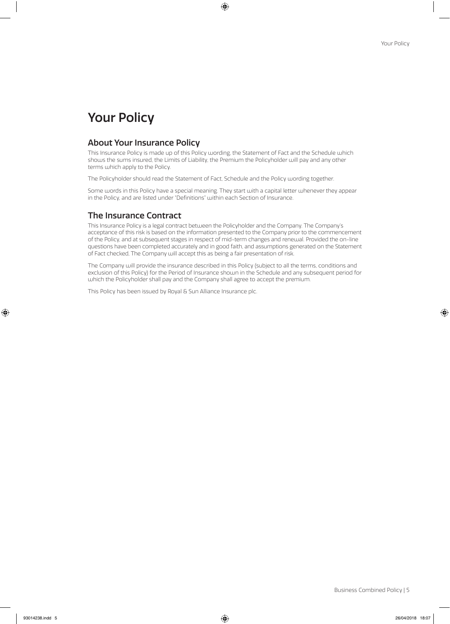# Your Policy

# About Your Insurance Policy

This Insurance Policy is made up of this Policy wording, the Statement of Fact and the Schedule which shows the sums insured, the Limits of Liability, the Premium the Policyholder will pay and any other terms which apply to the Policy.

The Policyholder should read the Statement of Fact, Schedule and the Policy wording together.

Some words in this Policy have a special meaning. They start with a capital letter whenever they appear in the Policy, and are listed under "Definitions" within each Section of Insurance.

# The Insurance Contract

This Insurance Policy is a legal contract between the Policyholder and the Company. The Company's acceptance of this risk is based on the information presented to the Company prior to the commencement of the Policy, and at subsequent stages in respect of mid-term changes and renewal. Provided the on-line questions have been completed accurately and in good faith, and assumptions generated on the Statement of Fact checked, The Company will accept this as being a fair presentation of risk.

The Company will provide the insurance described in this Policy (subject to all the terms, conditions and exclusion of this Policy) for the Period of Insurance shown in the Schedule and any subsequent period for which the Policyholder shall pay and the Company shall agree to accept the premium.

This Policy has been issued by Royal & Sun Alliance Insurance plc.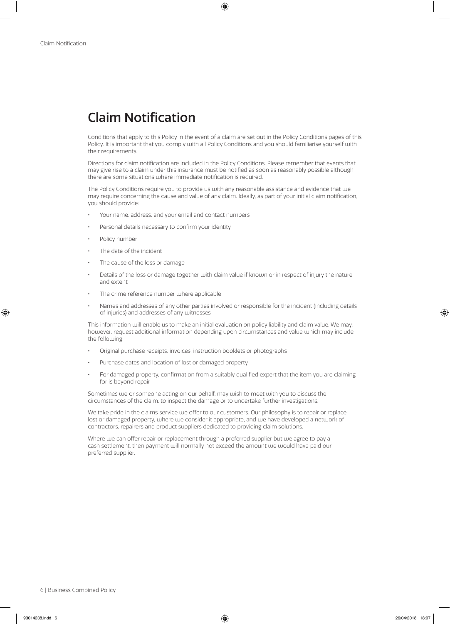# Claim Notification

Conditions that apply to this Policy in the event of a claim are set out in the Policy Conditions pages of this Policy. It is important that you comply with all Policy Conditions and you should familiarise yourself with their requirements.

Directions for claim notification are included in the Policy Conditions. Please remember that events that may give rise to a claim under this insurance must be notified as soon as reasonably possible although there are some situations where immediate notification is required.

The Policy Conditions require you to provide us with any reasonable assistance and evidence that we may require concerning the cause and value of any claim. Ideally, as part of your initial claim notification, you should provide:

- Your name, address, and your email and contact numbers
- Personal details necessary to confirm your identity
- Policy number
- The date of the incident
- The cause of the loss or damage
- Details of the loss or damage together with claim value if known or in respect of injury the nature and extent
- The crime reference number where applicable
- Names and addresses of any other parties involved or responsible for the incident (including details of injuries) and addresses of any witnesses

This information will enable us to make an initial evaluation on policy liability and claim value. We may, however, request additional information depending upon circumstances and value which may include the following:

- Original purchase receipts, invoices, instruction booklets or photographs
- Purchase dates and location of lost or damaged property
- For damaged property, confirmation from a suitably qualified expert that the item you are claiming for is beyond repair

Sometimes we or someone acting on our behalf, may wish to meet with you to discuss the circumstances of the claim, to inspect the damage or to undertake further investigations.

We take pride in the claims service we offer to our customers. Our philosophy is to repair or replace lost or damaged property, where we consider it appropriate, and we have developed a network of contractors, repairers and product suppliers dedicated to providing claim solutions.

Where we can offer repair or replacement through a preferred supplier but we agree to pay a cash settlement, then payment will normally not exceed the amount we would have paid our preferred supplier.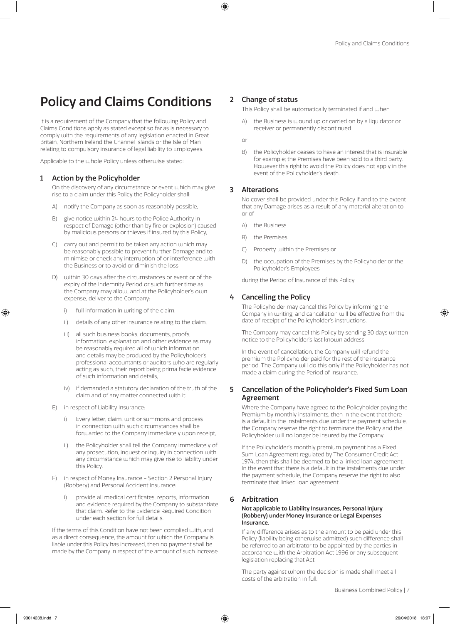# Policy and Claims Conditions

It is a requirement of the Company that the following Policy and Claims Conditions apply as stated except so far as is necessary to comply with the requirements of any legislation enacted in Great Britain, Northern Ireland the Channel Islands or the Isle of Man relating to compulsory insurance of legal liability to Employees.

Applicable to the whole Policy unless otherwise stated:

### 1 Action by the Policyholder

On the discovery of any circumstance or event which may give rise to a claim under this Policy the Policyholder shall:

- A) notify the Company as soon as reasonably possible,
- B) give notice within 24 hours to the Police Authority in respect of Damage (other than by fire or explosion) caused by malicious persons or thieves if insured by this Policy,
- C) carry out and permit to be taken any action which may be reasonably possible to prevent further Damage and to minimise or check any interruption of or interference with the Business or to avoid or diminish the loss,
- D) within 30 days after the circumstances or event or of the expiry of the Indemnity Period or such further time as the Company may allow, and at the Policyholder's own expense, deliver to the Company:
	- i) full information in writing of the claim,
	- ii) details of any other insurance relating to the claim,
	- iii) all such business books, documents, proofs, information, explanation and other evidence as may be reasonably required all of which information and details may be produced by the Policyholder's professional accountants or auditors who are regularly acting as such, their report being prima facie evidence of such information and details,
	- iv) if demanded a statutory declaration of the truth of the claim and of any matter connected with it.
- E) in respect of Liability Insurance:
	- i) Every letter, claim, writ or summons and process in connection with such circumstances shall be forwarded to the Company immediately upon receipt,
	- ii) the Policyholder shall tell the Company immediately of any prosecution, inquest or inquiry in connection with any circumstance which may give rise to liability under this Policy.
- F) in respect of Money Insurance Section 2 Personal Injury (Robbery) and Personal Accident Insurance:
	- provide all medical certificates, reports, information and evidence required by the Company to substantiate that claim. Refer to the Evidence Required Condition under each section for full details.

If the terms of this Condition have not been complied with, and as a direct consequence, the amount for which the Company is liable under this Policy has increased, then no payment shall be made by the Company in respect of the amount of such increase.

# 2 Change of status

This Policy shall be automatically terminated if and when

A) the Business is wound up or carried on by a liquidator or receiver or permanently discontinued

or

B) the Policyholder ceases to have an interest that is insurable for example; the Premises have been sold to a third party. However this right to avoid the Policy does not apply in the event of the Policyholder's death.

# 3 Alterations

No cover shall be provided under this Policy if and to the extent that any Damage arises as a result of any material alteration to or of

- A) the Business
- B) the Premises
- C) Property within the Premises or
- D) the occupation of the Premises by the Policyholder or the Policyholder's Employees

during the Period of Insurance of this Policy.

# 4 Cancelling the Policy

The Policyholder may cancel this Policy by informing the Company in writing, and cancellation will be effective from the date of receipt of the Policyholder's instructions.

The Company may cancel this Policy by sending 30 days written notice to the Policyholder's last known address.

In the event of cancellation, the Company will refund the premium the Policyholder paid for the rest of the insurance period. The Company will do this only if the Policyholder has not made a claim during the Period of Insurance.

# 5 Cancellation of the Policyholder's Fixed Sum Loan Agreement

Where the Company have agreed to the Policyholder paying the Premium by monthly instalments, then in the event that there is a default in the instalments due under the payment schedule, the Company reserve the right to terminate the Policy and the Policyholder will no longer be insured by the Company.

If the Policyholder's monthly premium payment has a Fixed Sum Loan Agreement regulated by The Consumer Credit Act 1974, then this shall be deemed to be a linked loan agreement. In the event that there is a default in the instalments due under the payment schedule, the Company reserve the right to also terminate that linked loan agreement.

### 6 Arbitration

#### Not applicable to Liability Insurances, Personal Injury (Robbery) under Money Insurance or Legal Expenses Insurance.

If any difference arises as to the amount to be paid under this Policy (liability being otherwise admitted) such difference shall be referred to an arbitrator to be appointed by the parties in accordance with the Arbitration Act 1996 or any subsequent legislation replacing that Act.

The party against whom the decision is made shall meet all costs of the arbitration in full.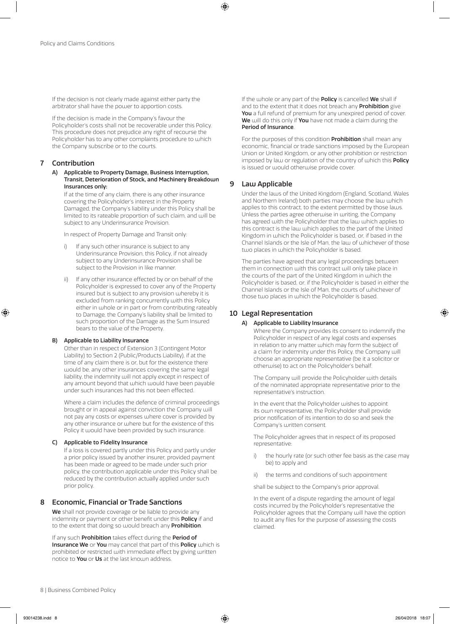If the decision is not clearly made against either party the arbitrator shall have the power to apportion costs.

If the decision is made in the Company's favour the Policyholder's costs shall not be recoverable under this Policy. This procedure does not prejudice any right of recourse the Policyholder has to any other complaints procedure to which the Company subscribe or to the courts.

### 7 Contribution

A) Applicable to Property Damage, Business Interruption, Transit, Deterioration of Stock, and Machinery Breakdown Insurances only:

If at the time of any claim, there is any other insurance covering the Policyholder's interest in the Property Damaged, the Company's liability under this Policy shall be limited to its rateable proportion of such claim, and will be subject to any Underinsurance Provision.

In respect of Property Damage and Transit only:

- If any such other insurance is subject to any Underinsurance Provision, this Policy, if not already subject to any Underinsurance Provision shall be subject to the Provision in like manner.
- ii) If any other insurance effected by or on behalf of the Policyholder is expressed to cover any of the Property insured but is subject to any provision whereby it is excluded from ranking concurrently with this Policy either in whole or in part or from contributing rateably to Damage, the Company's liability shall be limited to such proportion of the Damage as the Sum Insured bears to the value of the Property.

#### B) Applicable to Liability Insurance

Other than in respect of Extension 3 (Contingent Motor Liability) to Section 2 (Public/Products Liability), if at the time of any claim there is or, but for the existence there would be, any other insurances covering the same legal liability, the indemnity will not apply except in respect of any amount beyond that which would have been payable under such insurances had this not been effected.

Where a claim includes the defence of criminal proceedings brought or in appeal against conviction the Company will not pay any costs or expenses where cover is provided by any other insurance or where but for the existence of this Policy it would have been provided by such insurance.

#### C) Applicable to Fidelity Insurance

If a loss is covered partly under this Policy and partly under a prior policy issued by another insurer, provided payment has been made or agreed to be made under such prior policy, the contribution applicable under this Policy shall be reduced by the contribution actually applied under such prior policy.

### 8 Economic, Financial or Trade Sanctions

We shall not provide coverage or be liable to provide any indemnity or payment or other benefit under this **Policy** if and to the extent that doing so would breach any **Prohibition**.

If any such Prohibition takes effect during the Period of Insurance We or You may cancel that part of this Policy which is prohibited or restricted with immediate effect by giving written notice to **You** or **Us** at the last known address.

If the whole or any part of the Policy is cancelled We shall if and to the extent that it does not breach any **Prohibition** give You a full refund of premium for any unexpired period of cover. We will do this only if You have not made a claim during the Period of Insurance.

For the purposes of this condition **Prohibition** shall mean any economic, financial or trade sanctions imposed by the European Union or United Kingdom, or any other prohibition or restriction imposed by law or regulation of the country of which this Policy is issued or would otherwise provide cover.

# 9 Law Applicable

Under the laws of the United Kingdom (England, Scotland, Wales and Northern Ireland) both parties may choose the law which applies to this contract, to the extent permitted by those laws. Unless the parties agree otherwise in writing, the Company has agreed with the Policyholder that the law which applies to this contract is the law which applies to the part of the United Kingdom in which the Policyholder is based, or, if based in the Channel Islands or the Isle of Man, the law of whichever of those two places in which the Policyholder is based.

The parties have agreed that any legal proceedings between them in connection with this contract will only take place in the courts of the part of the United Kingdom in which the Policyholder is based, or, if the Policyholder is based in either the Channel Islands or the Isle of Man, the courts of whichever of those two places in which the Policyholder is based.

# 10 Legal Representation

#### A) Applicable to Liability Insurance

Where the Company provides its consent to indemnify the Policyholder in respect of any legal costs and expenses in relation to any matter which may form the subject of a claim for indemnity under this Policy, the Company will choose an appropriate representative (be it a solicitor or otherwise) to act on the Policyholder's behalf.

The Company will provide the Policyholder with details of the nominated appropriate representative prior to the representative's instruction.

In the event that the Policyholder wishes to appoint its own representative, the Policyholder shall provide prior notification of its intention to do so and seek the Company's written consent.

The Policyholder agrees that in respect of its proposed representative:

- i) the hourly rate (or such other fee basis as the case may be) to apply and
- ii) the terms and conditions of such appointment

shall be subject to the Company's prior approval.

In the event of a dispute regarding the amount of legal costs incurred by the Policyholder's representative the Policyholder agrees that the Company will have the option to audit any files for the purpose of assessing the costs claimed.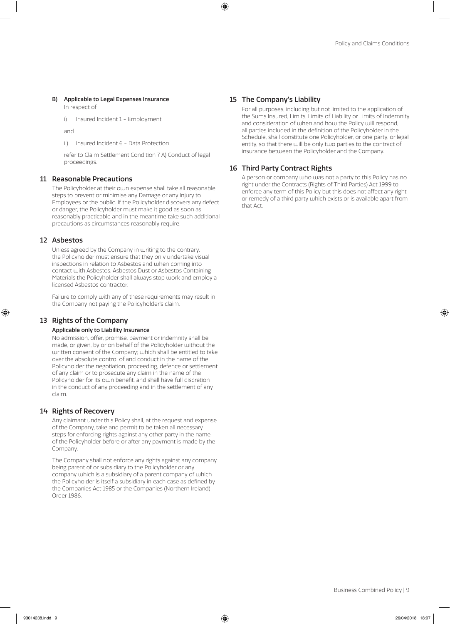#### B) Applicable to Legal Expenses Insurance

In respect of

i) Insured Incident 1 - Employment

and

ii) Insured Incident 6 - Data Protection

refer to Claim Settlement Condition 7 A) Conduct of legal proceedings.

# 11 Reasonable Precautions

The Policyholder at their own expense shall take all reasonable steps to prevent or minimise any Damage or any Injury to Employees or the public. If the Policyholder discovers any defect or danger, the Policyholder must make it good as soon as reasonably practicable and in the meantime take such additional precautions as circumstances reasonably require.

### 12 Asbestos

Unless agreed by the Company in writing to the contrary, the Policyholder must ensure that they only undertake visual inspections in relation to Asbestos and when coming into contact with Asbestos, Asbestos Dust or Asbestos Containing Materials the Policyholder shall always stop work and employ a licensed Asbestos contractor.

Failure to comply with any of these requirements may result in the Company not paying the Policyholder's claim.

### 13 Rights of the Company

#### Applicable only to Liability Insurance

No admission, offer, promise, payment or indemnity shall be made, or given, by or on behalf of the Policyholder without the written consent of the Company; which shall be entitled to take over the absolute control of and conduct in the name of the Policyholder the negotiation, proceeding, defence or settlement of any claim or to prosecute any claim in the name of the Policyholder for its own benefit, and shall have full discretion in the conduct of any proceeding and in the settlement of any claim.

#### 14 Rights of Recovery

Any claimant under this Policy shall, at the request and expense of the Company, take and permit to be taken all necessary steps for enforcing rights against any other party in the name of the Policyholder before or after any payment is made by the Company.

The Company shall not enforce any rights against any company being parent of or subsidiary to the Policyholder or any company which is a subsidiary of a parent company of which the Policyholder is itself a subsidiary in each case as defined by the Companies Act 1985 or the Companies (Northern Ireland) Order 1986.

# 15 The Company's Liability

For all purposes, including but not limited to the application of the Sums Insured, Limits, Limits of Liability or Limits of Indemnity and consideration of when and how the Policy will respond, all parties included in the definition of the Policyholder in the Schedule, shall constitute one Policyholder, or one party, or legal entity, so that there will be only two parties to the contract of insurance between the Policyholder and the Company.

### 16 Third Party Contract Rights

A person or company who was not a party to this Policy has no right under the Contracts (Rights of Third Parties) Act 1999 to enforce any term of this Policy but this does not affect any right or remedy of a third party which exists or is available apart from that Act.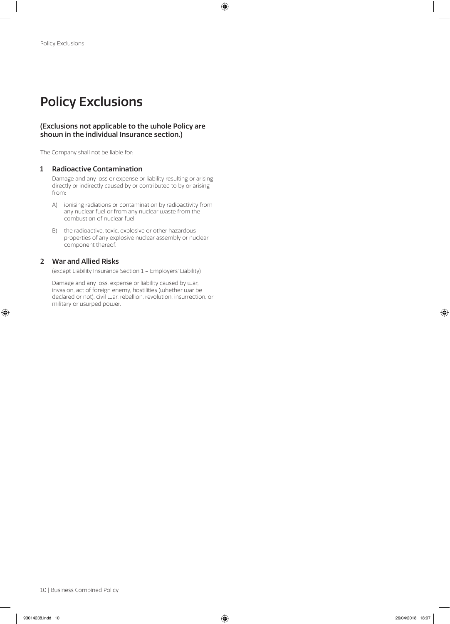# Policy Exclusions

# (Exclusions not applicable to the whole Policy are shown in the individual Insurance section.)

The Company shall not be liable for:

#### 1 Radioactive Contamination

Damage and any loss or expense or liability resulting or arising directly or indirectly caused by or contributed to by or arising from:

- A) ionising radiations or contamination by radioactivity from any nuclear fuel or from any nuclear waste from the combustion of nuclear fuel,
- B) the radioactive, toxic, explosive or other hazardous properties of any explosive nuclear assembly or nuclear component thereof.

# 2 War and Allied Risks

(except Liability Insurance Section 1 – Employers' Liability)

Damage and any loss, expense or liability caused by war, invasion, act of foreign enemy, hostilities (whether war be declared or not), civil war, rebellion, revolution, insurrection, or military or usurped power.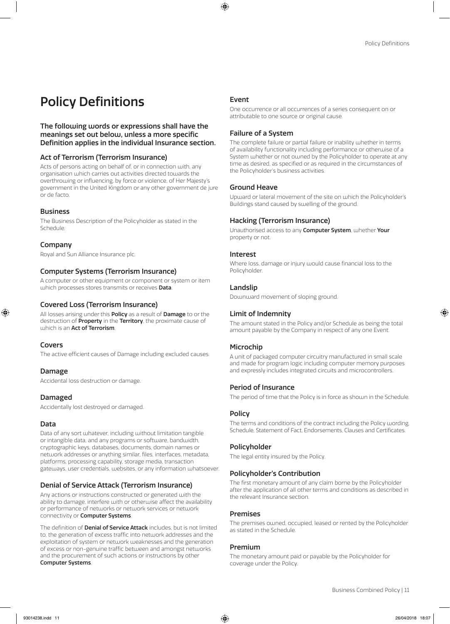# Policy Definitions

### The following words or expressions shall have the meanings set out below, unless a more specific Definition applies in the individual Insurance section.

# Act of Terrorism (Terrorism Insurance)

Acts of persons acting on behalf of, or in connection with, any organisation which carries out activities directed towards the overthrowing or influencing, by force or violence, of Her Majesty's government in the United Kingdom or any other government de jure or de facto.

# Business

The Business Description of the Policyholder as stated in the Schedule.

# Company

Royal and Sun Alliance Insurance plc.

# Computer Systems (Terrorism Insurance)

A computer or other equipment or component or system or item which processes stores transmits or receives Data.

# Covered Loss (Terrorism Insurance)

All losses arising under this **Policy** as a result of **Damage** to or the destruction of **Property** in the **Territory**, the proximate cause of which is an Act of Terrorism

### Covers

The active efficient causes of Damage including excluded causes.

# Damage

Accidental loss destruction or damage.

# Damaged

Accidentally lost destroyed or damaged.

# Data

Data of any sort whatever, including without limitation tangible or intangible data, and any programs or software, bandwidth, cryptographic keys, databases, documents, domain names or network addresses or anything similar, files, interfaces, metadata, platforms, processing capability, storage media, transaction gateways, user credentials, websites, or any information whatsoever.

# Denial of Service Attack (Terrorism Insurance)

Any actions or instructions constructed or generated with the ability to damage, interfere with or otherwise affect the availability or performance of networks or network services or network connectivity or Computer Systems.

The definition of **Denial of Service Attack** includes, but is not limited to, the generation of excess traffic into network addresses and the exploitation of system or network weaknesses and the generation of excess or non-genuine traffic between and amongst networks and the procurement of such actions or instructions by other Computer Systems.

### Event

One occurrence or all occurrences of a series consequent on or attributable to one source or original cause.

# Failure of a System

The complete failure or partial failure or inability whether in terms of availability functionality including performance or otherwise of a System whether or not owned by the Policyholder to operate at any time as desired, as specified or as required in the circumstances of the Policyholder's business activities.

# Ground Heave

Upward or lateral movement of the site on which the Policyholder's Buildings stand caused by swelling of the ground.

# Hacking (Terrorism Insurance)

Unauthorised access to any Computer System, whether Your property or not.

### Interest

Where loss, damage or injury would cause financial loss to the Policyholder.

# Landslip

Downward movement of sloping ground.

### Limit of Indemnity

The amount stated in the Policy and/or Schedule as being the total amount payable by the Company in respect of any one Event.

# Microchip

A unit of packaged computer circuitry manufactured in small scale and made for program logic including computer memory purposes and expressly includes integrated circuits and microcontrollers.

### Period of Insurance

The period of time that the Policy is in force as shown in the Schedule.

### **Policy**

The terms and conditions of the contract including the Policy wording, Schedule, Statement of Fact, Endorsements, Clauses and Certificates.

# Policyholder

The legal entity insured by the Policy.

# Policyholder's Contribution

The first monetary amount of any claim borne by the Policyholder after the application of all other terms and conditions as described in the relevant Insurance section.

### Premises

The premises owned, occupied, leased or rented by the Policyholder as stated in the Schedule.

### Premium

The monetary amount paid or payable by the Policyholder for coverage under the Policy.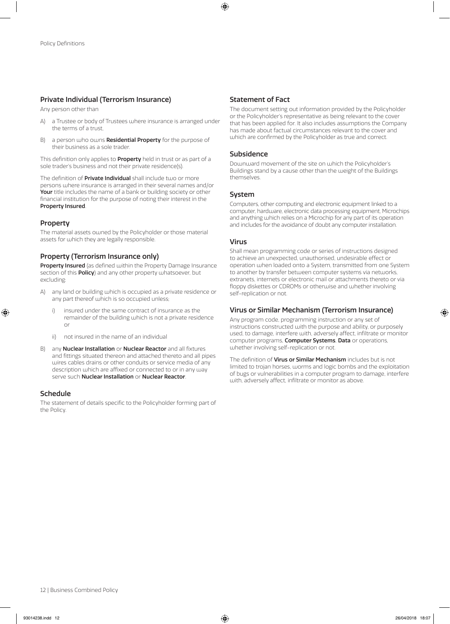# Private Individual (Terrorism Insurance)

Any person other than

- a Trustee or body of Trustees where insurance is arranged under the terms of a trust,
- B) a person who owns **Residential Property** for the purpose of their business as a sole trader.

This definition only applies to **Property** held in trust or as part of a sole trader's business and not their private residence(s).

The definition of **Private Individual** shall include two or more persons where insurance is arranged in their several names and/or Your title includes the name of a bank or building society or other financial institution for the purpose of noting their interest in the Property Insured.

# Property

The material assets owned by the Policyholder or those material assets for which they are legally responsible.

# Property (Terrorism Insurance only)

Property Insured (as defined within the Property Damage Insurance section of this **Policy**) and any other property whatsoever, but excluding:

- A) any land or building which is occupied as a private residence or any part thereof which is so occupied unless;
	- i) insured under the same contract of insurance as the remainder of the building which is not a private residence or
	- ii) not insured in the name of an individual
- B) any **Nuclear Installation** or **Nuclear Reactor** and all fixtures and fittings situated thereon and attached thereto and all pipes wires cables drains or other conduits or service media of any description which are affixed or connected to or in any way serve such Nuclear Installation or Nuclear Reactor.

### Schedule

The statement of details specific to the Policyholder forming part of the Policy.

# Statement of Fact

The document setting out information provided by the Policyholder or the Policyholder's representative as being relevant to the cover that has been applied for. It also includes assumptions the Company has made about factual circumstances relevant to the cover and which are confirmed by the Policyholder as true and correct.

# Subsidence

Downward movement of the site on which the Policyholder's Buildings stand by a cause other than the weight of the Buildings themselves.

### System

Computers, other computing and electronic equipment linked to a computer, hardware, electronic data processing equipment, Microchips and anything which relies on a Microchip for any part of its operation and includes for the avoidance of doubt any computer installation.

### Virus

Shall mean programming code or series of instructions designed to achieve an unexpected, unauthorised, undesirable effect or operation when loaded onto a System, transmitted from one System to another by transfer between computer systems via networks, extranets, internets or electronic mail or attachments thereto or via floppy diskettes or CDROMs or otherwise and whether involving self-replication or not.

# Virus or Similar Mechanism (Terrorism Insurance)

Any program code, programming instruction or any set of instructions constructed with the purpose and ability, or purposely used, to damage, interfere with, adversely affect, infiltrate or monitor computer programs, Computer Systems, Data or operations, whether involving self-replication or not.

The definition of Virus or Similar Mechanism includes but is not limited to trojan horses, worms and logic bombs and the exploitation of bugs or vulnerabilities in a computer program to damage, interfere with, adversely affect, infiltrate or monitor as above.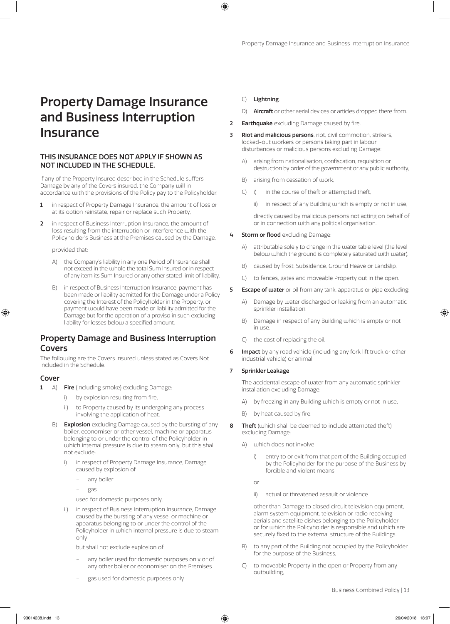# Property Damage Insurance and Business Interruption Insurance

# THIS INSURANCE DOES NOT APPLY IF SHOWN AS NOT INCLUDED IN THE SCHEDULE.

If any of the Property Insured described in the Schedule suffers Damage by any of the Covers insured, the Company will in accordance with the provisions of the Policy pay to the Policyholder:

- 1 in respect of Property Damage Insurance, the amount of loss or at its option reinstate, repair or replace such Property,
- 2 in respect of Business Interruption Insurance, the amount of loss resulting from the interruption or interference with the Policyholder's Business at the Premises caused by the Damage,

provided that:

- A) the Company's liability in any one Period of Insurance shall not exceed in the whole the total Sum Insured or in respect of any item its Sum Insured or any other stated limit of liability.
- B) in respect of Business Interruption Insurance, payment has been made or liability admitted for the Damage under a Policy covering the Interest of the Policyholder in the Property, or payment would have been made or liability admitted for the Damage but for the operation of a proviso in such excluding liability for losses below a specified amount.

# Property Damage and Business Interruption Covers

The following are the Covers insured unless stated as Covers Not Included in the Schedule.

### Cover

- 1 A) Fire (including smoke) excluding Damage:
	- i) by explosion resulting from fire,
	- ii) to Property caused by its undergoing any process involving the application of heat.
	- B) **Explosion** excluding Damage caused by the bursting of any boiler, economiser or other vessel, machine or apparatus belonging to or under the control of the Policyholder in which internal pressure is due to steam only, but this shall not exclude:
		- in respect of Property Damage Insurance, Damage caused by explosion of
			- any boiler
			- gas

used for domestic purposes only,

in respect of Business Interruption Insurance, Damage caused by the bursting of any vessel or machine or apparatus belonging to or under the control of the Policyholder in which internal pressure is due to steam only

but shall not exclude explosion of

- any boiler used for domestic purposes only or of any other boiler or economiser on the Premises
- gas used for domestic purposes only

#### C) Lightning.

- D) Aircraft or other aerial devices or articles dropped there from.
- **2** Earthquake excluding Damage caused by fire.
- **3** Riot and malicious persons, riot, civil commotion, strikers, locked-out workers or persons taking part in labour disturbances or malicious persons excluding Damage:
	- A) arising from nationalisation, confiscation, requisition or destruction by order of the government or any public authority,
	- B) arising from cessation of work,
	- C) i) in the course of theft or attempted theft,
		- ii) in respect of any Building which is empty or not in use.

directly caused by malicious persons not acting on behalf of or in connection with any political organisation.

- 4 **Storm or flood** excluding Damage:
	- A) attributable solely to change in the water table level (the level below which the ground is completely saturated with water),
	- B) caused by frost, Subsidence, Ground Heave or Landslip,
	- C) to fences, gates and moveable Property out in the open.
- **5 Escape of water** or oil from any tank, apparatus or pipe excluding:
	- A) Damage by water discharged or leaking from an automatic sprinkler installation,
	- B) Damage in respect of any Building which is empty or not in use.
	- C) the cost of replacing the oil.
- **6** Impact by any road vehicle (including any fork lift truck or other industrial vehicle) or animal.

#### 7 Sprinkler Leakage

The accidental escape of water from any automatic sprinkler installation excluding Damage:

- A) by freezing in any Building which is empty or not in use,
- B) by heat caused by fire.
- 8 Theft (which shall be deemed to include attempted theft) excluding Damage:
	- A) which does not involve
		- i) entry to or exit from that part of the Building occupied by the Policyholder for the purpose of the Business by forcible and violent means

or

ii) actual or threatened assault or violence

other than Damage to closed circuit television equipment, alarm system equipment, television or radio receiving aerials and satellite dishes belonging to the Policyholder or for which the Policyholder is responsible and which are securely fixed to the external structure of the Buildings.

- B) to any part of the Building not occupied by the Policyholder for the purpose of the Business,
- C) to moveable Property in the open or Property from any outbuilding,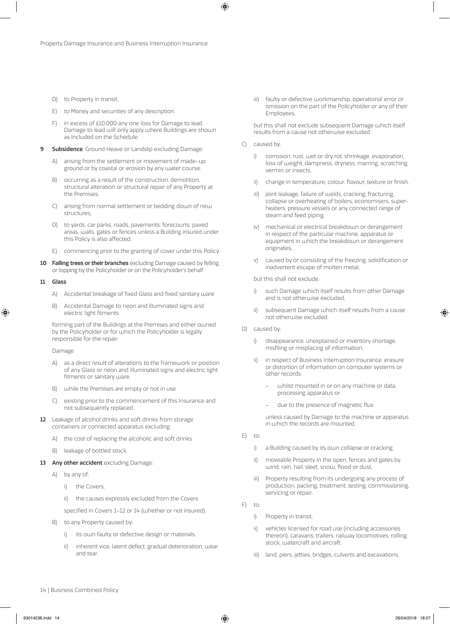- D) to Property in transit,
- E) to Money and securities of any description.
- F) in excess of £10,000 any one loss for Damage to lead. Damage to lead will only apply where Buildings are shown as Included on the Schedule.
- **9 Subsidence**, Ground Heave or Landslip excluding Damage:
	- A) arising from the settlement or movement of made–up ground or by coastal or erosion by any water course,
	- B) occurring as a result of the construction, demolition, structural alteration or structural repair of any Property at the Premises,
	- C) arising from normal settlement or bedding down of new structures,
	- D) to yards, car parks, roads, pavements, forecourts, paved areas, walls, gates or fences unless a Building insured under this Policy is also affected,
	- E) commencing prior to the granting of cover under this Policy.
- 10 Falling trees or their branches excluding Damage caused by felling or lopping by the Policyholder or on the Policyholder's behalf

#### 11 Glass

- A) Accidental breakage of fixed Glass and fixed sanitary ware
- B) Accidental Damage to neon and illuminated signs and electric light fitments

forming part of the Buildings at the Premises and either owned by the Policyholder or for which the Policyholder is legally responsible for the repair.

Damage

- A) as a direct result of alterations to the framework or position of any Glass or neon and illuminated signs and electric light fitments or sanitary ware.
- B) while the Premises are empty or not in use.
- C) existing prior to the commencement of this Insurance and not subsequently replaced.
- 12 Leakage of alcohol drinks and soft drinks from storage containers or connected apparatus excluding
	- A) the cost of replacing the alcoholic and soft drinks.
	- B) leakage of bottled stock.
- 13 Any other accident excluding Damage:
	- A) by any of:
		- i) the Covers
		- ii) the causes expressly excluded from the Covers

specified in Covers 1–12 or 14 (whether or not insured).

- B) to any Property caused by:
	- i) its own faulty or defective design or materials,
	- ii) inherent vice, latent defect, gradual deterioration, wear and tear,

iii) faulty or defective workmanship, operational error or omission on the part of the Policyholder or any of their Employees,

but this shall not exclude subsequent Damage which itself results from a cause not otherwise excluded.

- C) caused by:
	- i) corrosion, rust, wet or dry rot, shrinkage, evaporation, loss of weight, dampness, dryness, marring, scratching, vermin or insects,
	- ii) change in temperature, colour, flavour, texture or finish,
	- iii) joint leakage, failure of welds, cracking, fracturing, collapse or overheating of boilers, economisers, superheaters, pressure vessels or any connected range of steam and feed piping,
	- iv) mechanical or electrical breakdown or derangement in respect of the particular machine, apparatus or equipment in which the breakdown or derangement originates,
	- v) caused by or consisting of the freezing, solidification or inadvertent escape of molten metal,

but this shall not exclude:

- i) such Damage which itself results from other Damage and is not otherwise excluded,
- ii) subsequent Damage which itself results from a cause not otherwise excluded.
- D) caused by:
	- i) disappearance, unexplained or inventory shortage, misfiling or misplacing of information,
	- ii) in respect of Business Interruption Insurance, erasure or distortion of information on computer systems or other records:
		- whilst mounted in or on any machine or data, processing apparatus or
		- due to the presence of magnetic flux

unless caused by Damage to the machine or apparatus in which the records are mounted.

- E) to:
	- i) a Building caused by its own collapse or cracking,
	- ii) moveable Property in the open, fences and gates by wind, rain, hail, sleet, snow, flood or dust,
	- iii) Property resulting from its undergoing any process of production, packing, treatment, testing, commissioning, servicing or repair.
- $F$ ) to:
	- i) Property in transit,
	- ii) vehicles licensed for road use (including accessories thereon), caravans, trailers, railway locomotives, rolling stock, watercraft and aircraft,
	- iii) land, piers, jetties, bridges, culverts and excavations,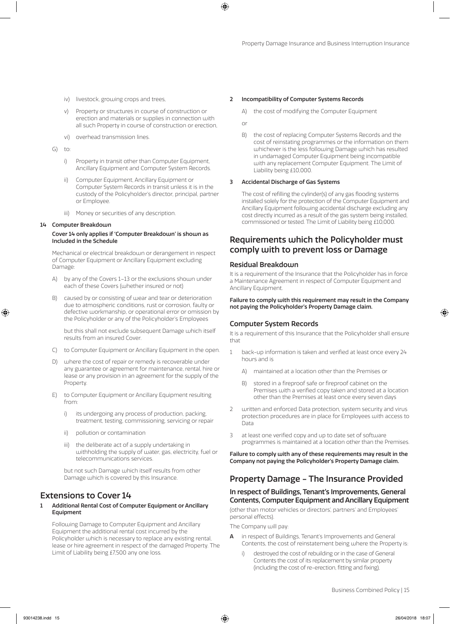- iv) livestock, growing crops and trees,
- v) Property or structures in course of construction or erection and materials or supplies in connection with all such Property in course of construction or erection,
- vi) overhead transmission lines.
- $G$ ) to:
	- i) Property in transit other than Computer Equipment, Ancillary Equipment and Computer System Records.
	- ii) Computer Equipment, Ancillary Equipment or Computer System Records in transit unless it is in the custody of the Policyholder's director, principal, partner or Employee.
	- iii) Money or securities of any description.

#### 14 Computer Breakdown

#### Cover 14 only applies if 'Computer Breakdown' is shown as Included in the Schedule

Mechanical or electrical breakdown or derangement in respect of Computer Equipment or Ancillary Equipment excluding Damage:

- A) by any of the Covers 1–13 or the exclusions shown under each of these Covers (whether insured or not)
- B) caused by or consisting of wear and tear or deterioration due to atmospheric conditions, rust or corrosion, faulty or defective workmanship, or operational error or omission by the Policyholder or any of the Policyholder's Employees

 but this shall not exclude subsequent Damage which itself results from an insured Cover.

- C) to Computer Equipment or Ancillary Equipment in the open.
- D) where the cost of repair or remedy is recoverable under any guarantee or agreement for maintenance, rental, hire or lease or any provision in an agreement for the supply of the Property.
- E) to Computer Equipment or Ancillary Equipment resulting from:
	- i) its undergoing any process of production, packing, treatment, testing, commissioning, servicing or repair
	- ii) pollution or contamination
	- iii) the deliberate act of a supply undertaking in withholding the supply of water, gas, electricity, fuel or telecommunications services.

 but not such Damage which itself results from other Damage which is covered by this Insurance.

# Extensions to Cover 14

1 Additional Rental Cost of Computer Equipment or Ancillary **Equipment** 

Following Damage to Computer Equipment and Ancillary Equipment the additional rental cost incurred by the Policyholder which is necessary to replace any existing rental, lease or hire agreement in respect of the damaged Property. The Limit of Liability being £7,500 any one loss.

#### 2 Incompatibility of Computer Systems Records

A) the cost of modifying the Computer Equipment

or

B) the cost of replacing Computer Systems Records and the cost of reinstating programmes or the information on them whichever is the less following Damage which has resulted in undamaged Computer Equipment being incompatible with any replacement Computer Equipment. The Limit of Liability being £10,000.

#### 3 Accidental Discharge of Gas Systems

The cost of refilling the cylinder(s) of any gas flooding systems installed solely for the protection of the Computer Equipment and Ancillary Equipment following accidental discharge excluding any cost directly incurred as a result of the gas system being installed, commissioned or tested. The Limit of Liability being £10,000.

# Requirements which the Policyholder must comply with to prevent loss or Damage

#### Residual Breakdown

It is a requirement of the Insurance that the Policyholder has in force a Maintenance Agreement in respect of Computer Equipment and Ancillary Equipment.

#### Failure to comply with this requirement may result in the Company not paying the Policyholder's Property Damage claim.

### Computer System Records

It is a requirement of this Insurance that the Policyholder shall ensure that

- 1 back-up information is taken and verified at least once every 24 hours and is
	- A) maintained at a location other than the Premises or
	- B) stored in a fireproof safe or fireproof cabinet on the Premises with a verified copy taken and stored at a location other than the Premises at least once every seven days
- 2 written and enforced Data protection, system security and virus protection procedures are in place for Employees with access to Data
- 3 at least one verified copy and up to date set of software programmes is maintained at a location other than the Premises.

Failure to comply with any of these requirements may result in the Company not paying the Policyholder's Property Damage claim.

# Property Damage - The Insurance Provided

# In respect of Buildings, Tenant's Improvements, General Contents, Computer Equipment and Ancillary Equipment

(other than motor vehicles or directors', partners' and Employees' personal effects).

The Company will pay:

- in respect of Buildings, Tenant's Improvements and General Contents, the cost of reinstatement being where the Property is:
	- i) destroyed the cost of rebuilding or in the case of General Contents the cost of its replacement by similar property (including the cost of re-erection, fitting and fixing),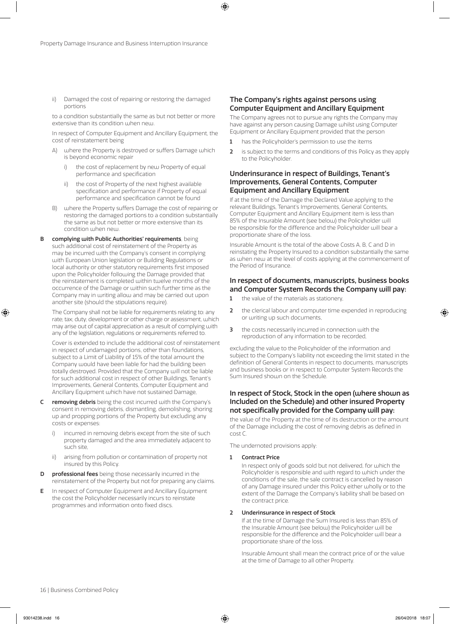ii) Damaged the cost of repairing or restoring the damaged portions

to a condition substantially the same as but not better or more extensive than its condition when new

In respect of Computer Equipment and Ancillary Equipment, the cost of reinstatement being

- where the Property is destroyed or suffers Damage which is beyond economic repair
	- i) the cost of replacement by new Property of equal performance and specification
	- ii) the cost of Property of the next highest available specification and performance if Property of equal performance and specification cannot be found
- B) where the Property suffers Damage the cost of repairing or restoring the damaged portions to a condition substantially the same as but not better or more extensive than its condition when new
- B complying with Public Authorities' requirements, being such additional cost of reinstatement of the Property as may be incurred with the Company's consent in complying with European Union legislation or Building Regulations or local authority or other statutory requirements first imposed upon the Policyholder following the Damage provided that the reinstatement is completed within twelve months of the occurrence of the Damage or within such further time as the Company may in writing allow and may be carried out upon another site (should the stipulations require).

The Company shall not be liable for requirements relating to: any rate; tax; duty; development or other charge or assessment, which may arise out of capital appreciation as a result of complying with any of the legislation, regulations or requirements referred to.

Cover is extended to include the additional cost of reinstatement in respect of undamaged portions, other than foundations, subject to a Limit of Liability of 15% of the total amount the Company would have been liable for had the building been totally destroyed. Provided that the Company will not be liable for such additional cost in respect of other Buildings, Tenant's Improvements, General Contents, Computer Equipment and Ancillary Equipment which have not sustained Damage,

- C removing debris being the cost incurred with the Company's consent in removing debris, dismantling, demolishing, shoring up and propping portions of the Property but excluding any costs or expenses:
	- i) incurred in removing debris except from the site of such property damaged and the area immediately adjacent to such site,
	- ii) arising from pollution or contamination of property not insured by this Policy.
- professional fees being those necessarily incurred in the reinstatement of the Property but not for preparing any claims.
- E In respect of Computer Equipment and Ancillary Equipment the cost the Policyholder necessarily incurs to reinstate programmes and information onto fixed discs.

### The Company's rights against persons using Computer Equipment and Ancillary Equipment

The Company agrees not to pursue any rights the Company may have against any person causing Damage whilst using Computer Equipment or Ancillary Equipment provided that the person

- 1 has the Policyholder's permission to use the items
- 2 is subject to the terms and conditions of this Policy as they apply to the Policyholder.

# Underinsurance in respect of Buildings, Tenant's Improvements, General Contents, Computer Equipment and Ancillary Equipment

If at the time of the Damage the Declared Value applying to the relevant Buildings, Tenant's Improvements, General Contents, Computer Equipment and Ancillary Equipment item is less than 85% of the Insurable Amount (see below) the Policyholder will be responsible for the difference and the Policyholder will bear a proportionate share of the loss.

Insurable Amount is the total of the above Costs A, B, C and D in reinstating the Property Insured to a condition substantially the same as when new at the level of costs applying at the commencement of the Period of Insurance.

### In respect of documents, manuscripts, business books and Computer System Records the Company will pay:

- **1** the value of the materials as stationery,
- 2 the clerical labour and computer time expended in reproducing or writing up such documents,
- 3 the costs necessarily incurred in connection with the reproduction of any information to be recorded,

excluding the value to the Policyholder of the information and subject to the Company's liability not exceeding the limit stated in the definition of General Contents in respect to documents, manuscripts and business books or in respect to Computer System Records the Sum Insured shouln on the Schedule.

### In respect of Stock, Stock in the open (where shown as Included on the Schedule) and other insured Property not specifically provided for the Company will pay:

the value of the Property at the time of its destruction or the amount of the Damage including the cost of removing debris as defined in cost C.

The undernoted provisions apply:

#### 1 Contract Price

In respect only of goods sold but not delivered, for which the Policyholder is responsible and with regard to which under the conditions of the sale, the sale contract is cancelled by reason of any Damage insured under this Policy either wholly or to the extent of the Damage the Company's liability shall be based on the contract price.

#### 2 Underinsurance in respect of Stock

If at the time of Damage the Sum Insured is less than 85% of the Insurable Amount (see below) the Policyholder will be responsible for the difference and the Policyholder will bear a proportionate share of the loss.

Insurable Amount shall mean the contract price of or the value at the time of Damage to all other Property.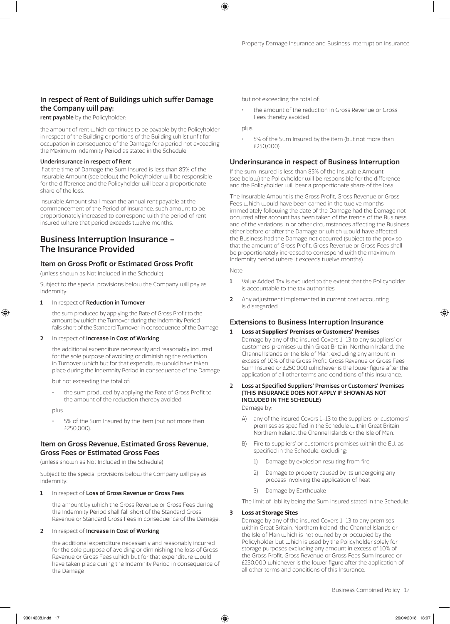# In respect of Rent of Buildings which suffer Damage the Company will pay:

rent payable by the Policyholder:

the amount of rent which continues to be payable by the Policyholder in respect of the Building or portions of the Building whilst unfit for occupation in consequence of the Damage for a period not exceeding the Maximum Indemnity Period as stated in the Schedule.

#### Underinsurance in respect of Rent

If at the time of Damage the Sum Insured is less than 85% of the Insurable Amount (see below) the Policyholder will be responsible for the difference and the Policyholder will bear a proportionate share of the loss.

Insurable Amount shall mean the annual rent payable at the commencement of the Period of Insurance, such amount to be proportionately increased to correspond with the period of rent insured where that period exceeds twelve months.

# Business Interruption Insurance - The Insurance Provided

### Item on Gross Profit or Estimated Gross Profit

(unless shown as Not Included in the Schedule)

Subject to the special provisions below the Company will pay as indemnity:

#### 1 In respect of Reduction in Turnover

the sum produced by applying the Rate of Gross Profit to the amount by which the Turnover during the Indemnity Period falls short of the Standard Turnover in consequence of the Damage.

#### 2 In respect of Increase in Cost of Working

the additional expenditure necessarily and reasonably incurred for the sole purpose of avoiding or diminishing the reduction in Turnover which but for that expenditure would have taken place during the Indemnity Period in consequence of the Damage

but not exceeding the total of:

the sum produced by applying the Rate of Gross Profit to the amount of the reduction thereby avoided

plus

5% of the Sum Insured by the item (but not more than £250,000).

### Item on Gross Revenue, Estimated Gross Revenue, Gross Fees or Estimated Gross Fees

(unless shown as Not Included in the Schedule)

Subject to the special provisions below the Company will pay as indemnity:

1 In respect of Loss of Gross Revenue or Gross Fees

the amount by which the Gross Revenue or Gross Fees during the Indemnity Period shall fall short of the Standard Gross Revenue or Standard Gross Fees in consequence of the Damage.

#### 2 In respect of Increase in Cost of Working

the additional expenditure necessarily and reasonably incurred for the sole purpose of avoiding or diminishing the loss of Gross Revenue or Gross Fees which but for that expenditure would have taken place during the Indemnity Period in consequence of the Damage

but not exceeding the total of:

• the amount of the reduction in Gross Revenue or Gross Fees thereby avoided

plus

5% of the Sum Insured by the item (but not more than £250,000).

#### Underinsurance in respect of Business Interruption

If the sum insured is less than 85% of the Insurable Amount (see below) the Policyholder will be responsible for the difference and the Policyholder will bear a proportionate share of the loss

The Insurable Amount is the Gross Profit, Gross Revenue or Gross Fees which would have been earned in the twelve months immediately following the date of the Damage had the Damage not occurred after account has been taken of the trends of the Business and of the variations in or other circumstances affecting the Business either before or after the Damage or which would have affected the Business had the Damage not occurred (subject to the proviso that the amount of Gross Profit, Gross Revenue or Gross Fees shall be proportionately increased to correspond with the maximum Indemnity period where it exceeds twelve months).

Note

- 1 Value Added Tax is excluded to the extent that the Policyholder is accountable to the tax authorities
- 2 Any adjustment implemented in current cost accounting is disregarded

### Extensions to Business Interruption Insurance

- **1 Loss at Suppliers' Premises or Customers' Premises**
	- Damage by any of the insured Covers 1–13 to any suppliers' or customers' premises within Great Britain, Northern Ireland, the Channel Islands or the Isle of Man, excluding any amount in excess of 10% of the Gross Profit, Gross Revenue or Gross Fees Sum Insured or £250,000 whichever is the lower figure after the application of all other terms and conditions of this Insurance.
- 2 Loss at Specified Suppliers' Premises or Customers' Premises (THIS INSURANCE DOES NOT APPLY IF SHOWN AS NOT INCLUDED IN THE SCHEDULE)

Damage by:

- A) any of the insured Covers 1–13 to the suppliers' or customers' premises as specified in the Schedule within Great Britain, Northern Ireland, the Channel Islands or the Isle of Man.
- B) Fire to suppliers' or customer's premises within the EU, as specified in the Schedule, excluding:
	- 1) Damage by explosion resulting from fire
	- 2) Damage to property caused by its undergoing any process involving the application of heat
	- 3) Damage by Earthquake

The limit of liability being the Sum Insured stated in the Schedule.

#### **3 Loss at Storage Sites**

Damage by any of the insured Covers 1–13 to any premises within Great Britain, Northern Ireland, the Channel Islands or the Isle of Man which is not owned by or occupied by the Policyholder but which is used by the Policyholder solely for storage purposes excluding any amount in excess of 10% of the Gross Profit, Gross Revenue or Gross Fees Sum Insured or £250,000 whichever is the lower figure after the application of all other terms and conditions of this Insurance.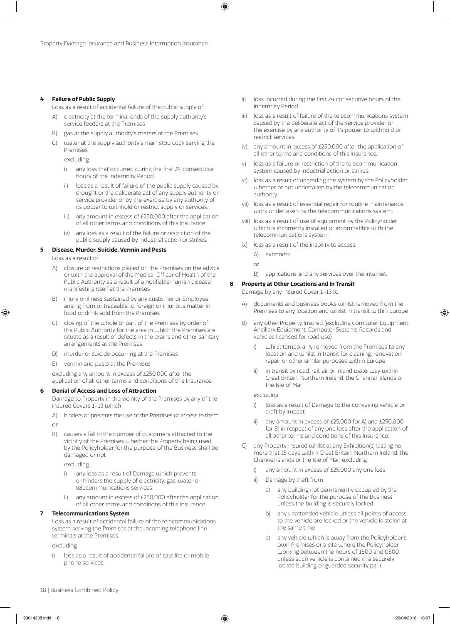#### **4 Failure of Public Supply**

Loss as a result of accidental failure of the public supply of

- A) electricity at the terminal ends of the supply authority's service feeders at the Premises
- B) gas at the supply authority's meters at the Premises
- C) water at the supply authority's main stop cock serving the Premises

excluding

- i) any loss that occurred during the first 24 consecutive hours of the Indemnity Period.
- ii) loss as a result of failure of the public supply caused by drought or the deliberate act of any supply authority or service provider or by the exercise by any authority of its power to withhold or restrict supply or services.
- iii) any amount in excess of £250,000 after the application of all other terms and conditions of this Insurance
- iv) any loss as a result of the failure or restriction of the public supply caused by industrial action or strikes.

#### **5 Disease, Murder, Suicide, Vermin and Pests**

Loss as a result of

- A) closure or restrictions placed on the Premises on the advice or with the approval of the Medical Officer of Health of the Public Authority as a result of a notifiable human disease manifesting itself at the Premises
- injury or illness sustained by any customer or Employee arising from or traceable to foreign or injurious matter in food or drink sold from the Premises
- C) closing of the whole or part of the Premises by order of the Public Authority for the area in which the Premises are situate as a result of defects in the drains and other sanitary arrangements at the Premises
- D) murder or suicide occurring at the Premises
- E) vermin and pests at the Premises

excluding any amount in excess of £250,000 after the application of all other terms and conditions of this Insurance.

#### **6 Denial of Access and Loss of Attraction**

Damage to Property in the vicinity of the Premises by any of the insured Covers 1–13 which

A) hinders or prevents the use of the Premises or access to them

or

B) causes a fall in the number of customers attracted to the vicinity of the Premises whether the Property being used by the Policyholder for the purpose of the Business shall be damaged or not

excluding

- any loss as a result of Damage which prevents or hinders the supply of electricity, gas, water or telecommunications services.
- ii) any amount in excess of £250,000 after the application of all other terms and conditions of this Insurance.

#### **7 Telecommunications System**

Loss as a result of accidental failure of the telecommunications system serving the Premises at the incoming telephone line terminals at the Premises

excluding

i) loss as a result of accidental failure of satellite or mobile phone services.

- ii) loss incurred during the first 24 consecutive hours of the Indemnity Period.
- iii) loss as a result of failure of the telecommunications system caused by the deliberate act of the service provider or the exercise by any authority of it's power to withhold or restrict services.
- iv) any amount in excess of £250,000 after the application of all other terms and conditions of this Insurance.
- v) loss as a failure or restriction of the telecommunication system caused by industrial action or strikes.
- vi) loss as a result of upgrading the system by the Policyholder whether or not undertaken by the telecommunication authority.
- vii) loss as a result of essential repair for routine maintenance work undertaken by the telecommunications system.
- viii) loss as a result of use of equipment by the Policyholder which is incorrectly installed or incompatible with the telecommunications system.
- ix) loss as a result of the inability to access;
	- A) extranets
	- or
	- B) applications and any services over the internet.

#### **8 Property at Other Locations and In Transit**

Damage by any insured Cover 1–13 to

- A) documents and business books whilst removed from the Premises to any location and whilst in transit within Europe
- B) any other Property Insured (excluding Computer Equipment, Ancillary Equipment, Computer Systems Records and vehicles licensed for road use)
	- i) whilst temporarily removed from the Premises to any location and whilst in transit for cleaning, renovation, repair or other similar purposes within Europe
	- ii) in transit by road, rail, air or inland waterway within Great Britain, Northern Ireland, the Channel Islands or the Isle of Man

excluding

- i) loss as a result of Damage to the conveying vehicle or craft by impact
- ii) any amount in excess of £25,000 for A) and £250,000 for B) in respect of any one loss after the application of all other terms and conditions of this Insurance.
- C) any Property Insured whilst at any Exhibition(s) lasting no more that 15 days within Great Britain, Northern Ireland, the Channel Islands or the Isle of Man excluding
	- i) any amount in excess of £25,000 any one loss
	- ii) Damage by theft from
		- a) any building not permanently occupied by the Policyholder for the purpose of the Business unless the building is securely locked
		- b) any unattended vehicle unless all points of access to the vehicle are locked or the vehicle is stolen at the same time
		- c) any vehicle which is away from the Policyholder's own Premises or a site where the Policyholder working between the hours of 1800 and 0800 unless such vehicle is contained in a securely locked building or guarded security park.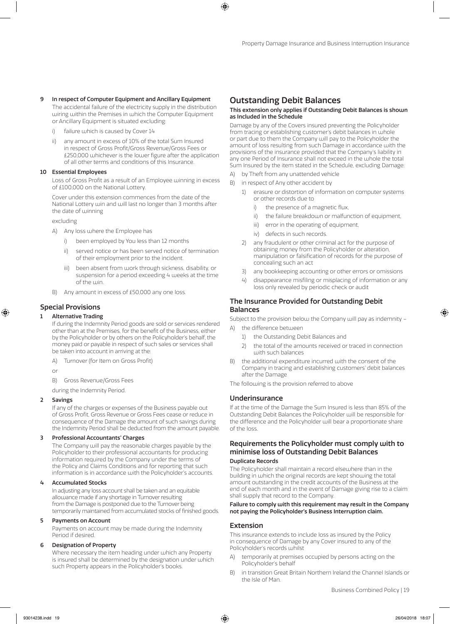#### 9 In respect of Computer Equipment and Ancillary Equipment

The accidental failure of the electricity supply in the distribution wiring within the Premises in which the Computer Equipment or Ancillary Equipment is situated excluding:

- failure which is caused by Cover 14
- ii) any amount in excess of 10% of the total Sum Insured in respect of Gross Profit/Gross Revenue/Gross Fees or £250,000 whichever is the lower figure after the application of all other terms and conditions of this Insurance.

#### 10 Essential Employees

Loss of Gross Profit as a result of an Employee winning in excess of £100,000 on the National Lottery.

Cover under this extension commences from the date of the National Lottery win and will last no longer than 3 months after the date of winning

excluding

- A) Any loss where the Employee has
	- been employed by You less than 12 months
	- ii) served notice or has been served notice of termination of their employment prior to the incident.
	- iii) been absent from work through sickness, disability, or suspension for a period exceeding 4 weeks at the time of the win.
- B) Any amount in excess of £50,000 any one loss.

# Special Provisions

#### **Alternative Trading**

If during the Indemnity Period goods are sold or services rendered other than at the Premises, for the benefit of the Business, either by the Policyholder or by others on the Policyholder's behalf, the money paid or payable in respect of such sales or services shall be taken into account in arriving at the:

A) Turnover (for Item on Gross Profit)

or

B) Gross Revenue/Gross Fees

during the Indemnity Period.

#### 2 Savings

If any of the charges or expenses of the Business payable out of Gross Profit, Gross Revenue or Gross Fees cease or reduce in consequence of the Damage the amount of such savings during the Indemnity Period shall be deducted from the amount payable.

#### 3 Professional Accountants' Charges

The Company will pay the reasonable charges payable by the Policyholder to their professional accountants for producing information required by the Company under the terms of the Policy and Claims Conditions and for reporting that such information is in accordance with the Policyholder's accounts.

#### 4 Accumulated Stocks

In adjusting any loss account shall be taken and an equitable allowance made if any shortage in Turnover resulting from the Damage is postponed due to the Turnover being temporarily maintained from accumulated stocks of finished goods.

#### 5 Payments on Account

Payments on account may be made during the Indemnity Period if desired.

#### 6 Designation of Property

Where necessary the item heading under which any Property is insured shall be determined by the designation under which such Property appears in the Policyholder's books.

# Outstanding Debit Balances

#### This extension only applies if Outstanding Debit Balances is shown as Included in the Schedule

Damage by any of the Covers insured preventing the Policyholder from tracing or establishing customer's debit balances in whole or part due to them the Company will pay to the Policyholder the amount of loss resulting from such Damage in accordance with the provisions of the insurance provided that the Company's liability in any one Period of Insurance shall not exceed in the whole the total Sum Insured by the item stated in the Schedule, excluding Damage:

- A) by Theft from any unattended vehicle
- B) in respect of Any other accident by
	- 1) erasure or distortion of information on computer systems or other records due to
		- i) the presence of a magnetic flux,
		- ii) the failure breakdown or malfunction of equipment.
		- iii) error in the operating of equipment,
		- iv) defects in such records.
	- 2) any fraudulent or other criminal act for the purpose of obtaining money from the Policyholder or alteration, manipulation or falsification of records for the purpose of concealing such an act
	- 3) any bookkeeping accounting or other errors or omissions
	- 4) disappearance misfiling or misplacing of information or any loss only revealed by periodic check or audit

### The Insurance Provided for Outstanding Debit Balances

Subject to the provision below the Company will pay as indemnity –

- A) the difference between
	- 1) the Outstanding Debit Balances and
	- 2) the total of the amounts received or traced in connection with such balances
- B) the additional expenditure incurred with the consent of the Company in tracing and establishing customers' debit balances after the Damage

The following is the provision referred to above

### Underinsurance

If at the time of the Damage the Sum Insured is less than 85% of the Outstanding Debit Balances the Policyholder will be responsible for the difference and the Policyholder will bear a proportionate share of the loss.

# Requirements the Policyholder must comply with to minimise loss of Outstanding Debit Balances

#### Duplicate Records

The Policyholder shall maintain a record elsewhere than in the building in which the original records are kept showing the total amount outstanding in the credit accounts of the Business at the end of each month and in the event of Damage giving rise to a claim shall supply that record to the Company.

#### Failure to comply with this requirement may result in the Company not paying the Policyholder's Business Interruption claim.

# Extension

This insurance extends to include loss as insured by the Policy in consequence of Damage by any Cover insured to any of the Policyholder's records whilst

- A) temporarily at premises occupied by persons acting on the Policyholder's behalf
- B) in transition Great Britain Northern Ireland the Channel Islands or the Isle of Man.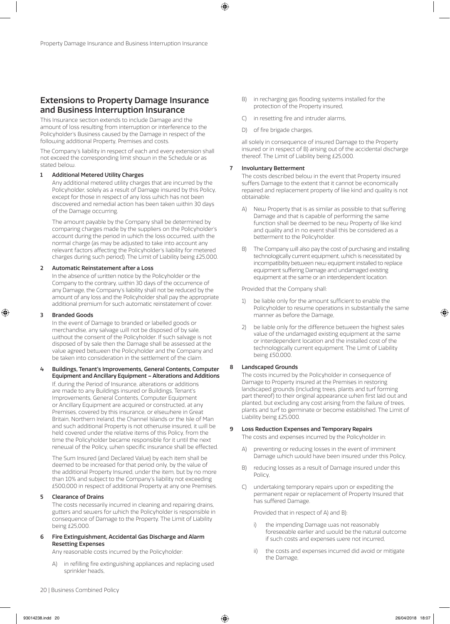# Extensions to Property Damage Insurance and Business Interruption Insurance

This Insurance section extends to include Damage and the amount of loss resulting from interruption or interference to the Policyholder's Business caused by the Damage in respect of the following additional Property, Premises and costs.

The Company's liability in respect of each and every extension shall not exceed the corresponding limit shown in the Schedule or as stated below.

#### 1 Additional Metered Utility Charges

Any additional metered utility charges that are incurred by the Policyholder, solely as a result of Damage insured by this Policy, except for those in respect of any loss which has not been discovered and remedial action has been taken within 30 days of the Damage occurring.

The amount payable by the Company shall be determined by comparing charges made by the suppliers on the Policyholder's account during the period in which the loss occurred, with the normal charge (as may be adjusted to take into account any relevant factors affecting the Policyholder's liability for metered charges during such period). The Limit of Liability being £25,000.

#### 2 Automatic Reinstatement after a Loss

In the absence of written notice by the Policyholder or the Company to the contrary, within 30 days of the occurrence of any Damage, the Company's liability shall not be reduced by the amount of any loss and the Policyholder shall pay the appropriate additional premium for such automatic reinstatement of cover.

#### 3 Branded Goods

In the event of Damage to branded or labelled goods or merchandise, any salvage will not be disposed of by sale, without the consent of the Policyholder. If such salvage is not disposed of by sale then the Damage shall be assessed at the value agreed between the Policyholder and the Company and be taken into consideration in the settlement of the claim.

4 Buildings, Tenant's Improvements, General Contents, Computer Equipment and Ancillary Equipment – Alterations and Additions If, during the Period of Insurance, alterations or additions are made to any Buildings insured or Buildings, Tenant's Improvements, General Contents, Computer Equipment or Ancillary Equipment are acquired or constructed, at any Premises, covered by this insurance, or elsewhere in Great Britain, Northern Ireland, the Channel Islands or the Isle of Man and such additional Property is not otherwise insured, it will be held covered under the relative items of this Policy, from the time the Policyholder became responsible for it until the next renewal of the Policy, when specific insurance shall be effected.

The Sum Insured (and Declared Value) by each item shall be deemed to be increased for that period only, by the value of the additional Property Insured, under the item, but by no more than 10% and subject to the Company's liability not exceeding £500,000 in respect of additional Property at any one Premises.

#### 5 Clearance of Drains

The costs necessarily incurred in cleaning and repairing drains, gutters and sewers for which the Policyholder is responsible in consequence of Damage to the Property. The Limit of Liability being £25,000.

#### 6 Fire Extinguishment, Accidental Gas Discharge and Alarm Resetting Expenses

Any reasonable costs incurred by the Policyholder:

in refilling fire extinguishing appliances and replacing used sprinkler heads,

- B) in recharging gas flooding systems installed for the protection of the Property insured,
- C) in resetting fire and intruder alarms,
- D) of fire brigade charges,

all solely in consequence of insured Damage to the Property insured or in respect of B) arising out of the accidental discharge thereof. The Limit of Liability being £25,000.

#### 7 Involuntary Betterment

The costs described below in the event that Property insured suffers Damage to the extent that it cannot be economically repaired and replacement property of like kind and quality is not obtainable:

- A) New Property that is as similar as possible to that suffering Damage and that is capable of performing the same function shall be deemed to be new Property of like kind and quality and in no event shall this be considered as a betterment to the Policyholder.
- B) The Company will also pay the cost of purchasing and installing technologically current equipment, which is necessitated by incompatibility between new equipment installed to replace equipment suffering Damage and undamaged existing equipment at the same or an interdependent location.

#### Provided that the Company shall:

- 1) be liable only for the amount sufficient to enable the Policyholder to resume operations in substantially the same manner as before the Damage,
- 2) be liable only for the difference between the highest sales value of the undamaged existing equipment at the same or interdependent location and the installed cost of the technologically current equipment. The Limit of Liability being £50,000.

#### 8 Landscaped Grounds

The costs incurred by the Policyholder in consequence of Damage to Property insured at the Premises in restoring landscaped grounds (including trees, plants and turf forming part thereof) to their original appearance when first laid out and planted, but excluding any cost arising from the failure of trees, plants and turf to germinate or become established. The Limit of Liability being £25,000.

#### 9 Loss Reduction Expenses and Temporary Repairs

The costs and expenses incurred by the Policyholder in:

- A) preventing or reducing losses in the event of imminent Damage which would have been insured under this Policy,
- B) reducing losses as a result of Damage insured under this Policy,
- C) undertaking temporary repairs upon or expediting the permanent repair or replacement of Property Insured that has suffered Damage.

#### Provided that in respect of A) and B):

- the impending Damage was not reasonably foreseeable earlier and would be the natural outcome if such costs and expenses were not incurred,
- ii) the costs and expenses incurred did avoid or mitigate the Damage,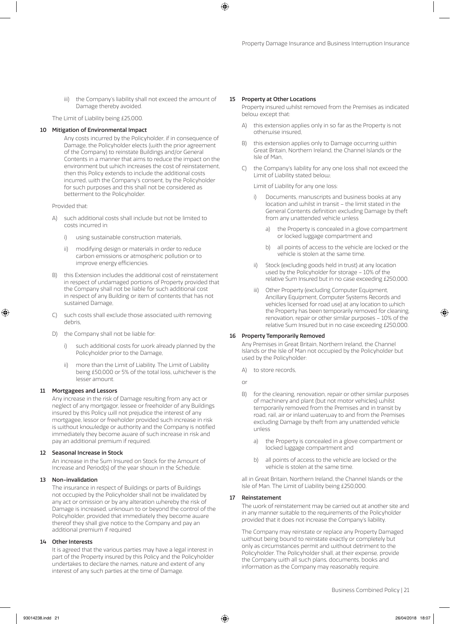iii) the Company's liability shall not exceed the amount of Damage thereby avoided.

The Limit of Liability being £25,000.

#### 10 Mitigation of Environmental Impact

Any costs incurred by the Policyholder, if in consequence of Damage, the Policyholder elects (with the prior agreement of the Company) to reinstate Buildings and/or General Contents in a manner that aims to reduce the impact on the environment but which increases the cost of reinstatement, then this Policy extends to include the additional costs incurred, with the Company's consent, by the Policyholder for such purposes and this shall not be considered as betterment to the Policyholder.

Provided that:

- such additional costs shall include but not be limited to costs incurred in:
	- i) using sustainable construction materials,
	- ii) modifying design or materials in order to reduce carbon emissions or atmospheric pollution or to improve energy efficiencies.
- this Extension includes the additional cost of reinstatement in respect of undamaged portions of Property provided that the Company shall not be liable for such additional cost in respect of any Building or item of contents that has not sustained Damage,
- C) such costs shall exclude those associated with removing debris,
- D) the Company shall not be liable for:
	- i) such additional costs for work already planned by the Policyholder prior to the Damage,
	- ii) more than the Limit of Liability. The Limit of Liability being £50,000 or 5% of the total loss, whichever is the lesser amount.

#### 11 Mortgagees and Lessors

Any increase in the risk of Damage resulting from any act or neglect of any mortgagor, lessee or freeholder of any Buildings insured by this Policy will not prejudice the interest of any mortgagee, lessor or freeholder provided such increase in risk is without knowledge or authority and the Company is notified immediately they become aware of such increase in risk and pay an additional premium if required.

#### 12 Seasonal Increase in Stock

An increase in the Sum Insured on Stock for the Amount of Increase and Period(s) of the year shown in the Schedule.

#### 13 Non-invalidation

The insurance in respect of Buildings or parts of Buildings not occupied by the Policyholder shall not be invalidated by any act or omission or by any alteration whereby the risk of Damage is increased, unknown to or beyond the control of the Policyholder, provided that immediately they become aware thereof they shall give notice to the Company and pay an additional premium if required

#### 14 Other Interests

It is agreed that the various parties may have a legal interest in part of the Property insured by this Policy and the Policyholder undertakes to declare the names, nature and extent of any interest of any such parties at the time of Damage.

#### 15 Property at Other Locations

Property insured whilst removed from the Premises as indicated below except that:

- A) this extension applies only in so far as the Property is not otherwise insured,
- B) this extension applies only to Damage occurring within Great Britain, Northern Ireland, the Channel Islands or the Isle of Man,
- C) the Company's liability for any one loss shall not exceed the Limit of Liability stated below;

Limit of Liability for any one loss:

- i) Documents, manuscripts and business books at any location and whilst in transit – the limit stated in the General Contents definition excluding Damage by theft from any unattended vehicle unless
	- a) the Property is concealed in a glove compartment or locked luggage compartment and
	- b) all points of access to the vehicle are locked or the vehicle is stolen at the same time.
- ii) Stock (excluding goods held in trust) at any location used by the Policyholder for storage – 10% of the relative Sum Insured but in no case exceeding £250,000.
- iii) Other Property (excluding Computer Equipment, Ancillary Equipment, Computer Systems Records and vehicles licensed for road use) at any location to which the Property has been temporarily removed for cleaning, renovation, repair or other similar purposes – 10% of the relative Sum Insured but in no case exceeding £250,000.

#### 16 Property Temporarily Removed

Any Premises in Great Britain, Northern Ireland, the Channel Islands or the Isle of Man not occupied by the Policyholder but used by the Policyholder:

- A) to store records,
- or
- B) for the cleaning, renovation, repair or other similar purposes of machinery and plant (but not motor vehicles) whilst temporarily removed from the Premises and in transit by road, rail, air or inland waterway to and from the Premises excluding Damage by theft from any unattended vehicle unless
	- a) the Property is concealed in a glove compartment or locked luggage compartment and
	- b) all points of access to the vehicle are locked or the vehicle is stolen at the same time.

all in Great Britain, Northern Ireland, the Channel Islands or the Isle of Man. The Limit of Liability being £250,000.

#### 17 Reinstatement

The work of reinstatement may be carried out at another site and in any manner suitable to the requirements of the Policyholder provided that it does not increase the Company's liability.

The Company may reinstate or replace any Property Damaged without being bound to reinstate exactly or completely but only as circumstances permit and without detriment to the Policyholder. The Policyholder shall, at their expense, provide the Company with all such plans, documents, books and information as the Company may reasonably require.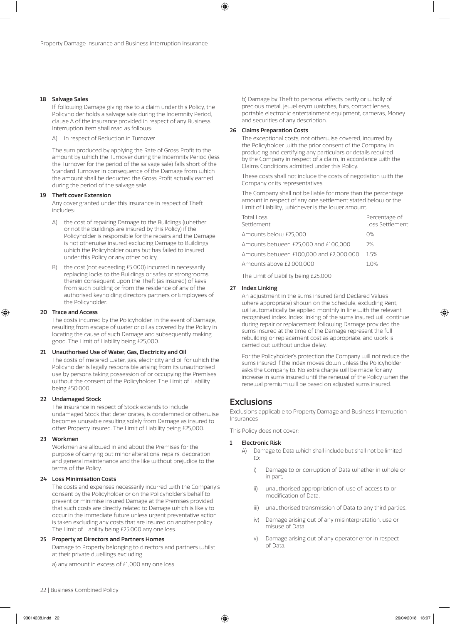#### 18 Salvage Sales

If, following Damage giving rise to a claim under this Policy, the Policyholder holds a salvage sale during the Indemnity Period, clause A of the insurance provided in respect of any Business Interruption item shall read as follows:

A) In respect of Reduction in Turnover

The sum produced by applying the Rate of Gross Profit to the amount by which the Turnover during the Indemnity Period (less the Turnover for the period of the salvage sale) falls short of the Standard Turnover in consequence of the Damage from which the amount shall be deducted the Gross Profit actually earned during the period of the salvage sale.

#### 19 Theft cover Extension

Any cover granted under this insurance in respect of Theft includes:

- A) the cost of repairing Damage to the Buildings (whether or not the Buildings are insured by this Policy) if the Policyholder is responsible for the repairs and the Damage is not otherwise insured excluding Damage to Buildings which the Policyholder owns but has failed to insured under this Policy or any other policy,
- the cost (not exceeding £5,000) incurred in necessarily replacing locks to the Buildings or safes or strongrooms therein consequent upon the Theft (as insured) of keys from such building or from the residence of any of the authorised keyholding directors partners or Employees of the Policyholder.

#### 20 Trace and Access

The costs incurred by the Policyholder, in the event of Damage, resulting from escape of water or oil as covered by the Policy in locating the cause of such Damage and subsequently making good. The Limit of Liability being £25,000.

#### 21 Unauthorised Use of Water, Gas, Electricity and Oil

The costs of metered water, gas, electricity and oil for which the Policyholder is legally responsible arising from its unauthorised use by persons taking possession of or occupying the Premises without the consent of the Policyholder. The Limit of Liability being £50,000.

#### 22 Undamaged Stock

The insurance in respect of Stock extends to include undamaged Stock that deteriorates, is condemned or otherwise becomes unusable resulting solely from Damage as insured to other Property insured. The Limit of Liability being £25,000.

#### 23 Workmen

Workmen are allowed in and about the Premises for the purpose of carrying out minor alterations, repairs, decoration and general maintenance and the like without prejudice to the terms of the Policy.

#### 24 Loss Minimisation Costs

The costs and expenses necessarily incurred with the Company's consent by the Policyholder or on the Policyholder's behalf to prevent or minimise insured Damage at the Premises provided that such costs are directly related to Damage which is likely to occur in the immediate future unless urgent preventative action is taken excluding any costs that are insured on another policy. The Limit of Liability being £25,000 any one loss.

#### 25 Property at Directors and Partners Homes

Damage to Property belonging to directors and partners whilst at their private dwellings excluding

a) any amount in excess of £1,000 any one loss

b) Damage by Theft to personal effects partly or wholly of precious metal, jewellerym watches, furs, contact lenses, portable electronic entertainment equipment, cameras, Money and securities of any description.

#### 26 Claims Preparation Costs

The exceptional costs, not otherwise covered, incurred by the Policyholder with the prior consent of the Company, in producing and certifying any particulars or details required by the Company in respect of a claim, in accordance with the Claims Conditions admitted under this Policy.

These costs shall not include the costs of negotiation with the Company or its representatives.

The Company shall not be liable for more than the percentage amount in respect of any one settlement stated below or the Limit of Liability, whichever is the lower amount.

| Total Loss<br>Settlement                | Percentage of<br>Loss Settlement |
|-----------------------------------------|----------------------------------|
| Amounts below £25,000                   | $O\%$                            |
| Amounts between £25,000 and £100,000    | 2%                               |
| Amounts between £100,000 and £2,000,000 | 15%                              |
| Amounts above £2,000,000                | 10%                              |
|                                         |                                  |

The Limit of Liability being £25,000

#### 27 Index Linking

An adjustment in the sums insured (and Declared Values where appropriate) shown on the Schedule, excluding Rent, will automatically be applied monthly in line with the relevant recognised index. Index linking of the sums insured will continue during repair or replacement following Damage provided the sums insured at the time of the Damage represent the full rebuilding or replacement cost as appropriate, and work is carried out without undue delay.

For the Policyholder's protection the Company will not reduce the sums insured if the index moves down unless the Policyholder asks the Company to. No extra charge will be made for any increase in sums insured until the renewal of the Policy when the renewal premium will be based on adjusted sums insured.

# **Exclusions**

Exclusions applicable to Property Damage and Business Interruption Insurances

This Policy does not cover:

#### **Electronic Risk**

- A) Damage to Data which shall include but shall not be limited to:
	- i) Damage to or corruption of Data whether in whole or in part,
	- ii) unauthorised appropriation of, use of, access to or modification of Data,
	- iii) unauthorised transmission of Data to any third parties,
	- iv) Damage arising out of any misinterpretation, use or misuse of Data,
	- v) Damage arising out of any operator error in respect of Data.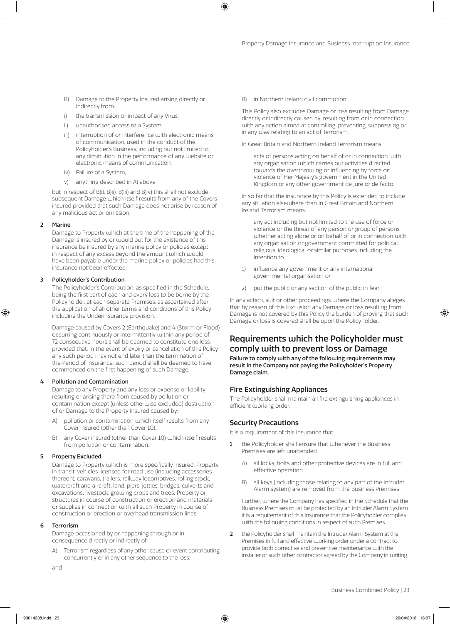- B) Damage to the Property Insured arising directly or indirectly from:
- i) the transmission or impact of any Virus,
- ii) unauthorised access to a System,
- iii) interruption of or interference with electronic means of communication, used in the conduct of the Policyholder's Business, including but not limited to, any diminution in the performance of any website or electronic means of communication,
- iv) Failure of a System,
- v) anything described in A) above

but in respect of B)i), B)ii), B)iii) and B)iv) this shall not exclude subsequent Damage which itself results from any of the Covers insured provided that such Damage does not arise by reason of any malicious act or omission.

#### 2 Marine

Damage to Property which at the time of the happening of the Damage is insured by or would but for the existence of this insurance be insured by any marine policy or policies except in respect of any excess beyond the amount which would have been payable under the marine policy or policies had this insurance not been effected.

#### 3 Policyholder's Contribution

The Policyholder's Contribution, as specified in the Schedule, being the first part of each and every loss to be borne by the Policyholder, at each separate Premises, as ascertained after the application of all other terms and conditions of this Policy including the Underinsurance provision.

Damage caused by Covers 2 (Earthquake) and 4 (Storm or Flood) occurring continuously or intermittently within any period of 72 consecutive hours shall be deemed to constitute one loss, provided that, in the event of expiry or cancellation of this Policy any such period may not end later than the termination of the Period of Insurance, such period shall be deemed to have commenced on the first happening of such Damage.

#### Pollution and Contamination

Damage to any Property and any loss or expense or liability resulting or arising there from caused by pollution or contamination except (unless otherwise excluded) destruction of or Damage to the Property Insured caused by:

- pollution or contamination which itself results from any Cover insured (other than Cover 10),
- B) any Cover insured (other than Cover 10) which itself results from pollution or contamination.

#### 5 Property Excluded

Damage to Property which is more specifically insured, Property in transit, vehicles licensed for road use (including accessories thereon), caravans, trailers, railway locomotives, rolling stock, watercraft and aircraft, land, piers, jetties, bridges, culverts and excavations, livestock, growing crops and trees, Property or structures in course of construction or erection and materials or supplies in connection with all such Property in course of construction or erection or overhead transmission lines.

#### 6 Terrorism

Damage occasioned by or happening through or in consequence directly or indirectly of:

Terrorism regardless of any other cause or event contributing concurrently or in any other sequence to the loss,

B) in Northern Ireland civil commotion.

This Policy also excludes Damage or loss resulting from Damage directly or indirectly caused by, resulting from or in connection with any action aimed at controlling, preventing, suppressing or in any way relating to an act of Terrorism.

In Great Britain and Northern Ireland Terrorism means:

acts of persons acting on behalf of or in connection with any organisation which carries out activities directed towards the overthrowing or influencing by force or violence of Her Majesty's government in the United Kingdom or any other government de jure or de facto.

In so far that the insurance by this Policy is extended to include any situation elsewhere than in Great Britain and Northern Ireland Terrorism means:

any act including but not limited to the use of force or violence or the threat of any person or group of persons whether acting alone or on behalf of or in connection with any organisation or government committed for political, religious, ideological or similar purposes including the intention to:

- 1) influence any government or any international governmental organisation or
- 2) put the public or any section of the public in fear.

In any action, suit or other proceedings where the Company alleges that by reason of this Exclusion any Damage or loss resulting from Damage is not covered by this Policy the burden of proving that such Damage or loss is covered shall be upon the Policyholder.

# Requirements which the Policyholder must comply with to prevent loss or Damage

Failure to comply with any of the following requirements may result in the Company not paying the Policyholder's Property Damage claim.

### Fire Extinguishing Appliances

The Policyholder shall maintain all fire extinguishing appliances in efficient working order.

#### Security Precautions

It is a requirement of this Insurance that

- 1 the Policyholder shall ensure that whenever the Business Premises are left unattended
	- A) all locks, bolts and other protective devices are in full and effective operation
	- B) all keys (including those relating to any part of the Intruder Alarm system) are removed from the Business Premises

Further, where the Company has specified in the Schedule that the Business Premises must be protected by an Intruder Alarm System it is a requirement of this Insurance that the Policyholder complies with the following conditions in respect of such Premises

2 the Policyholder shall maintain the Intruder Alarm System at the Premises in full and effective working order under a contract to provide both corrective and preventive maintenance with the installer or such other contractor agreed by the Company in writing.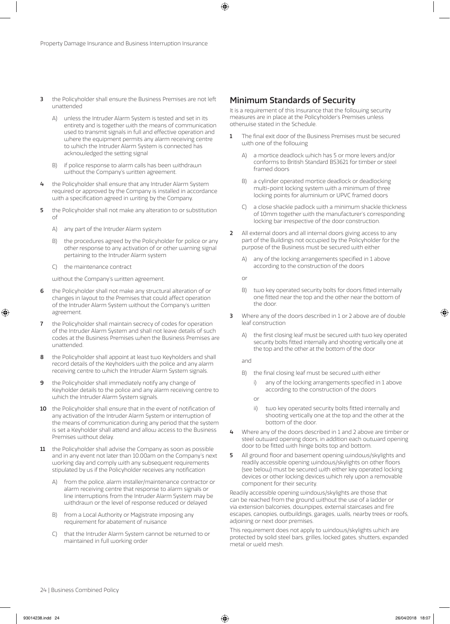- 3 the Policyholder shall ensure the Business Premises are not left unattended
	- A) unless the Intruder Alarm System is tested and set in its entirety and is together with the means of communication used to transmit signals in full and effective operation and where the equipment permits any alarm receiving centre to which the Intruder Alarm System is connected has acknowledged the setting signal
	- if police response to alarm calls has been withdrawn without the Company's written agreement.
- 4 the Policyholder shall ensure that any Intruder Alarm System required or approved by the Company is installed in accordance with a specification agreed in writing by the Company.
- 5 the Policyholder shall not make any alteration to or substitution of
	- A) any part of the Intruder Alarm system
	- B) the procedures agreed by the Policyholder for police or any other response to any activation of or other warning signal pertaining to the Intruder Alarm system
	- C) the maintenance contract

without the Company's written agreement.

- 6 the Policyholder shall not make any structural alteration of or changes in layout to the Premises that could affect operation of the Intruder Alarm System without the Company's written agreement.
- the Policyholder shall maintain secrecy of codes for operation of the Intruder Alarm System and shall not leave details of such codes at the Business Premises when the Business Premises are unattended.
- 8 the Policyholder shall appoint at least two Keyholders and shall record details of the Keyholders with the police and any alarm receiving centre to which the Intruder Alarm System signals.
- 9 the Policyholder shall immediately notify any change of Keyholder details to the police and any alarm receiving centre to which the Intruder Alarm System signals.
- 10 the Policyholder shall ensure that in the event of notification of any activation of the Intruder Alarm System or interruption of the means of communication during any period that the system is set a Keyholder shall attend and allow access to the Business Premises without delay.
- 11 the Policyholder shall advise the Company as soon as possible and in any event not later than 10.00am on the Company's next working day and comply with any subsequent requirements stipulated by us if the Policyholder receives any notification
	- A) from the police, alarm installer/maintenance contractor or alarm receiving centre that response to alarm signals or line interruptions from the Intruder Alarm System may be withdrawn or the level of response reduced or delayed
	- B) from a Local Authority or Magistrate imposing any requirement for abatement of nuisance
	- C) that the Intruder Alarm System cannot be returned to or maintained in full working order

# Minimum Standards of Security

It is a requirement of this Insurance that the following security measures are in place at the Policyholder's Premises unless otherwise stated in the Schedule.

- 1 The final exit door of the Business Premises must be secured with one of the following
	- A) a mortice deadlock which has 5 or more levers and/or conforms to British Standard BS3621 for timber or steel framed doors
	- B) a cylinder operated mortice deadlock or deadlocking multi-point locking system with a minimum of three locking points for aluminium or UPVC framed doors
	- C) a close shackle padlock with a minimum shackle thickness of 10mm together with the manufacturer's corresponding locking bar irrespective of the door construction.
- 2 All external doors and all internal doors giving access to any part of the Buildings not occupied by the Policyholder for the purpose of the Business must be secured with either
	- A) any of the locking arrangements specified in 1 above according to the construction of the doors

or

- B) two key operated security bolts for doors fitted internally one fitted near the top and the other near the bottom of the door.
- 3 Where any of the doors described in 1 or 2 above are of double leaf construction
	- A) the first closing leaf must be secured with two key operated security bolts fitted internally and shooting vertically one at the top and the other at the bottom of the door

and

- B) the final closing leaf must be secured with either
	- i) any of the locking arrangements specified in 1 above according to the construction of the doors
	- or
	- ii) two key operated security bolts fitted internally and shooting vertically one at the top and the other at the bottom of the door.
- 4 Where any of the doors described in 1 and 2 above are timber or steel outward opening doors, in addition each outward opening door to be fitted with hinge bolts top and bottom.
- 5 All ground floor and basement opening windows/skylights and readily accessible opening windows/skylights on other floors (see below) must be secured with either key operated locking devices or other locking devices which rely upon a removable component for their security.

Readily accessible opening windows/skylights are those that can be reached from the ground without the use of a ladder or via extension balconies, downpipes, external staircases and fire escapes, canopies, outbuildings, garages, walls, nearby trees or roofs, adjoining or next door premises.

This requirement does not apply to windows/skylights which are protected by solid steel bars, grilles, locked gates, shutters, expanded metal or weld mesh.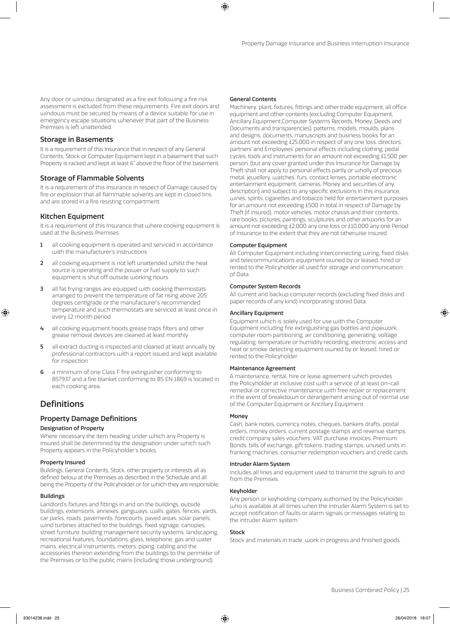Any door or window designated as a fire exit following a fire risk assessment is excluded from these requirements. Fire exit doors and windows must be secured by means of a device suitable for use in emergency escape situations whenever that part of the Business Premises is left unattended.

# Storage in Basements

It is a requirement of this Insurance that in respect of any General Contents, Stock or Computer Equipment kept in a basement that such Property is racked and kept at least 6" above the floor of the basement.

# Storage of Flammable Solvents

It is a requirement of this Insurance in respect of Damage caused by fire or explosion that all flammable solvents are kept in closed tins and are stored in a fire resisting compartment.

# Kitchen Equipment

It is a requirement of this Insurance that where cooking equipment is used at the Business Premises

- 1 all cooking equipment is operated and serviced in accordance with the manufacturer's instructions
- 2 all cooking equipment is not left unattended whilst the heat source is operating and the power or fuel supply to such equipment is shut off outside working hours
- all fat frying ranges are equipped with cooking thermostats arranged to prevent the temperature of fat rising above 205 degrees centigrade or the manufacturer's recommended temperature and such thermostats are serviced at least once in every 12 month period
- 4 all cooking equipment hoods grease traps filters and other grease removal devices are cleaned at least monthly
- 5 all extract ducting is inspected and cleaned at least annually by professional contractors with a report issued and kept available for inspection
- 6 a minimum of one Class F fire extinguisher conforming to BS7937 and a fire blanket conforming to BS EN 1869 is located in each cooking area.

# **Definitions**

### Property Damage Definitions

#### Designation of Property

Where necessary the item heading under which any Property is insured shall be determined by the designation under which such Property appears in the Policyholder's books.

#### Property Insured

Buildings, General Contents, Stock, other property or interests all as defined below at the Premises as described in the Schedule and all being the Property of the Policyholder or for which they are responsible.

#### Buildings

Landlord's fixtures and fittings in and on the buildings, outside buildings, extensions, annexes, gangways, walls, gates, fences, yards, car parks, roads, pavements, forecourts, paved areas, solar panels, wind turbines attached to the buildings, fixed signage, canopies, street furniture, building management security systems, landscaping, recreational features, foundations, glass, telephone, gas and water mains, electrical instruments, meters, piping, cabling and the accessories thereon extending from the buildings to the perimeter of the Premises or to the public mains (including those underground).

#### General Contents

Machinery, plant, fixtures, fittings and other trade equipment, all office equipment and other contents (excluding Computer Equipment, Ancillary Equipment,Computer Systems Records, Money, Deeds and Documents and transparencies), patterns, models, moulds, plans and designs, documents, manuscripts and business books for an amount not exceeding £25,000 in respect of any one loss, directors', partners' and Employees' personal effects including clothing, pedal cycles, tools and instruments for an amount not exceeding £1,500 per person, (but any cover granted under this Insurance for Damage by Theft shall not apply to personal effects partly or wholly of precious metal, jewellery, watches, furs, contact lenses, portable electronic entertainment equipment, cameras, Money and securities of any description) and subject to any specific exclusions in this insurance, wines, spirits, cigarettes and tobacco held for entertainment purposes for an amount not exceeding £500 in total in respect of Damage by Theft (if insured), motor vehicles, motor chassis and their contents, rare books, pictures, paintings, sculptures and other artworks for an amount not exceeding £2,000 any one loss or £10,000 any one Period of Insurance to the extent that they are not otherwise insured.

#### Computer Equipment

All Computer Equipment including interconnecting wiring, fixed disks and telecommunications equipment owned by or leased, hired or rented to the Policyholder all used for storage and communication of Data.

#### Computer System Records

All current and backup computer records (excluding fixed disks and paper records of any kind) incorporating stored Data.

#### Ancillary Equipment

Equipment which is solely used for use with the Computer Equipment including fire extinguishing gas bottles and pipework, computer room partitioning, air conditioning, generating, voltage regulating, temperature or humidity recording, electronic access and heat or smoke detecting equipment owned by or leased, hired or rented to the Policyholder.

#### Maintenance Agreement

A maintenance, rental, hire or lease agreement which provides the Policyholder at inclusive cost with a service of at least on-call remedial or corrective maintenance with free repair or replacement in the event of breakdown or derangement arising out of normal use of the Computer Equipment or Ancillary Equipment.

#### **Money**

Cash, bank notes, currency notes, cheques, bankers drafts, postal orders, money orders, current postage stamps and revenue stamps, credit company sales vouchers, VAT purchase invoices, Premium Bonds, bills of exchange, gift tokens, trading stamps, unused units in franking machines, consumer redemption vouchers and credit cards.

#### Intruder Alarm System

Includes all lines and equipment used to transmit the signals to and from the Premises.

#### Keyholder

Any person or keyholding company authorised by the Policyholder, who is available at all times when the Intruder Alarm System is set to accept notification of faults or alarm signals or messages relating to the intruder Alarm system.

#### Stock

Stock and materials in trade, work in progress and finished goods.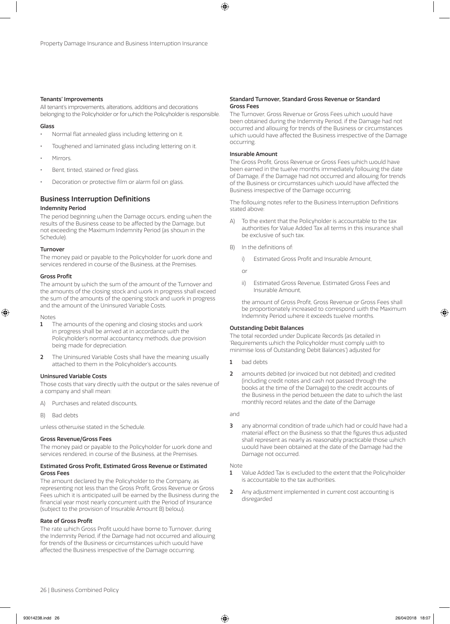#### Tenants' Improvements

All tenant's improvements, alterations, additions and decorations belonging to the Policyholder or for which the Policyholder is responsible.

#### Glass

- Normal flat annealed glass including lettering on it.
- Toughened and laminated glass including lettering on it.
- Mirrors.
- Bent, tinted, stained or fired glass.
- Decoration or protective film or alarm foil on glass.

# Business Interruption Definitions

#### Indemnity Period

The period beginning when the Damage occurs, ending when the results of the Business cease to be affected by the Damage, but not exceeding the Maximum Indemnity Period (as shown in the Schedule).

#### Turnover

The money paid or payable to the Policyholder for work done and services rendered in course of the Business, at the Premises.

#### Gross Profit

The amount by which the sum of the amount of the Turnover and the amounts of the closing stock and work in progress shall exceed the sum of the amounts of the opening stock and work in progress and the amount of the Uninsured Variable Costs.

#### Notes

- **1** The amounts of the opening and closing stocks and work in progress shall be arrived at in accordance with the Policyholder's normal accountancy methods, due provision being made for depreciation.
- 2 The Uninsured Variable Costs shall have the meaning usually attached to them in the Policyholder's accounts.

#### Uninsured Variable Costs

Those costs that vary directly with the output or the sales revenue of a company and shall mean:

- A) Purchases and related discounts,
- B) Bad debts

unless otherwise stated in the Schedule.

#### Gross Revenue/Gross Fees

The money paid or payable to the Policyholder for work done and services rendered, in course of the Business, at the Premises.

#### Estimated Gross Profit, Estimated Gross Revenue or Estimated Gross Fees

The amount declared by the Policyholder to the Company, as representing not less than the Gross Profit, Gross Revenue or Gross Fees which it is anticipated will be earned by the Business during the financial year most nearly concurrent with the Period of Insurance (subject to the provision of Insurable Amount B) below).

#### Rate of Gross Profit

The rate which Gross Profit would have borne to Turnover, during the Indemnity Period, if the Damage had not occurred and allowing for trends of the Business or circumstances which would have affected the Business irrespective of the Damage occurring.

#### Standard Turnover, Standard Gross Revenue or Standard Gross Fees

The Turnover, Gross Revenue or Gross Fees which would have been obtained during the Indemnity Period, if the Damage had not occurred and allowing for trends of the Business or circumstances which would have affected the Business irrespective of the Damage occurring.

#### Insurable Amount

The Gross Profit, Gross Revenue or Gross Fees which would have been earned in the twelve months immediately following the date of Damage, if the Damage had not occurred and allowing for trends of the Business or circumstances which would have affected the Business irrespective of the Damage occurring.

The following notes refer to the Business Interruption Definitions stated above:

- A) To the extent that the Policyholder is accountable to the tax authorities for Value Added Tax all terms in this insurance shall be exclusive of such tax.
- B) In the definitions of:
	- i) Estimated Gross Profit and Insurable Amount,

or

ii) Estimated Gross Revenue, Estimated Gross Fees and Insurable Amount,

the amount of Gross Profit, Gross Revenue or Gross Fees shall be proportionately increased to correspond with the Maximum Indemnity Period where it exceeds twelve months.

#### Outstanding Debit Balances

The total recorded under Duplicate Records (as detailed in 'Requirements which the Policyholder must comply with to minimise loss of Outstanding Debit Balances') adjusted for

- 1 bad debts
- 2 amounts debited (or invoiced but not debited) and credited (including credit notes and cash not passed through the books at the time of the Damage) to the credit accounts of the Business in the period between the date to which the last monthly record relates and the date of the Damage

and

3 any abnormal condition of trade which had or could have had a material effect on the Business so that the figures thus adjusted shall represent as nearly as reasonably practicable those which would have been obtained at the date of the Damage had the Damage not occurred.

Note

- 1 Value Added Tax is excluded to the extent that the Policyholder is accountable to the tax authorities.
- 2 Any adjustment implemented in current cost accounting is disregarded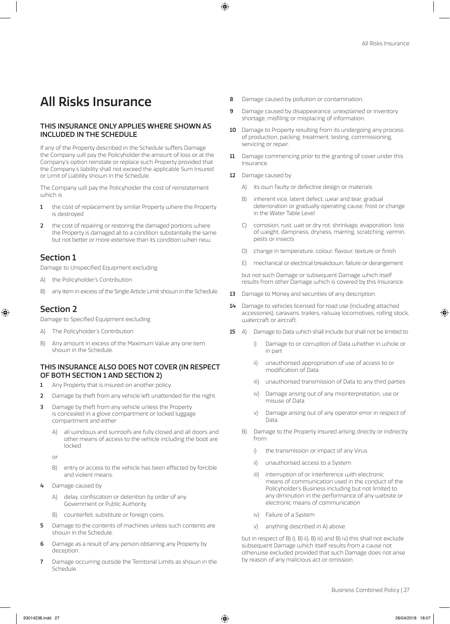# All Risks Insurance

# THIS INSURANCE ONLY APPLIES WHERE SHOWN AS INCLUDED IN THE SCHEDULE

If any of the Property described in the Schedule suffers Damage the Company will pay the Policyholder the amount of loss or at the Company's option reinstate or replace such Property provided that the Company's liability shall not exceed the applicable Sum Insured or Limit of Liability shown in the Schedule.

The Company will pay the Policyholder the cost of reinstatement which is

- 1 the cost of replacement by similar Property where the Property is destroyed
- 2 the cost of repairing or restoring the damaged portions where the Property is damaged all to a condition substantially the same but not better or more extensive than its condition when new.

# Section 1

Damage to Unspecified Equipment excluding

- A) the Policyholder's Contribution
- B) any item in excess of the Single Article Limit shown in the Schedule.

# Section 2

Damage to Specified Equipment excluding

- A) The Policyholder's Contribution
- B) Any amount in excess of the Maximum Value any one item shown in the Schedule.

### THIS INSURANCE ALSO DOES NOT COVER (IN RESPECT OF BOTH SECTION 1 AND SECTION 2)

- 1 Any Property that is insured on another policy.
- 2 Damage by theft from any vehicle left unattended for the night.
- **3** Damage by theft from any vehicle unless the Property is concealed in a glove compartment or locked luggage compartment and either
	- A) all windows and sunroofs are fully closed and all doors and other means of access to the vehicle including the boot are locked

or

- B) entry or access to the vehicle has been effected by forcible and violent means.
- 4 Damage caused by
	- A) delay, confiscation or detention by order of any Government or Public Authority
	- B) counterfeit, substitute or foreign coins.
- 5 Damage to the contents of machines unless such contents are shown in the Schedule.
- 6 Damage as a result of any person obtaining any Property by deception.
- 7 Damage occurring outside the Territorial Limits as shown in the Schedule.
- 8 Damage caused by pollution or contamination.
- 9 Damage caused by disappearance, unexplained or inventory shortage, misfiling or misplacing of information.
- 10 Damage to Property resulting from its undergoing any process of production, packing, treatment, testing, commissioning, servicing or repair.
- 11 Damage commencing prior to the granting of cover under this Insurance.
- 12 Damage caused by
	- A) its own faulty or defective design or materials
	- B) inherent vice, latent defect, wear and tear, gradual deterioration or gradually operating cause, frost or change in the Water Table Level
	- C) corrosion, rust, wet or dry rot, shrinkage, evaporation, loss of weight, dampness, dryness, marring, scratching, vermin, pests or insects
	- D) change in temperature, colour, flavour, texture or finish
	- E) mechanical or electrical breakdown, failure or derangement

but not such Damage or subsequent Damage which itself results from other Damage which is covered by this Insurance.

- 13 Damage to Money and securities of any description.
- 14 Damage to vehicles licensed for road use (including attached accessories), caravans, trailers, railway locomotives, rolling stock, watercraft or aircraft.
- 15 A) Damage to Data which shall include but shall not be limited to
	- Damage to or corruption of Data whether in whole or in part
	- ii) unauthorised appropriation of use of access to or modification of Data
	- iii) unauthorised transmission of Data to any third parties
	- iv) Damage arising out of any misinterpretation, use or misuse of Data
	- v) Damage arising out of any operator error in respect of Data.
	- B) Damage to the Property insured arising directly or indirectly from
		- i) the transmission or impact of any Virus
		- ii) unauthorised access to a System
		- iii) interruption of or interference with electronic means of communication used in the conduct of the Policyholder's Business including but not limited to any diminution in the performance of any website or electronic means of communication
		- iv) Failure of a System
		- v) anything described in A) above

but in respect of B) i), B) ii), B) iii) and B) iv) this shall not exclude subsequent Damage which itself results from a cause not otherwise excluded provided that such Damage does not arise by reason of any malicious act or omission.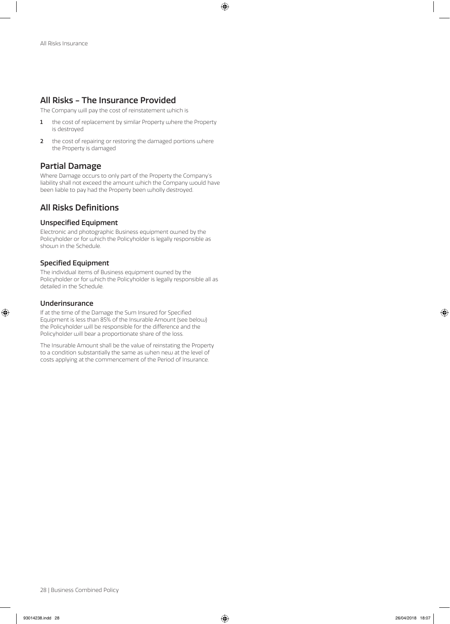# All Risks - The Insurance Provided

The Company will pay the cost of reinstatement which is

- 1 the cost of replacement by similar Property where the Property is destroyed
- 2 the cost of repairing or restoring the damaged portions where the Property is damaged

# Partial Damage

Where Damage occurs to only part of the Property the Company's liability shall not exceed the amount which the Company would have been liable to pay had the Property been wholly destroyed.

# All Risks Definitions

# Unspecified Equipment

Electronic and photographic Business equipment owned by the Policyholder or for which the Policyholder is legally responsible as shown in the Schedule.

# Specified Equipment

The individual items of Business equipment owned by the Policyholder or for which the Policyholder is legally responsible all as detailed in the Schedule.

# Underinsurance

If at the time of the Damage the Sum Insured for Specified Equipment is less than 85% of the Insurable Amount (see below) the Policyholder will be responsible for the difference and the Policyholder will bear a proportionate share of the loss.

The Insurable Amount shall be the value of reinstating the Property to a condition substantially the same as when new at the level of costs applying at the commencement of the Period of Insurance.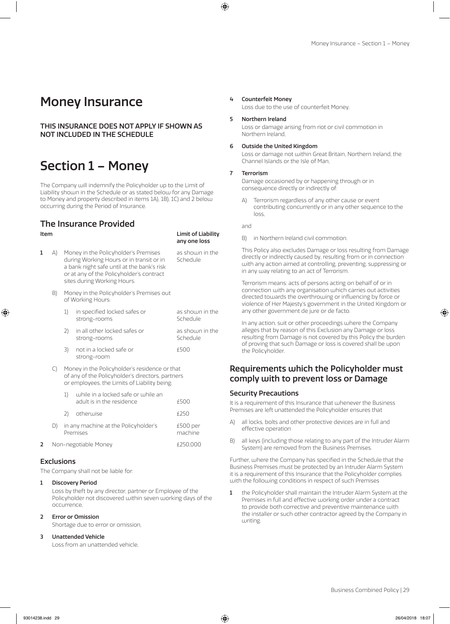# Money Insurance

THIS INSURANCE DOES NOT APPLY IF SHOWN AS NOT INCLUDED IN THE SCHEDULE

# Section 1 – Money

The Company will indemnify the Policyholder up to the Limit of Liability shown in the Schedule or as stated below for any Damage to Money and property described in items 1A), 1B), 1C) and 2 below occurring during the Period of Insurance.

# The Insurance Provided

#### Item Limit of Liability any one loss

- 1 A) Money in the Policyholder's Premises as shown in the during Working Hours or in transit or in during Working Hours or in transit or in a bank night safe until at the bank's risk or at any of the Policyholder's contract sites during Working Hours.
	- B) Money in the Policyholder's Premises out of Working Hours:

|    | in specified locked safes or<br>strong-rooms | as shown in the<br>Schedule |
|----|----------------------------------------------|-----------------------------|
|    | in all other locked safes or<br>strong-rooms | as shown in the<br>Schedule |
| 3) | not in a locked safe or<br>strong-room       | f500                        |

C) Money in the Policyholder's residence or that of any of the Policyholder's directors, partners or employees, the Limits of Liability being:

| 2. | Non-negotiable Money |    | £250,000                                                        |                     |
|----|----------------------|----|-----------------------------------------------------------------|---------------------|
|    |                      |    | in any machine at the Policyholder's<br>Premises                | £500 per<br>machine |
|    |                      | 2) | otherwise                                                       | £250                |
|    |                      |    | while in a locked safe or while an<br>adult is in the residence | £500                |

# **Exclusions**

The Company shall not be liable for:

#### 1 Discovery Period

Loss by theft by any director, partner or Employee of the Policyholder not discovered within seven working days of the occurrence,

**Error or Omission** 

Shortage due to error or omission,

#### 3 Unattended Vehicle

Loss from an unattended vehicle,

#### 4 Counterfeit Money

Loss due to the use of counterfeit Money,

#### 5 Northern Ireland

Loss or damage arising from riot or civil commotion in Northern Ireland,

#### 6 Outside the United Kingdom

Loss or damage not within Great Britain, Northern Ireland, the Channel Islands or the Isle of Man,

#### **Terrorism**

Damage occasioned by or happening through or in consequence directly or indirectly of:

Terrorism regardless of any other cause or event contributing concurrently or in any other sequence to the loss,

and

B) in Northern Ireland civil commotion.

This Policy also excludes Damage or loss resulting from Damage directly or indirectly caused by, resulting from or in connection with any action aimed at controlling, preventing, suppressing or in any way relating to an act of Terrorism.

Terrorism means: acts of persons acting on behalf of or in connection with any organisation which carries out activities directed towards the overthrowing or influencing by force or violence of Her Majesty's government in the United Kingdom or any other government de jure or de facto.

In any action, suit or other proceedings where the Company alleges that by reason of this Exclusion any Damage or loss resulting from Damage is not covered by this Policy the burden of proving that such Damage or loss is covered shall be upon the Policyholder.

# Requirements which the Policyholder must comply with to prevent loss or Damage

#### Security Precautions

It is a requirement of this Insurance that whenever the Business Premises are left unattended the Policyholder ensures that

- A) all locks, bolts and other protective devices are in full and effective operation
- B) all keys (including those relating to any part of the Intruder Alarm System) are removed from the Business Premises.

Further, where the Company has specified in the Schedule that the Business Premises must be protected by an Intruder Alarm System it is a requirement of this Insurance that the Policyholder complies with the following conditions in respect of such Premises

1 the Policyholder shall maintain the Intruder Alarm System at the Premises in full and effective working order under a contract to provide both corrective and preventive maintenance with the installer or such other contractor agreed by the Company in writing.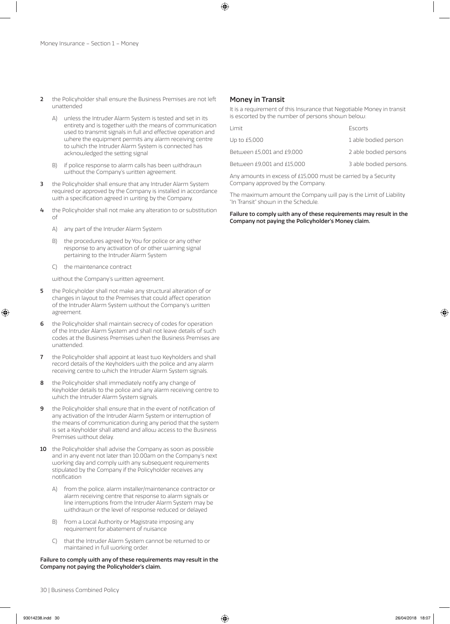- 2 the Policyholder shall ensure the Business Premises are not left unattended
	- A) unless the Intruder Alarm System is tested and set in its entirety and is together with the means of communication used to transmit signals in full and effective operation and where the equipment permits any alarm receiving centre to which the Intruder Alarm System is connected has acknowledged the setting signal
	- B) if police response to alarm calls has been withdrawn without the Company's written agreement.
- 3 the Policyholder shall ensure that any Intruder Alarm System required or approved by the Company is installed in accordance with a specification agreed in writing by the Company.
- 4 the Policyholder shall not make any alteration to or substitution of
	- A) any part of the Intruder Alarm System
	- B) the procedures agreed by You for police or any other response to any activation of or other warning signal pertaining to the Intruder Alarm System
	- C) the maintenance contract

without the Company's written agreement.

- 5 the Policyholder shall not make any structural alteration of or changes in layout to the Premises that could affect operation of the Intruder Alarm System without the Company's written agreement.
- 6 the Policyholder shall maintain secrecy of codes for operation of the Intruder Alarm System and shall not leave details of such codes at the Business Premises when the Business Premises are unattended.
- 7 the Policyholder shall appoint at least two Keyholders and shall record details of the Keyholders with the police and any alarm receiving centre to which the Intruder Alarm System signals.
- 8 the Policyholder shall immediately notify any change of Keyholder details to the police and any alarm receiving centre to which the Intruder Alarm System signals.
- 9 the Policyholder shall ensure that in the event of notification of any activation of the Intruder Alarm System or interruption of the means of communication during any period that the system is set a Keyholder shall attend and allow access to the Business Premises without delay.
- 10 the Policyholder shall advise the Company as soon as possible and in any event not later than 10.00am on the Company's next working day and comply with any subsequent requirements stipulated by the Company if the Policyholder receives any notification
	- A) from the police, alarm installer/maintenance contractor or alarm receiving centre that response to alarm signals or line interruptions from the Intruder Alarm System may be withdrawn or the level of response reduced or delayed
	- B) from a Local Authority or Magistrate imposing any requirement for abatement of nuisance
	- C) that the Intruder Alarm System cannot be returned to or maintained in full working order.

#### Failure to comply with any of these requirements may result in the Company not paying the Policyholder's claim.

#### Money in Transit

It is a requirement of this Insurance that Negotiable Money in transit is escorted by the number of persons shown below:

| Limit                      | Escorts                |
|----------------------------|------------------------|
| Up to £5,000               | 1 able bodied person   |
| Between £5,001 and £9,000  | 2 able bodied persons  |
| Between £9,001 and £15,000 | 3 able bodied persons. |
|                            |                        |

Any amounts in excess of £15,000 must be carried by a Security Company approved by the Company.

The maximum amount the Company will pay is the Limit of Liability "In Transit" shown in the Schedule.

Failure to comply with any of these requirements may result in the Company not paying the Policyholder's Money claim.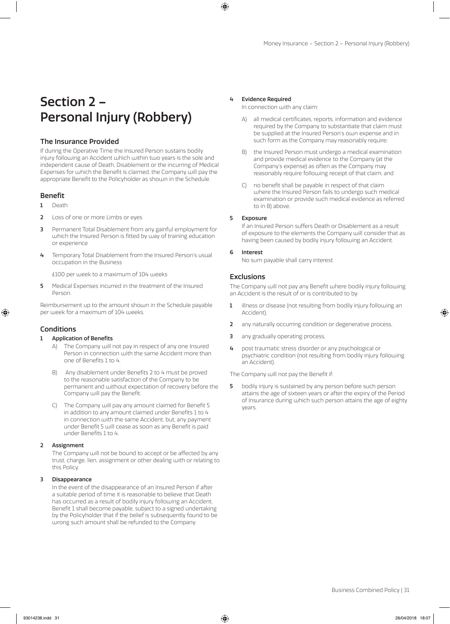# Section 2 – Personal Injury (Robbery)

### The Insurance Provided

If during the Operative Time the Insured Person sustains bodily injury following an Accident which within two years is the sole and independent cause of Death, Disablement or the incurring of Medical Expenses for which the Benefit is claimed, the Company will pay the appropriate Benefit to the Policyholder as shown in the Schedule.

### Benefit

- 1 Death
- 2 Loss of one or more Limbs or eyes
- **3** Permanent Total Disablement from any gainful employment for which the Insured Person is fitted by way of training education or experience
- 4 Temporary Total Disablement from the Insured Person's usual occupation in the Business

£100 per week to a maximum of 104 weeks

5 Medical Expenses incurred in the treatment of the Insured Person.

Reimbursement up to the amount shown in the Schedule payable per week for a maximum of 104 weeks.

# Conditions

#### 1 Application of Benefits

- A) The Company will not pay in respect of any one Insured Person in connection with the same Accident more than one of Benefits 1 to 4.
- B) Any disablement under Benefits 2 to 4 must be proved to the reasonable satisfaction of the Company to be permanent and without expectation of recovery before the Company will pay the Benefit.
- C) The Company will pay any amount claimed for Benefit 5 in addition to any amount claimed under Benefits 1 to 4 in connection with the same Accident, but, any payment under Benefit 5 will cease as soon as any Benefit is paid under Benefits 1 to 4.

#### 2 Assignment

The Company will not be bound to accept or be affected by any trust, charge, lien, assignment or other dealing with or relating to this Policy.

#### 3 Disappearance

In the event of the disappearance of an Insured Person if after a suitable period of time it is reasonable to believe that Death has occurred as a result of bodily injury following an Accident, Benefit 1 shall become payable, subject to a signed undertaking by the Policyholder that if the belief is subsequently found to be wrong such amount shall be refunded to the Company.

#### 4 Evidence Required

In connection with any claim:

- all medical certificates, reports, information and evidence required by the Company to substantiate that claim must be supplied at the Insured Person's own expense and in such form as the Company may reasonably require;
- B) the Insured Person must undergo a medical examination and provide medical evidence to the Company (at the Company's expense) as often as the Company may reasonably require following receipt of that claim; and
- C) no benefit shall be payable in respect of that claim where the Insured Person fails to undergo such medical examination or provide such medical evidence as referred to in B) above.

#### 5 Exposure

If an Insured Person suffers Death or Disablement as a result of exposure to the elements the Company will consider that as having been caused by bodily injury following an Accident.

#### 6 Interest

No sum payable shall carry interest.

#### **Exclusions**

The Company will not pay any Benefit where bodily injury following an Accident is the result of or is contributed to by:

- 1 illness or disease (not resulting from bodily injury following an Accident),
- 2 any naturally occurring condition or degenerative process,
- 3 any gradually operating process
- 4 post traumatic stress disorder or any psychological or psychiatric condition (not resulting from bodily injury following an Accident).

The Company will not pay the Benefit if:

5 bodily injury is sustained by any person before such person attains the age of sixteen years or after the expiry of the Period of Insurance during which such person attains the age of eighty years.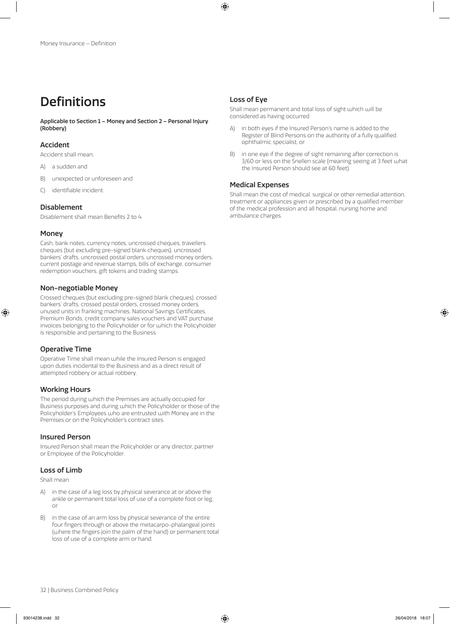# Definitions

Applicable to Section 1 – Money and Section 2 – Personal Injury (Robbery)

### Accident

Accident shall mean;

- A) a sudden and
- B) unexpected or unforeseen and
- C) identifiable incident.

# Disablement

Disablement shall mean Benefits 2 to 4

### Money

Cash, bank notes, currency notes, uncrossed cheques, travellers cheques (but excluding pre-signed blank cheques), uncrossed bankers' drafts, uncrossed postal orders, uncrossed money orders, current postage and revenue stamps, bills of exchange, consumer redemption vouchers, gift tokens and trading stamps.

# Non-negotiable Money

Crossed cheques (but excluding pre-signed blank cheques), crossed bankers' drafts, crossed postal orders, crossed money orders, unused units in franking machines, National Savings Certificates, Premium Bonds, credit company sales vouchers and VAT purchase invoices belonging to the Policyholder or for which the Policyholder is responsible and pertaining to the Business.

# Operative Time

Operative Time shall mean while the Insured Person is engaged upon duties incidental to the Business and as a direct result of attempted robbery or actual robbery.

### Working Hours

The period during which the Premises are actually occupied for Business purposes and during which the Policyholder or those of the Policyholder's Employees who are entrusted with Money are in the Premises or on the Policyholder's contract sites.

### Insured Person

Insured Person shall mean the Policyholder or any director, partner or Employee of the Policyholder.

### Loss of Limb

Shall mean

- A) in the case of a leg loss by physical severance at or above the ankle or permanent total loss of use of a complete foot or leg, or
- B) in the case of an arm loss by physical severance of the entire four fingers through or above the metacarpo-phalangeal joints (where the fingers join the palm of the hand) or permanent total loss of use of a complete arm or hand.

# Loss of Eye

Shall mean permanent and total loss of sight which will be considered as having occurred

- A) in both eyes if the Insured Person's name is added to the Register of Blind Persons on the authority of a fully qualified ophthalmic specialist, or
- B) in one eye if the degree of sight remaining after correction is 3/60 or less on the Snellen scale (meaning seeing at 3 feet what the Insured Person should see at 60 feet).

# Medical Expenses

Shall mean the cost of medical, surgical or other remedial attention, treatment or appliances given or prescribed by a qualified member of the medical profession and all hospital, nursing home and ambulance charges.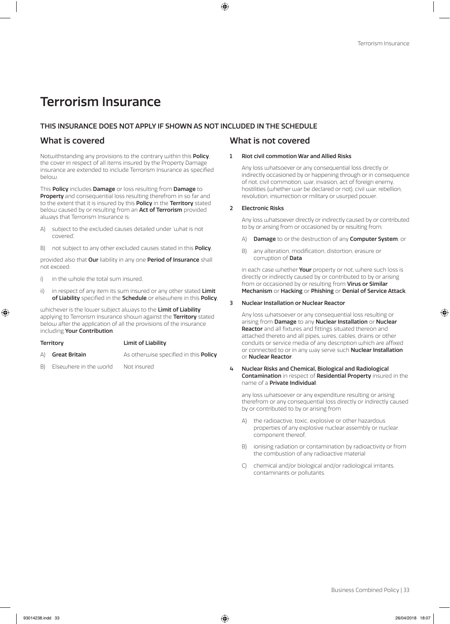# Terrorism Insurance

# THIS INSURANCE DOES NOT APPLY IF SHOWN AS NOT INCLUDED IN THE SCHEDULE

Notwithstanding any provisions to the contrary within this Policy, the cover in respect of all items insured by the Property Damage insurance are extended to include Terrorism Insurance as specified below.

This Policy includes Damage or loss resulting from Damage to Property and consequential loss resulting therefrom in so far and to the extent that it is insured by this **Policy** in the **Territory** stated below caused by or resulting from an **Act of Terrorism** provided always that Terrorism Insurance is:

- A) subject to the excluded causes detailed under 'what is not covered',
- B) not subject to any other excluded causes stated in this **Policy**,

provided also that **Our** liability in any one **Period of Insurance** shall not exceed:

- i) in the whole the total sum insured,
- ii) in respect of any item its sum insured or any other stated Limit of Liability specified in the Schedule or elsewhere in this Policy,

whichever is the lower subject always to the Limit of Liability applying to Terrorism Insurance shown against the Territory stated below after the application of all the provisions of the insurance including Your Contribution.

| <b>Territory</b> |               | <b>Limit of Liability</b>                    |
|------------------|---------------|----------------------------------------------|
| (A)              | Great Britain | As otherwise specified in this <b>Policy</b> |

B) Elsewhere in the world Not insured

# What is covered What is not covered

#### 1 Riot civil commotion War and Allied Risks

Any loss whatsoever or any consequential loss directly or indirectly occasioned by or happening through or in consequence of riot, civil commotion, war, invasion, act of foreign enemy, hostilities (whether war be declared or not), civil war, rebellion, revolution, insurrection or military or usurped power.

#### 2 Electronic Risks

Any loss whatsoever directly or indirectly caused by or contributed to by or arising from or occasioned by or resulting from;

- A) Damage to or the destruction of any Computer System; or
- B) any alteration, modification, distortion, erasure or corruption of Data

in each case whether **Your** property or not, where such loss is directly or indirectly caused by or contributed to by or arising from or occasioned by or resulting from Virus or Similar Mechanism or Hacking or Phishing or Denial of Service Attack.

#### 3 Nuclear Installation or Nuclear Reactor

Any loss whatsoever or any consequential loss resulting or arising from Damage to any Nuclear Installation or Nuclear Reactor and all fixtures and fittings situated thereon and attached thereto and all pipes, wires, cables, drains or other conduits or service media of any description which are affixed or connected to or in any way serve such **Nuclear Installation** or Nuclear Reactor.

4 Nuclear Risks and Chemical, Biological and Radiological Contamination in respect of Residential Property insured in the name of a Private Individual:

any loss whatsoever or any expenditure resulting or arising therefrom or any consequential loss directly or indirectly caused by or contributed to by or arising from

- A) the radioactive, toxic, explosive or other hazardous properties of any explosive nuclear assembly or nuclear component thereof,
- B) ionising radiation or contamination by radioactivity or from the combustion of any radioactive material
- C) chemical and/or biological and/or radiological irritants, contaminants or pollutants.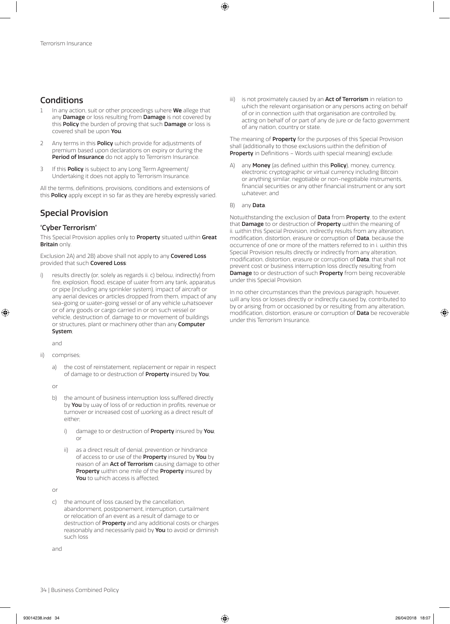# Conditions

- In any action, suit or other proceedings where We allege that any **Damage** or loss resulting from **Damage** is not covered by this **Policy** the burden of proving that such **Damage** or loss is covered shall be upon You.
- 2 Any terms in this **Policy** which provide for adjustments of premium based upon declarations on expiry or during the Period of Insurance do not apply to Terrorism Insurance.
- 3 If this **Policy** is subject to any Long Term Agreement/ Undertaking it does not apply to Terrorism Insurance.

All the terms, definitions, provisions, conditions and extensions of this Policy apply except in so far as they are hereby expressly varied.

# Special Provision

### 'Cyber Terrorism'

This Special Provision applies only to Property situated within Great Britain only.

Exclusion 2A) and 2B) above shall not apply to any **Covered Loss** provided that such Covered Loss:

results directly (or, solely as regards ii. c) below, indirectly) from fire, explosion, flood, escape of water from any tank, apparatus or pipe (including any sprinkler system), impact of aircraft or any aerial devices or articles dropped from them, impact of any sea-going or water-going vessel or of any vehicle whatsoever or of any goods or cargo carried in or on such vessel or vehicle, destruction of, damage to or movement of buildings or structures, plant or machinery other than any **Computer** System;

and

- ii) comprises;
	- the cost of reinstatement, replacement or repair in respect of damage to or destruction of **Property** insured by You;

or

- b) the amount of business interruption loss suffered directly by You by way of loss of or reduction in profits, revenue or turnover or increased cost of working as a direct result of either;
	- i) damage to or destruction of **Property** insured by You; or
	- as a direct result of denial, prevention or hindrance of access to or use of the **Property** insured by **You** by reason of an **Act of Terrorism** causing damage to other Property within one mile of the Property insured by You to which access is affected;

or

c) the amount of loss caused by the cancellation, abandonment, postponement, interruption, curtailment or relocation of an event as a result of damage to or destruction of **Property** and any additional costs or charges reasonably and necessarily paid by You to avoid or diminish such loss

and

iii) is not proximately caused by an Act of Terrorism in relation to which the relevant organisation or any persons acting on behalf of or in connection with that organisation are controlled by, acting on behalf of or part of any de jure or de facto government of any nation, country or state.

The meaning of **Property** for the purposes of this Special Provision shall (additionally to those exclusions within the definition of Property in Definitions - Words with special meaning) exclude:

A) any **Money** (as defined within this **Policy**), money, currency, electronic cryptographic or virtual currency including Bitcoin or anything similar, negotiable or non-negotiable instruments, financial securities or any other financial instrument or any sort juhatever; and

#### B) any Data.

Notwithstanding the exclusion of Data from Property, to the extent that **Damage** to or destruction of **Property** within the meaning of ii. within this Special Provision, indirectly results from any alteration, modification, distortion, erasure or corruption of Data, because the occurrence of one or more of the matters referred to in i. within this Special Provision results directly or indirectly from any alteration, modification, distortion, erasure or corruption of Data, that shall not prevent cost or business interruption loss directly resulting from Damage to or destruction of such Property from being recoverable under this Special Provision.

In no other circumstances than the previous paragraph, however, will any loss or losses directly or indirectly caused by, contributed to by or arising from or occasioned by or resulting from any alteration, modification, distortion, erasure or corruption of Data be recoverable under this Terrorism Insurance.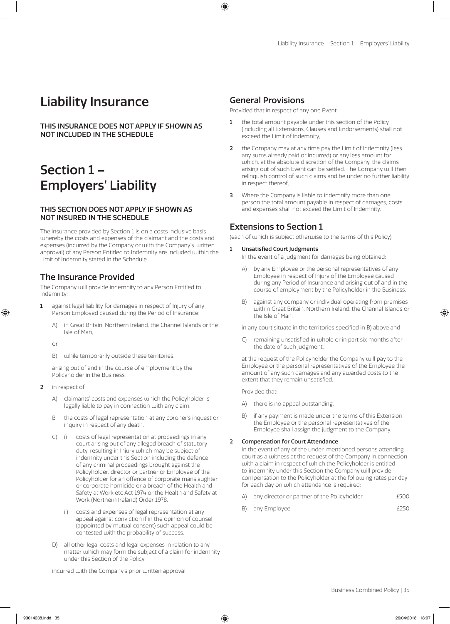# Liability Insurance

THIS INSURANCE DOES NOT APPLY IF SHOWN AS NOT INCLUDED IN THE SCHEDULE

# Section 1 – Employers' Liability

## THIS SECTION DOES NOT APPLY IF SHOWN AS NOT INSURED IN THE SCHEDULE

The insurance provided by Section 1 is on a costs inclusive basis whereby the costs and expenses of the claimant and the costs and expenses (incurred by the Company or with the Company's written approval) of any Person Entitled to Indemnity are included within the Limit of Indemnity stated in the Schedule

# The Insurance Provided

The Company will provide indemnity to any Person Entitled to Indemnity:

- 1 against legal liability for damages in respect of Injury of any Person Employed caused during the Period of Insurance:
	- A) in Great Britain, Northern Ireland, the Channel Islands or the Isle of Man,
	- or
	- B) while temporarily outside these territories,

arising out of and in the course of employment by the Policyholder in the Business.

- 2 in respect of:
	- A) claimants' costs and expenses which the Policyholder is legally liable to pay in connection with any claim,
	- B the costs of legal representation at any coroner's inquest or inquiry in respect of any death.
	- C) i) costs of legal representation at proceedings in any court arising out of any alleged breach of statutory duty, resulting in Injury which may be subject of indemnity under this Section including the defence of any criminal proceedings brought against the Policyholder, director or partner or Employee of the Policyholder for an offence of corporate manslaughter or corporate homicide or a breach of the Health and Safety at Work etc Act 1974 or the Health and Safety at Work (Northern Ireland) Order 1978.
		- ii) costs and expenses of legal representation at any appeal against conviction if in the opinion of counsel (appointed by mutual consent) such appeal could be contested with the probability of success.
	- D) all other legal costs and legal expenses in relation to any matter which may form the subject of a claim for indemnity under this Section of the Policy,

incurred with the Company's prior written approval.

# General Provisions

Provided that in respect of any one Event:

- 1 the total amount payable under this section of the Policy (including all Extensions, Clauses and Endorsements) shall not exceed the Limit of Indemnity,
- 2 the Company may at any time pay the Limit of Indemnity (less any sums already paid or incurred) or any less amount for which, at the absolute discretion of the Company, the claims arising out of such Event can be settled. The Company will then relinquish control of such claims and be under no further liability in respect thereof,
- 3 Where the Company is liable to indemnify more than one person the total amount payable in respect of damages, costs and expenses shall not exceed the Limit of Indemnity.

# Extensions to Section 1

(each of which is subject otherwise to the terms of this Policy)

1 Unsatisfied Court Judgments

In the event of a judgment for damages being obtained:

- A) by any Employee or the personal representatives of any Employee in respect of Injury of the Employee caused during any Period of Insurance and arising out of and in the course of employment by the Policyholder in the Business,
- B) against any company or individual operating from premises within Great Britain, Northern Ireland, the Channel Islands or the Isle of Man,

in any court situate in the territories specified in B) above and

C) remaining unsatisfied in whole or in part six months after the date of such judgment,

at the request of the Policyholder the Company will pay to the Employee or the personal representatives of the Employee the amount of any such damages and any awarded costs to the extent that they remain unsatisfied.

Provided that:

- A) there is no appeal outstanding,
- B) if any payment is made under the terms of this Extension the Employee or the personal representatives of the Employee shall assign the judgment to the Company.

### 2 Compensation for Court Attendance

In the event of any of the under-mentioned persons attending court as a witness at the request of the Company in connection with a claim in respect of which the Policyholder is entitled to indemnity under this Section the Company will provide compensation to the Policyholder at the following rates per day for each day on which attendance is required:

- A) any director or partner of the Policyholder  $£500$
- B) any Employee **EXECUTE EXECUTE:** EXECUTE EXECUTE EXECUTE EXECUTE EXECUTE EXECUTE EXECUTE EXECUTE EXECUTE EXECUTE EXECUTE EXECUTE EXECUTE EXECUTE EXECUTE EXECUTE EXECUTE EXECUTE EXECUTE EXECUTE EXECUTE EXECUTE EXECUTE EXE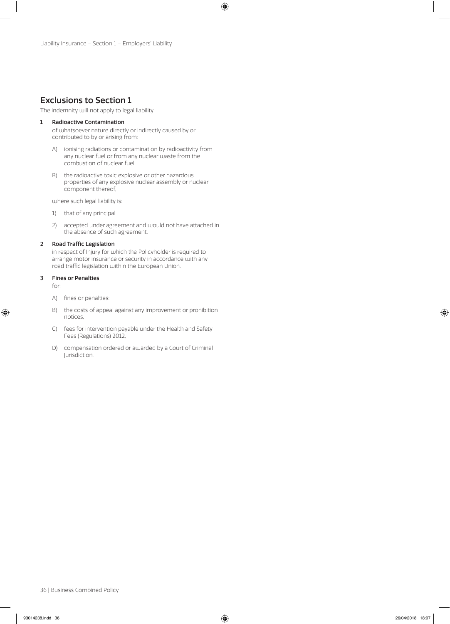# Exclusions to Section 1

The indemnity will not apply to legal liability:

### 1 Radioactive Contamination

of whatsoever nature directly or indirectly caused by or contributed to by or arising from:

- A) ionising radiations or contamination by radioactivity from any nuclear fuel or from any nuclear waste from the combustion of nuclear fuel,
- B) the radioactive toxic explosive or other hazardous properties of any explosive nuclear assembly or nuclear component thereof,

where such legal liability is:

- 1) that of any principal
- 2) accepted under agreement and would not have attached in the absence of such agreement.

### 2 Road Traffic Legislation

in respect of Injury for which the Policyholder is required to arrange motor insurance or security in accordance with any road traffic legislation within the European Union.

### 3 Fines or Penalties

for:

- A) fines or penalties:
- B) the costs of appeal against any improvement or prohibition notices,
- C) fees for intervention payable under the Health and Safety Fees (Regulations) 2012,
- D) compensation ordered or awarded by a Court of Criminal Jurisdiction.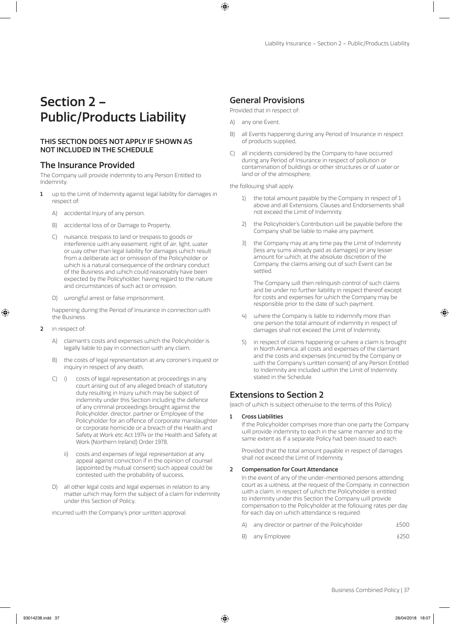# Section 2 – Public/Products Liability

## THIS SECTION DOES NOT APPLY IF SHOWN AS NOT INCLUDED IN THE SCHEDULE

# The Insurance Provided

The Company will provide indemnity to any Person Entitled to Indemnity:

- 1 up to the Limit of Indemnity against legal liability for damages in respect of:
	- A) accidental Injury of any person,
	- B) accidental loss of or Damage to Property,
	- C) nuisance, trespass to land or trespass to goods or interference with any easement, right of air, light, water or way other than legal liability for damages which result from a deliberate act or omission of the Policyholder or which is a natural consequence of the ordinary conduct of the Business and which could reasonably have been expected by the Policyholder, having regard to the nature and circumstances of such act or omission,
	- D) wrongful arrest or false imprisonment,

happening during the Period of Insurance in connection with the Business.

- 2 in respect of:
	- A) claimant's costs and expenses which the Policyholder is legally liable to pay in connection with any claim,
	- B) the costs of legal representation at any coroner's inquest or inquiry in respect of any death,
	- C) i) costs of legal representation at proceedings in any court arising out of any alleged breach of statutory duty resulting in Injury which may be subject of indemnity under this Section including the defence of any criminal proceedings brought against the Policyholder, director, partner or Employee of the Policyholder for an offence of corporate manslaughter or corporate homicide or a breach of the Health and Safety at Work etc Act 1974 or the Health and Safety at Work (Northern Ireland) Order 1978,
		- ii) costs and expenses of legal representation at any appeal against conviction if in the opinion of counsel (appointed by mutual consent) such appeal could be contested with the probability of success,
	- D) all other legal costs and legal expenses in relation to any matter which may form the subject of a claim for indemnity under this Section of Policy,

incurred with the Company's prior written approval.

# General Provisions

Provided that in respect of:

- A) any one Event,
- B) all Events happening during any Period of Insurance in respect of products supplied,
- C) all incidents considered by the Company to have occurred during any Period of Insurance in respect of pollution or contamination of buildings or other structures or of water or land or of the atmosphere,

the following shall apply:

- 1) the total amount payable by the Company in respect of 1 above and all Extensions, Clauses and Endorsements shall not exceed the Limit of Indemnity.
- 2) the Policyholder's Contribution will be payable before the Company shall be liable to make any payment.
- 3) the Company may at any time pay the Limit of Indemnity (less any sums already paid as damages) or any lesser amount for which, at the absolute discretion of the Company, the claims arising out of such Event can be settled.

The Company will then relinquish control of such claims and be under no further liability in respect thereof except for costs and expenses for which the Company may be responsible prior to the date of such payment.

- 4) where the Company is liable to indemnify more than one person the total amount of indemnity in respect of damages shall not exceed the Limit of Indemnity.
- 5) in respect of claims happening or where a claim is brought in North America, all costs and expenses of the claimant and the costs and expenses (incurred by the Company or with the Company's written consent) of any Person Entitled to Indemnity are included within the Limit of Indemnity stated in the Schedule.

# Extensions to Section 2

(each of which is subject otherwise to the terms of this Policy)

### 1 Cross Liabilities

If the Policyholder comprises more than one party the Company will provide indemnity to each in the same manner and to the same extent as if a separate Policy had been issued to each:

Provided that the total amount payable in respect of damages shall not exceed the Limit of Indemnity.

### 2 Compensation for Court Attendance

In the event of any of the under-mentioned persons attending court as a witness, at the request of the Company, in connection with a claim, in respect of which the Policyholder is entitled to indemnity under this Section the Company will provide compensation to the Policyholder at the following rates per day for each day on which attendance is required:

- A) any director or partner of the Policyholder  $£500$
- B) any Employee  $\epsilon$  250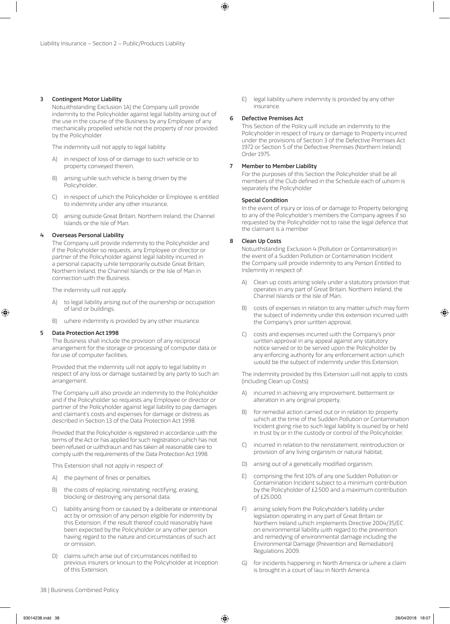### 3 Contingent Motor Liability

Notwithstanding Exclusion 1A) the Company will provide indemnity to the Policyholder against legal liability arising out of the use in the course of the Business by any Employee of any mechanically propelled vehicle not the property of nor provided by the Policyholder.

The indemnity will not apply to legal liability:

- A) in respect of loss of or damage to such vehicle or to property conveyed therein,
- B) arising while such vehicle is being driven by the Policyholder,
- C) in respect of which the Policyholder or Employee is entitled to indemnity under any other insurance,
- D) arising outside Great Britain, Northern Ireland, the Channel Islands or the Isle of Man.

### 4 Overseas Personal Liability

The Company will provide indemnity to the Policyholder and if the Policyholder so requests, any Employee or director or partner of the Policyholder against legal liability incurred in a personal capacity while temporarily outside Great Britain, Northern Ireland, the Channel Islands or the Isle of Man in connection with the Business.

The indemnity will not apply:

- A) to legal liability arising out of the ownership or occupation of land or buildings,
- B) where indemnity is provided by any other insurance.

#### 5 Data Protection Act 1998

The Business shall include the provision of any reciprocal arrangement for the storage or processing of computer data or for use of computer facilities;

Provided that the indemnity will not apply to legal liability in respect of any loss or damage sustained by any party to such an arrangement.

The Company will also provide an indemnity to the Policyholder and if the Policyholder so requests any Employee or director or partner of the Policyholder against legal liability to pay damages and claimant's costs and expenses for damage or distress as described in Section 13 of the Data Protection Act 1998.

Provided that the Policyholder is registered in accordance with the terms of the Act or has applied for such registration which has not been refused or withdrawn and has taken all reasonable care to comply with the requirements of the Data Protection Act 1998.

This Extension shall not apply in respect of:

- A) the payment of fines or penalties,
- B) the costs of replacing, reinstating, rectifying, erasing, blocking or destroying any personal data,
- C) liability arising from or caused by a deliberate or intentional act by or omission of any person eligible for indemnity by this Extension, if the result thereof could reasonably have been expected by the Policyholder or any other person having regard to the nature and circumstances of such act or omission,
- D) claims which arise out of circumstances notified to previous insurers or known to the Policyholder at inception of this Extension,

E) legal liability where indemnity is provided by any other insurance.

### 6 Defective Premises Act

This Section of the Policy will include an indemnity to the Policyholder in respect of Injury or damage to Property incurred under the provisions of Section 3 of the Defective Premises Act 1972 or Section 5 of the Defective Premises (Northern Ireland) Order 1975.

#### 7 Member to Member Liability

For the purposes of this Section the Policyholder shall be all members of the Club defined in the Schedule each of whom is separately the Policyholder

#### Special Condition

In the event of injury or loss of or damage to Property belonging to any of the Policyholder's members the Company agrees if so requested by the Policyholder not to raise the legal defence that the claimant is a member

### 8 Clean Up Costs

Notwithstanding Exclusion 4 (Pollution or Contamination) in the event of a Sudden Pollution or Contamination Incident the Company will provide indemnity to any Person Entitled to Indemnity in respect of:

- A) Clean up costs arising solely under a statutory provision that operates in any part of Great Britain, Northern Ireland, the Channel Islands or the Isle of Man,
- B) costs of expenses in relation to any matter which may form the subject of indemnity under this extension incurred with the Company's prior written approval,
- C) costs and expenses incurred with the Company's prior written approval in any appeal against any statutory notice served or to be served upon the Policyholder by any enforcing authority for any enforcement action which would be the subject of indemnity under this Extension.

The indemnity provided by this Extension will not apply to costs (including Clean up Costs):

- A) incurred in achieving any improvement, betterment or alteration in any original property,
- B) for remedial action carried out or in relation to property which at the time of the Sudden Pollution or Contamination Incident giving rise to such legal liability is owned by or held in trust by or in the custody or control of the Policyholder,
- C) incurred in relation to the reinstatement, reintroduction or provision of any living organism or natural habitat,
- D) arising out of a genetically modified organism,
- E) comprising the first 10% of any one Sudden Pollution or Contamination Incident subject to a minimum contribution by the Policyholder of £2,500 and a maximum contribution of £25,000,
- F) arising solely from the Policyholder's liability under legislation operating in any part of Great Britain or Northern Ireland which implements Directive 2004/35/EC on environmental liability with regard to the prevention and remedying of environmental damage including the Environmental Damage (Prevention and Remediation) Regulations 2009,
- G) for incidents happening in North America or where a claim is brought in a court of law in North America.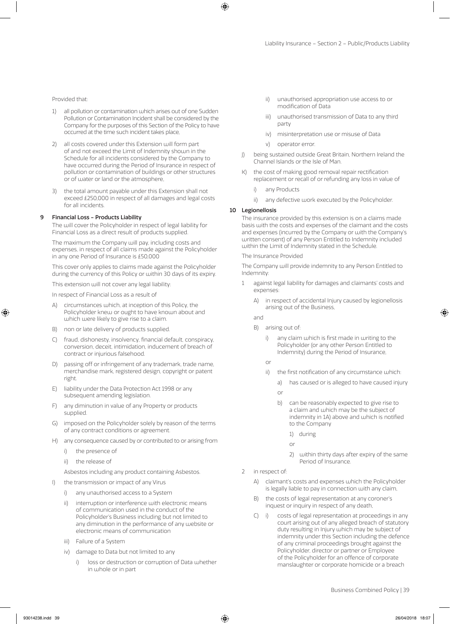### Provided that:

- 1) all pollution or contamination which arises out of one Sudden Pollution or Contamination Incident shall be considered by the Company for the purposes of this Section of the Policy to have occurred at the time such incident takes place,
- 2) all costs covered under this Extension will form part of and not exceed the Limit of Indemnity shown in the Schedule for all incidents considered by the Company to have occurred during the Period of Insurance in respect of pollution or contamination of buildings or other structures or of water or land or the atmosphere,
- 3) the total amount payable under this Extension shall not exceed £250,000 in respect of all damages and legal costs for all incidents.

#### 9 Financial Loss - Products Liability

The will cover the Policyholder in respect of legal liability for Financial Loss as a direct result of products supplied.

The maximum the Company will pay, including costs and expenses, in respect of all claims made against the Policyholder in any one Period of Insurance is £50,000

This cover only applies to claims made against the Policyholder during the currency of this Policy or within 30 days of its expiry.

This extension will not cover any legal liability:

In respect of Financial Loss as a result of

- A) circumstances which, at inception of this Policy, the Policyholder knew or ought to have known about and which were likely to give rise to a claim.
- B) non or late delivery of products supplied.
- C) fraud, dishonesty, insolvency, financial default, conspiracy, conversion, deceit, intimidation, inducement of breach of contract or injurious falsehood.
- D) passing off or infringement of any trademark, trade name, merchandise mark, registered design, copyright or patent right.
- E) liability under the Data Protection Act 1998 or any subsequent amending legislation.
- F) any diminution in value of any Property or products supplied.
- G) imposed on the Policyholder solely by reason of the terms of any contract conditions or agreement.
- H) any consequence caused by or contributed to or arising from
	- i) the presence of
	- ii) the release of

Asbestos including any product containing Asbestos.

- I) the transmission or impact of any Virus
	- i) any unauthorised access to a System
	- ii) interruption or interference with electronic means of communication used in the conduct of the Policyholder's Business including but not limited to any diminution in the performance of any website or electronic means of communication
	- iii) Failure of a System
	- iv) damage to Data but not limited to any
		- i) loss or destruction or corruption of Data whether in whole or in part
- ii) unauthorised appropriation use access to or modification of Data
- iii) unauthorised transmission of Data to any third party
- iv) misinterpretation use or misuse of Data
- v) operator error.
- J) being sustained outside Great Britain, Northern Ireland the Channel Islands or the Isle of Man.
- K) the cost of making good removal repair rectification replacement or recall of or refunding any loss in value of
	- i) any Products
	- ii) any defective work executed by the Policyholder.

### 10 Legionellosis

The insurance provided by this extension is on a claims made basis with the costs and expenses of the claimant and the costs and expenses (incurred by the Company or with the Company's written consent) of any Person Entitled to Indemnity included within the Limit of Indemnity stated in the Schedule.

The Insurance Provided

The Company will provide indemnity to any Person Entitled to Indemnity:

- 1 against legal liability for damages and claimants' costs and expenses:
	- in respect of accidental Injury caused by legionellosis arising out of the Business,

and

- B) arising out of:
	- i) any claim which is first made in writing to the Policyholder (or any other Person Entitled to Indemnity) during the Period of Insurance,

or

- ii) the first notification of any circumstance which:
	- a) has caused or is alleged to have caused injury

or

- b) can be reasonably expected to give rise to a claim and which may be the subject of indemnity in 1A) above and which is notified to the Company
	- 1) during

or

- 2) within thirty days after expiry of the same Period of Insurance.
- 2 in respect of:
	- A) claimant's costs and expenses which the Policyholder is legally liable to pay in connection with any claim,
	- B) the costs of legal representation at any coroner's inquest or inquiry in respect of any death,
	- C) i) costs of legal representation at proceedings in any court arising out of any alleged breach of statutory duty resulting in Injury which may be subject of indemnity under this Section including the defence of any criminal proceedings brought against the Policyholder, director or partner or Employee of the Policyholder for an offence of corporate manslaughter or corporate homicide or a breach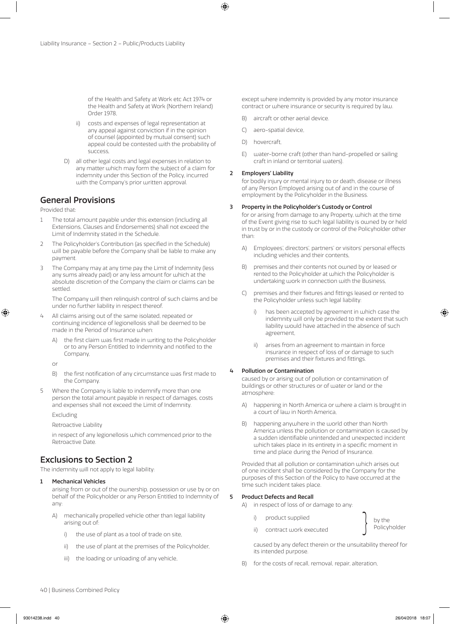of the Health and Safety at Work etc Act 1974 or the Health and Safety at Work (Northern Ireland) Order 1978,

- ii) costs and expenses of legal representation at any appeal against conviction if in the opinion of counsel (appointed by mutual consent) such appeal could be contested with the probability of success,
- D) all other legal costs and legal expenses in relation to any matter which may form the subject of a claim for indemnity under this Section of the Policy, incurred with the Company's prior written approval.

# General Provisions

Provided that:

- 1 The total amount payable under this extension (including all Extensions, Clauses and Endorsements) shall not exceed the Limit of Indemnity stated in the Schedule.
- 2 The Policyholder's Contribution (as specified in the Schedule) will be payable before the Company shall be liable to make any payment.
- 3 The Company may at any time pay the Limit of Indemnity (less any sums already paid) or any less amount for which at the absolute discretion of the Company the claim or claims can be settled.

The Company will then relinquish control of such claims and be under no further liability in respect thereof.

- 4 All claims arising out of the same isolated, repeated or continuing incidence of legionellosis shall be deemed to be made in the Period of Insurance when:
	- the first claim was first made in writing to the Policyholder or to any Person Entitled to Indemnity and notified to the Company,

or

- B) the first notification of any circumstance was first made to the Company.
- 5 Where the Company is liable to indemnify more than one person the total amount payable in respect of damages, costs and expenses shall not exceed the Limit of Indemnity.

Excluding

Retroactive Liability

in respect of any legionellosis which commenced prior to the Retroactive Date.

# Exclusions to Section 2

The indemnity will not apply to legal liability:

### 1 Mechanical Vehicles

arising from or out of the ownership, possession or use by or on behalf of the Policyholder or any Person Entitled to Indemnity of any:

- A) mechanically propelled vehicle other than legal liability arising out of:
	- i) the use of plant as a tool of trade on site,
	- ii) the use of plant at the premises of the Policyholder,
	- iii) the loading or unloading of any vehicle,

except where indemnity is provided by any motor insurance contract or where insurance or security is required by law.

- B) aircraft or other aerial device.
- C) aero-spatial device,
- D) hovercraft,
- E) water-borne craft (other than hand-propelled or sailing craft in inland or territorial waters).

### 2 Employers' Liability

for bodily injury or mental injury to or death, disease or illness of any Person Employed arising out of and in the course of employment by the Policyholder in the Business.

### 3 Property in the Policyholder's Custody or Control

for or arising from damage to any Property, which at the time of the Event giving rise to such legal liability is owned by or held in trust by or in the custody or control of the Policyholder other than:

- A) Employees', directors', partners' or visitors' personal effects including vehicles and their contents,
- B) premises and their contents not owned by or leased or rented to the Policyholder at which the Policyholder is undertaking work in connection with the Business,
- C) premises and their fixtures and fittings leased or rented to the Policyholder unless such legal liability:
	- i) has been accepted by agreement in which case the indemnity will only be provided to the extent that such liability would have attached in the absence of such agreement,
	- ii) arises from an agreement to maintain in force insurance in respect of loss of or damage to such premises and their fixtures and fittings.

### 4 Pollution or Contamination

caused by or arising out of pollution or contamination of buildings or other structures or of water or land or the atmosphere:

- A) happening in North America or where a claim is brought in a court of law in North America,
- B) happening anywhere in the world other than North America unless the pollution or contamination is caused by a sudden identifiable unintended and unexpected incident which takes place in its entirety in a specific moment in time and place during the Period of Insurance.

Provided that all pollution or contamination which arises out of one incident shall be considered by the Company for the purposes of this Section of the Policy to have occurred at the time such incident takes place.

### 5 Product Defects and Recall

- A) in respect of loss of or damage to any:
	-
	-

i) product supplied by the by the by the by the supplied the secured by the secure  $\left\{\begin{array}{cc} \text{by the} \end{array}\right.$ 

- caused by any defect therein or the unsuitability thereof for its intended purpose.
- B) for the costs of recall, removal, repair, alteration,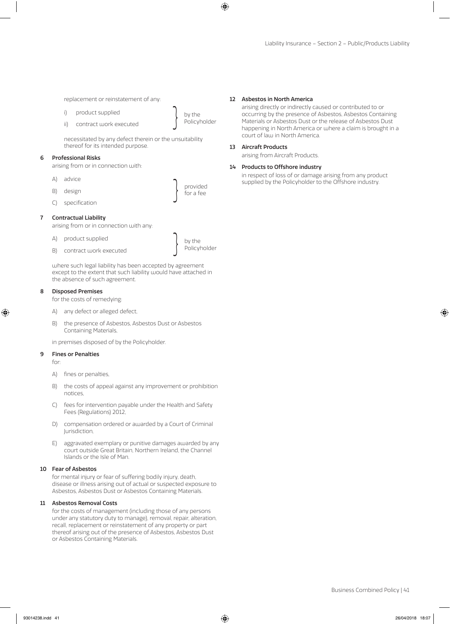replacement or reinstatement of any:

- 
- i) product supplied by the by the by the by the same of the secured by the secure  $\left\{\begin{array}{cc} \text{by the} \end{array}\right.$

necessitated by any defect therein or the unsuitability thereof for its intended purpose.

#### 6 Professional Risks

arising from or in connection with:

- A) advice
- B) design a set of the set of the set of the set of the set of the set of the set of the set of the set of the set of the set of the set of the set of the set of the set of the set of the set of the set of the set of the s
- C) specification

### 7 Contractual Liability

arising from or in connection with any:

- 
- A) product supplied by the by the by the secured by the secured by the secured by the secured by the secured by  $\left\{\begin{array}{c} p \text{ is a positive number, and the number of vertices in the image.} \end{array}\right\}$

provided<br>for a fee

where such legal liability has been accepted by agreement except to the extent that such liability would have attached in the absence of such agreement.

### 8 Disposed Premises

for the costs of remedying:

- A) any defect or alleged defect,
- B) the presence of Asbestos, Asbestos Dust or Asbestos Containing Materials,

in premises disposed of by the Policyholder.

### 9 Fines or Penalties

for:

- A) fines or penalties,
- B) the costs of appeal against any improvement or prohibition notices,
- C) fees for intervention payable under the Health and Safety Fees (Regulations) 2012,
- D) compensation ordered or awarded by a Court of Criminal Jurisdiction,
- E) aggravated exemplary or punitive damages awarded by any court outside Great Britain, Northern Ireland, the Channel Islands or the Isle of Man.

#### 10 Fear of Asbestos

for mental injury or fear of suffering bodily injury, death, disease or illness arising out of actual or suspected exposure to Asbestos, Asbestos Dust or Asbestos Containing Materials.

### 11 Asbestos Removal Costs

for the costs of management (including those of any persons under any statutory duty to manage), removal, repair, alteration, recall, replacement or reinstatement of any property or part thereof arising out of the presence of Asbestos, Asbestos Dust or Asbestos Containing Materials.

#### 12 Asbestos in North America

arising directly or indirectly caused or contributed to or occurring by the presence of Asbestos, Asbestos Containing Materials or Asbestos Dust or the release of Asbestos Dust happening in North America or where a claim is brought in a court of law in North America.

### 13 Aircraft Products

arising from Aircraft Products.

### 14 Products to Offshore industry

in respect of loss of or damage arising from any product supplied by the Policyholder to the Offshore industry.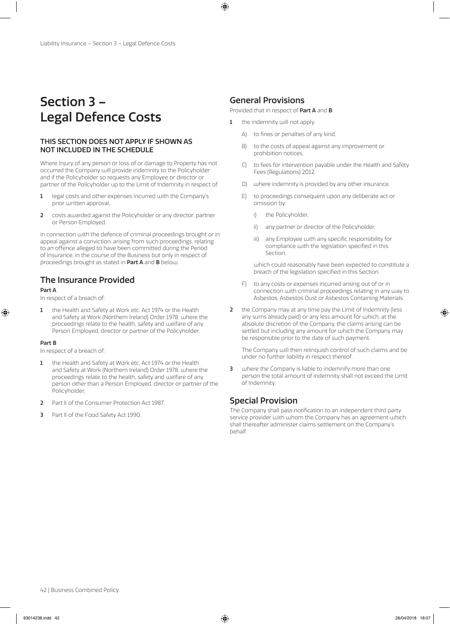# Section 3 – Legal Defence Costs

## THIS SECTION DOES NOT APPLY IF SHOWN AS NOT INCLUDED IN THE SCHEDULE

Where Injury of any person or loss of or damage to Property has not occurred the Company will provide indemnity to the Policyholder and if the Policyholder so requests any Employee or director or partner of the Policyholder up to the Limit of Indemnity in respect of:

- 1 legal costs and other expenses incurred with the Company's prior written approval,
- 2 costs awarded against the Policyholder or any director, partner or Person Employed,

in connection with the defence of criminal proceedings brought or in appeal against a conviction, arising from such proceedings, relating to an offence alleged to have been committed during the Period of Insurance, in the course of the Business but only in respect of proceedings brought as stated in Part A and B below.

# The Insurance Provided

### Part A

In respect of a breach of:

1 the Health and Safety at Work etc. Act 1974 or the Health and Safety at Work (Northern Ireland) Order 1978, where the proceedings relate to the health, safety and welfare of any Person Employed, director or partner of the Policyholder.

### Part B

In respect of a breach of:

- 1 the Health and Safety at Work etc. Act 1974 or the Health and Safety at Work (Northern Ireland) Order 1978, where the proceedings relate to the health, safety and welfare of any person other than a Person Employed, director or partner of the Policyholder,
- 2 Part II of the Consumer Protection Act 1987,
- 3 Part II of the Food Safety Act 1990.

# General Provisions

Provided that in respect of Part A and B:

- 1 the indemnity will not apply:
	- A) to fines or penalties of any kind,
	- B) to the costs of appeal against any improvement or prohibition notices,
	- C) to fees for intervention payable under the Health and Safety Fees (Regulations) 2012,
	- D) where indemnity is provided by any other insurance,
	- E) to proceedings consequent upon any deliberate act or omission by:
		- i) the Policyholder,
		- ii) any partner or director of the Policyholder,
		- iii) any Employee with any specific responsibility for compliance with the legislation specified in this Section,

which could reasonably have been expected to constitute a breach of the legislation specified in this Section.

- F) to any costs or expenses incurred arising out of or in connection with criminal proceedings relating in any way to Asbestos, Asbestos Dust or Asbestos Containing Materials.
- 2 the Company may at any time pay the Limit of Indemnity (less any sums already paid) or any less amount for which, at the absolute discretion of the Company, the claims arising can be settled but including any amount for which the Company may be responsible prior to the date of such payment.

The Company will then relinquish control of such claims and be under no further liability in respect thereof.

3 where the Company is liable to indemnify more than one person the total amount of indemnity shall not exceed the Limit of Indemnity.

# Special Provision

The Company shall pass notification to an independent third party service provider with whom the Company has an agreement which shall thereafter administer claims settlement on the Company's behalf.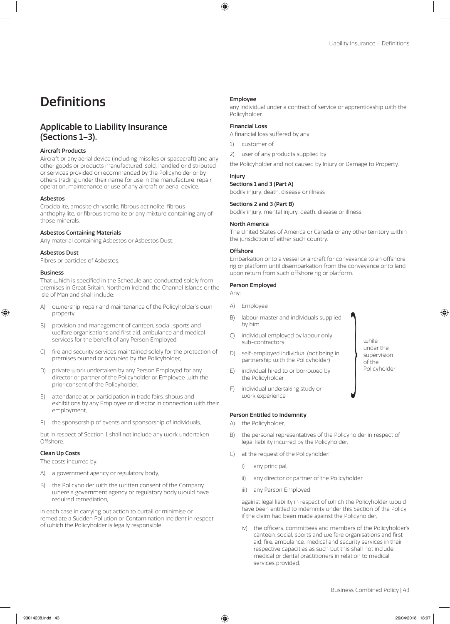# Definitions

# Applicable to Liability Insurance (Sections 1–3).

### Aircraft Products

Aircraft or any aerial device (including missiles or spacecraft) and any other goods or products manufactured, sold, handled or distributed or services provided or recommended by the Policyholder or by others trading under their name for use in the manufacture, repair, operation, maintenance or use of any aircraft or aerial device.

### Asbestos

Crocidolite, amosite chrysotile, fibrous actinolite, fibrous anthophyllite, or fibrous tremolite or any mixture containing any of those minerals.

### Asbestos Containing Materials

Any material containing Asbestos or Asbestos Dust.

### Asbestos Dust

Fibres or particles of Asbestos.

### Business

That which is specified in the Schedule and conducted solely from premises in Great Britain, Northern Ireland, the Channel Islands or the Isle of Man and shall include:

- A) ownership, repair and maintenance of the Policyholder's own property,
- B) provision and management of canteen, social, sports and welfare organisations and first aid, ambulance and medical services for the benefit of any Person Employed,
- C) fire and security services maintained solely for the protection of premises owned or occupied by the Policyholder,
- D) private work undertaken by any Person Employed for any director or partner of the Policyholder or Employee with the prior consent of the Policyholder,
- E) attendance at or participation in trade fairs, shows and exhibitions by any Employee or director in connection with their employment,
- F) the sponsorship of events and sponsorship of individuals,

but in respect of Section 1 shall not include any work undertaken **Offshore** 

### Clean Up Costs

The costs incurred by:

- A) a government agency or regulatory body,
- B) the Policyholder with the written consent of the Company where a government agency or regulatory body would have required remediation,

in each case in carrying out action to curtail or minimise or remediate a Sudden Pollution or Contamination Incident in respect of which the Policyholder is legally responsible.

### Employee

any individual under a contract of service or apprenticeship with the Policyholder.

### Financial Loss

A financial loss suffered by any

- 1) customer of
- 2) user of any products supplied by

the Policyholder and not caused by Injury or Damage to Property.

### Injury

Sections 1 and 3 (Part A)

bodily injury, death, disease or illness

### Sections 2 and 3 (Part B)

bodily injury, mental injury, death, disease or illness

### North America

The United States of America or Canada or any other territory within the jurisdiction of either such country.

### **Offshore**

Embarkation onto a vessel or aircraft for conveyance to an offshore rig or platform until disembarkation from the conveyance onto land upon return from such offshore rig or platform.

### Person Employed

Any:

- A) Employee
- B) labour master and individuals supplied by him
- C) individual employed by labour only sub-contractors
- D) self-employed individual (not being in partnership with the Policyholder)
- E) individual hired to or borrowed by the Policyholder
- F) individual undertaking study or work experience

### Person Entitled to Indemnity

- A) the Policyholder,
- B) the personal representatives of the Policyholder in respect of legal liability incurred by the Policyholder,
- C) at the request of the Policyholder:
	- i) any principal,
	- ii) any director or partner of the Policyholder,
	- iii) any Person Employed,

against legal liability in respect of which the Policyholder would have been entitled to indemnity under this Section of the Policy if the claim had been made against the Policyholder,

iv) the officers, committees and members of the Policyholder's canteen, social, sports and welfare organisations and first aid, fire, ambulance, medical and security services in their respective capacities as such but this shall not include medical or dental practitioners in relation to medical services provided,

while<br>
under<br>
super<br>
of the<br>
Policy<br>
Policy

under the supervision of the Policyholder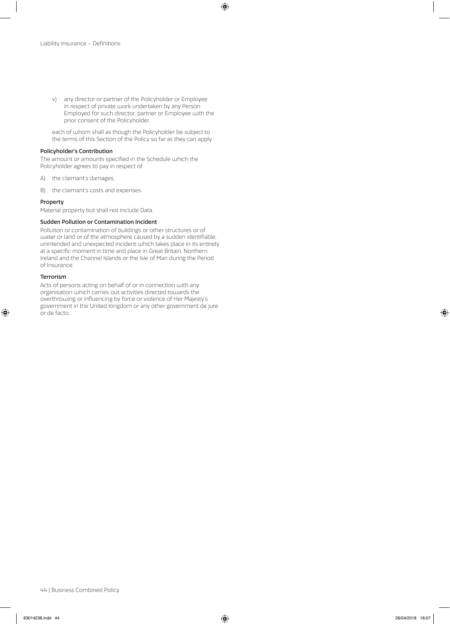v) any director or partner of the Policyholder or Employee in respect of private work undertaken by any Person Employed for such director, partner or Employee with the prior consent of the Policyholder,

each of whom shall as though the Policyholder be subject to the terms of this Section of the Policy so far as they can apply.

### Policyholder's Contribution

The amount or amounts specified in the Schedule which the Policyholder agrees to pay in respect of:

- A) the claimant's damages,
- B) the claimant's costs and expenses.

### Property

Material property but shall not include Data.

### Sudden Pollution or Contamination Incident

Pollution or contamination of buildings or other structures or of water or land or of the atmosphere caused by a sudden identifiable, unintended and unexpected incident which takes place in its entirety at a specific moment in time and place in Great Britain, Northern Ireland and the Channel Islands or the Isle of Man during the Period of Insurance.

### Terrorism

Acts of persons acting on behalf of or in connection with any organisation which carries out activities directed towards the overthrowing or influencing by force or violence of Her Majesty's government in the United Kingdom or any other government de jure or de facto.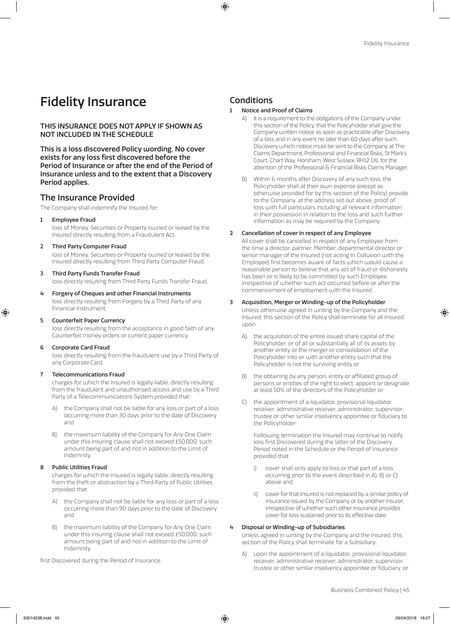# Fidelity Insurance

THIS INSURANCE DOES NOT APPLY IF SHOWN AS NOT INCLUDED IN THE SCHEDULE

This is a loss discovered Policy wording. No cover exists for any loss first discovered before the Period of Insurance or after the end of the Period of Insurance unless and to the extent that a Discovery Period applies.

# The Insurance Provided

The Company shall indemnify the Insured for:

1 Employee Fraud

loss of Money, Securities or Property owned or leased by the Insured directly resulting from a Fraudulent Act,

2 Third Party Computer Fraud

loss of Money, Securities or Property owned or leased by the Insured directly resulting from Third Party Computer Fraud,

- 3 Third Party Funds Transfer Fraud loss directly resulting from Third Party Funds Transfer Fraud,
- 4 Forgery of Cheques and other Financial Instruments loss directly resulting from Forgery by a Third Party of any Financial Instrument,
- 5 Counterfeit Paper Currency

loss directly resulting from the acceptance in good faith of any Counterfeit money orders or current paper currency,

6 Corporate Card Fraud

loss directly resulting from the fraudulent use by a Third Party of any Corporate Card,

### 7 Telecommunications Fraud

charges for which the Insured is legally liable, directly resulting from the fraudulent and unauthorised access and use by a Third Party of a Telecommunications System provided that:

- A) the Company shall not be liable for any loss or part of a loss occurring more than 30 days prior to the date of Discovery and
- B) the maximum liability of the Company for Any One Claim under this insuring clause shall not exceed £50,000, such amount being part of and not in addition to the Limit of Indemnity,

### 8 Public Utilities Fraud

charges for which the Insured is legally liable, directly resulting from the theft or abstraction by a Third Party of Public Utilities provided that:

- the Company shall not be liable for any loss or part of a loss occurring more than 90 days prior to the date of Discovery and
- B) the maximum liability of the Company for Any One Claim under this insuring clause shall not exceed £50,000, such amount being part of and not in addition to the Limit of Indemnity,

first Discovered during the Period of Insurance.

# **Conditions**

- 1 Notice and Proof of Claims
	- A) It is a requirement to the obligations of the Company under this section of the Policy, that the Policyholder shall give the Company written notice as soon as practicable after Discovery of a loss and in any event no later than 60 days after such Discovery which notice must be sent to the Company at The Claims Department, Professional and Financial Risks, St Mark's Court, Chart Way, Horsham, West Sussex, RH12 1XL for the attention of the Professional & Financial Risks Claims Manager,
	- B) Within 6 months after Discovery of any such loss, the Policyholder shall at their own expense (except as otherwise provided for by this section of the Policy) provide to the Company, at the address set out above, proof of loss with full particulars including all relevant information in their possession in relation to the loss and such further information as may be required by the Company.

### 2 Cancellation of cover in respect of any Employee

All cover shall be cancelled in respect of any Employee from the time a director, partner, Member, departmental director or senior manager of the Insured (not acting In Collusion with the Employee) first becomes aware of facts which would cause a reasonable person to believe that any act of fraud or dishonesty has been or is likely to be committed by such Employee, irrespective of whether such act occurred before or after the commencement of employment with the Insured.

### 3 Acquisition, Merger or Winding-up of the Policyholder

Unless otherwise agreed in writing by the Company and the Insured, this section of the Policy shall terminate for all Insured upon:

- A) the acquisition of the entire issued share capital of the Policyholder, or of all or substantially all of its assets by another entity or the merger or consolidation of the Policyholder into or with another entity such that the Policyholder is not the surviving entity or
- B) the obtaining by any person, entity or affiliated group of persons or entities of the right to elect, appoint or designate at least 50% of the directors of the Policyholder or
- C) the appointment of a liquidator, provisional liquidator, receiver, administrative receiver, administrator, supervisor, trustee or other similar insolvency appointee or fiduciary to the Policyholder.

Following termination the Insured may continue to notify loss first Discovered during the latter of the Discovery Period noted in the Schedule or the Period of Insurance provided that:

- i) cover shall only apply to loss or that part of a loss occurring prior to the event described in A), B) or C) above and
- ii) cover for that Insured is not replaced by a similar policy of insurance issued by the Company or by another insurer, irrespective of whether such other insurance provides cover for loss sustained prior to its effective date.

### 4 Disposal or Winding-up of Subsidiaries

Unless agreed in writing by the Company and the Insured, this section of the Policy shall terminate for a Subsidiary:

A) upon the appointment of a liquidator, provisional liquidator, receiver, administrative receiver, administrator, supervisor, trustee or other similar insolvency appointee or fiduciary, or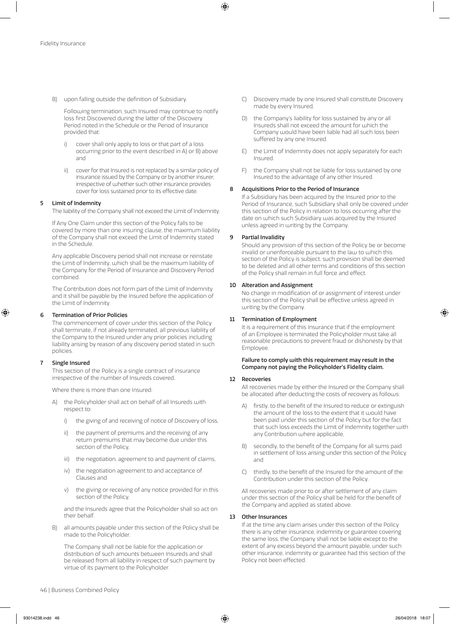B) upon falling outside the definition of Subsidiary.

Following termination, such Insured may continue to notify loss first Discovered during the latter of the Discovery Period noted in the Schedule or the Period of Insurance provided that:

- i) cover shall only apply to loss or that part of a loss occurring prior to the event described in A) or B) above and
- ii) cover for that Insured is not replaced by a similar policy of insurance issued by the Company or by another insurer, irrespective of whether such other insurance provides cover for loss sustained prior to its effective date.

### 5 Limit of Indemnity

The liability of the Company shall not exceed the Limit of Indemnity.

If Any One Claim under this section of the Policy falls to be covered by more than one insuring clause, the maximum liability of the Company shall not exceed the Limit of Indemnity stated in the Schedule.

Any applicable Discovery period shall not increase or reinstate the Limit of Indemnity, which shall be the maximum liability of the Company for the Period of Insurance and Discovery Period combined.

The Contribution does not form part of the Limit of Indemnity and it shall be payable by the Insured before the application of the Limit of Indemnity.

### 6 Termination of Prior Policies

The commencement of cover under this section of the Policy shall terminate, if not already terminated, all previous liability of the Company to the Insured under any prior policies including liability arising by reason of any discovery period stated in such policies.

### 7 Single Insured

This section of the Policy is a single contract of insurance irrespective of the number of Insureds covered.

Where there is more than one Insured:

- A) the Policyholder shall act on behalf of all Insureds with respect to:
	- i) the giving of and receiving of notice of Discovery of loss,
	- ii) the payment of premiums and the receiving of any return premiums that may become due under this section of the Policy,
	- iii) the negotiation, agreement to and payment of claims,
	- iv) the negotiation agreement to and acceptance of Clauses and
	- v) the giving or receiving of any notice provided for in this section of the Policy,

and the Insureds agree that the Policyholder shall so act on their behalf.

B) all amounts payable under this section of the Policy shall be made to the Policyholder.

The Company shall not be liable for the application or distribution of such amounts between Insureds and shall be released from all liability in respect of such payment by virtue of its payment to the Policyholder.

- C) Discovery made by one Insured shall constitute Discovery made by every Insured,
- D) the Company's liability for loss sustained by any or all Insureds shall not exceed the amount for which the Company would have been liable had all such loss been suffered by any one Insured.
- E) the Limit of Indemnity does not apply separately for each Insured.
- F) the Company shall not be liable for loss sustained by one Insured to the advantage of any other Insured.

### 8 Acquisitions Prior to the Period of Insurance

If a Subsidiary has been acquired by the Insured prior to the Period of Insurance, such Subsidiary shall only be covered under this section of the Policy in relation to loss occurring after the date on which such Subsidiary was acquired by the Insured unless agreed in writing by the Company.

### 9 Partial Invalidity

Should any provision of this section of the Policy be or become invalid or unenforceable pursuant to the law to which this section of the Policy is subject, such provision shall be deemed to be deleted and all other terms and conditions of this section of the Policy shall remain in full force and effect.

### 10 Alteration and Assignment

No change in modification of or assignment of interest under this section of the Policy shall be effective unless agreed in writing by the Company.

### 11 Termination of Employment

It is a requirement of this Insurance that if the employment of an Employee is terminated the Policyholder must take all reasonable precautions to prevent fraud or dishonesty by that Employee.

### Failure to comply with this requirement may result in the Company not paying the Policyholder's Fidelity claim.

### 12 Recoveries

All recoveries made by either the Insured or the Company shall be allocated after deducting the costs of recovery as follows:

- A) firstly, to the benefit of the Insured to reduce or extinguish the amount of the loss to the extent that it would have been paid under this section of the Policy but for the fact that such loss exceeds the Limit of Indemnity together with any Contribution where applicable,
- B) secondly, to the benefit of the Company for all sums paid in settlement of loss arising under this section of the Policy and
- C) thirdly, to the benefit of the Insured for the amount of the Contribution under this section of the Policy.

All recoveries made prior to or after settlement of any claim under this section of the Policy shall be held for the benefit of the Company and applied as stated above.

### 13 Other Insurances

If at the time any claim arises under this section of the Policy there is any other insurance, indemnity or guarantee covering the same loss, the Company shall not be liable except to the extent of any excess beyond the amount payable, under such other insurance, indemnity or guarantee had this section of the Policy not been effected.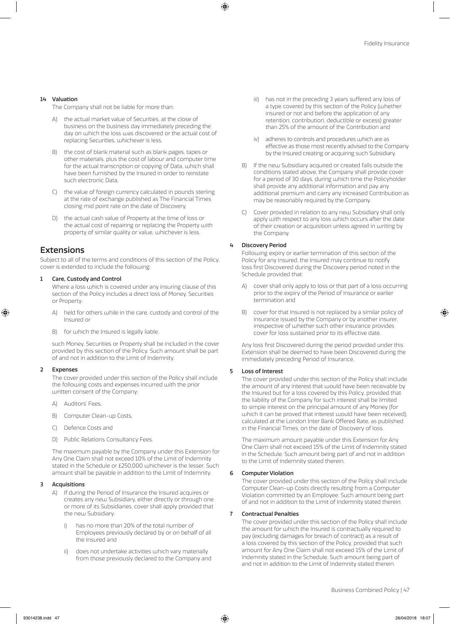### 14 Valuation

The Company shall not be liable for more than:

- the actual market value of Securities, at the close of business on the business day immediately preceding the day on which the loss was discovered or the actual cost of replacing Securities, whichever is less,
- B) the cost of blank material such as blank pages, tapes or other materials, plus the cost of labour and computer time for the actual transcription or copying of Data, which shall have been furnished by the Insured in order to reinstate such electronic Data,
- C) the value of foreign currency calculated in pounds sterling at the rate of exchange published as The Financial Times closing mid point rate on the date of Discovery,
- the actual cash value of Property at the time of loss or the actual cost of repairing or replacing the Property with property of similar quality or value, whichever is less.

# Extensions

Subject to all of the terms and conditions of this section of the Policy, cover is extended to include the following:

### 1 Care, Custody and Control

Where a loss which is covered under any insuring clause of this section of the Policy includes a direct loss of Money, Securities or Property:

- A) held for others while in the care, custody and control of the Insured or
- B) for which the Insured is legally liable,

such Money, Securities or Property shall be included in the cover provided by this section of the Policy. Such amount shall be part of and not in addition to the Limit of Indemnity.

### **Expenses**

The cover provided under this section of the Policy shall include the following costs and expenses incurred with the prior written consent of the Company:

- A) Auditors' Fees,
- B) Computer Clean-up Costs,
- C) Defence Costs and
- D) Public Relations Consultancy Fees.

The maximum payable by the Company under this Extension for Any One Claim shall not exceed 10% of the Limit of Indemnity stated in the Schedule or £250,000 whichever is the lesser. Such amount shall be payable in addition to the Limit of Indemnity.

### 3 Acquisitions

- A) If during the Period of Insurance the Insured acquires or creates any new Subsidiary, either directly or through one or more of its Subsidiaries, cover shall apply provided that the new Subsidiary:
	- has no more than 20% of the total number of Employees previously declared by or on behalf of all the Insured and
	- ii) does not undertake activities which vary materially from those previously declared to the Company and
- iii) has not in the preceding 3 years suffered any loss of a type covered by this section of the Policy (whether insured or not and before the application of any retention, contribution, deductible or excess) greater than 25% of the amount of the Contribution and
- adheres to controls and procedures which are as effective as those most recently advised to the Company by the Insured creating or acquiring such Subsidiary.
- B) If the new Subsidiary acquired or created falls outside the conditions stated above, the Company shall provide cover for a period of 30 days, during which time the Policyholder shall provide any additional information and pay any additional premium and carry any increased Contribution as may be reasonably required by the Company.
- C) Cover provided in relation to any new Subsidiary shall only apply with respect to any loss which occurs after the date of their creation or acquisition unless agreed in writing by the Company.

### 4 Discovery Period

Following expiry or earlier termination of this section of the Policy for any Insured, the Insured may continue to notify loss first Discovered during the Discovery period noted in the Schedule provided that:

- A) cover shall only apply to loss or that part of a loss occurring prior to the expiry of the Period of Insurance or earlier termination and
- B) cover for that Insured is not replaced by a similar policy of insurance issued by the Company or by another insurer, irrespective of whether such other insurance provides cover for loss sustained prior to its effective date.

Any loss first Discovered during the period provided under this Extension shall be deemed to have been Discovered during the immediately preceding Period of Insurance.

### 5 Loss of Interest

The cover provided under this section of the Policy shall include the amount of any interest that would have been receivable by the Insured but for a loss covered by this Policy, provided that the liability of the Company for such interest shall be limited to simple interest on the principal amount of any Money (for which it can be proved that interest would have been received), calculated at the London Inter Bank Offered Rate, as published in the Financial Times, on the date of Discovery of loss.

The maximum amount payable under this Extension for Any One Claim shall not exceed 15% of the Limit of Indemnity stated in the Schedule. Such amount being part of and not in addition to the Limit of Indemnity stated therein.

### 6 Computer Violation

The cover provided under this section of the Policy shall include Computer Clean-up Costs directly resulting from a Computer Violation committed by an Employee. Such amount being part of and not in addition to the Limit of Indemnity stated therein.

### 7 Contractual Penalties

The cover provided under this section of the Policy shall include the amount for which the Insured is contractually required to pay (excluding damages for breach of contract) as a result of a loss covered by this section of the Policy, provided that such amount for Any One Claim shall not exceed 15% of the Limit of Indemnity stated in the Schedule. Such amount being part of and not in addition to the Limit of Indemnity stated therein.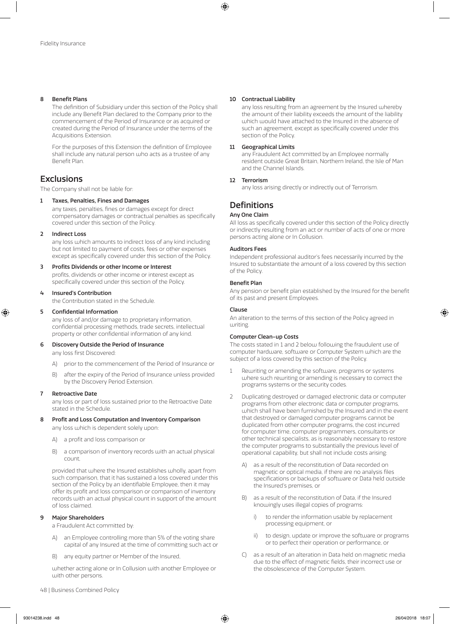### 8 Benefit Plans

The definition of Subsidiary under this section of the Policy shall include any Benefit Plan declared to the Company prior to the commencement of the Period of Insurance or as acquired or created during the Period of Insurance under the terms of the Acquisitions Extension.

For the purposes of this Extension the definition of Employee shall include any natural person who acts as a trustee of any Benefit Plan.

# **Exclusions**

The Company shall not be liable for:

### 1 Taxes, Penalties, Fines and Damages

any taxes, penalties, fines or damages except for direct compensatory damages or contractual penalties as specifically covered under this section of the Policy.

### **Indirect Loss**

any loss which amounts to indirect loss of any kind including but not limited to payment of costs, fees or other expenses except as specifically covered under this section of the Policy.

### 3 Profits Dividends or other Income or Interest

profits, dividends or other income or interest except as specifically covered under this section of the Policy.

### 4 Insured's Contribution

the Contribution stated in the Schedule.

### 5 Confidential Information

any loss of and/or damage to proprietary information, confidential processing methods, trade secrets, intellectual property or other confidential information of any kind.

### 6 Discovery Outside the Period of Insurance

any loss first Discovered:

- A) prior to the commencement of the Period of Insurance or
- B) after the expiry of the Period of Insurance unless provided by the Discovery Period Extension.

### 7 Retroactive Date

any loss or part of loss sustained prior to the Retroactive Date stated in the Schedule.

### 8 Profit and Loss Computation and Inventory Comparison

any loss which is dependent solely upon:

- A) a profit and loss comparison or
- B) a comparison of inventory records with an actual physical count,

provided that where the Insured establishes wholly, apart from such comparison, that it has sustained a loss covered under this section of the Policy by an identifiable Employee, then it may offer its profit and loss comparison or comparison of inventory records with an actual physical count in support of the amount of loss claimed.

### **Major Shareholders**

a Fraudulent Act committed by:

- A) an Employee controlling more than 5% of the voting share capital of any Insured at the time of committing such act or
- B) any equity partner or Member of the Insured,

whether acting alone or In Collusion with another Employee or with other persons.

### 10 Contractual Liability

any loss resulting from an agreement by the Insured whereby the amount of their liability exceeds the amount of the liability which would have attached to the Insured in the absence of such an agreement, except as specifically covered under this section of the Policy.

### 11 Geographical Limits

any Fraudulent Act committed by an Employee normally resident outside Great Britain, Northern Ireland, the Isle of Man and the Channel Islands.

### 12 Terrorism

any loss arising directly or indirectly out of Terrorism.

# **Definitions**

### Any One Claim

All loss as specifically covered under this section of the Policy directly or indirectly resulting from an act or number of acts of one or more persons acting alone or In Collusion.

### Auditors Fees

Independent professional auditor's fees necessarily incurred by the Insured to substantiate the amount of a loss covered by this section of the Policy.

### Benefit Plan

Any pension or benefit plan established by the Insured for the benefit of its past and present Employees.

### Clause

An alteration to the terms of this section of the Policy agreed in writing.

### Computer Clean-up Costs

The costs stated in 1 and 2 below following the fraudulent use of computer hardware, software or Computer System which are the subject of a loss covered by this section of the Policy.

- 1 Rewriting or amending the software, programs or systems where such rewriting or amending is necessary to correct the programs systems or the security codes.
- 2 Duplicating destroyed or damaged electronic data or computer programs from other electronic data or computer programs, which shall have been furnished by the Insured and in the event that destroyed or damaged computer programs cannot be duplicated from other computer programs, the cost incurred for computer time, computer programmers, consultants or other technical specialists, as is reasonably necessary to restore the computer programs to substantially the previous level of operational capability, but shall not include costs arising:
	- A) as a result of the reconstitution of Data recorded on magnetic or optical media, if there are no analysis files specifications or backups of software or Data held outside the Insured's premises, or
	- B) as a result of the reconstitution of Data, if the Insured knowingly uses illegal copies of programs:
		- i) to render the information usable by replacement processing equipment, or
		- ii) to design, update or improve the software or programs or to perfect their operation or performance, or
	- C) as a result of an alteration in Data held on magnetic media due to the effect of magnetic fields, their incorrect use or the obsolescence of the Computer System.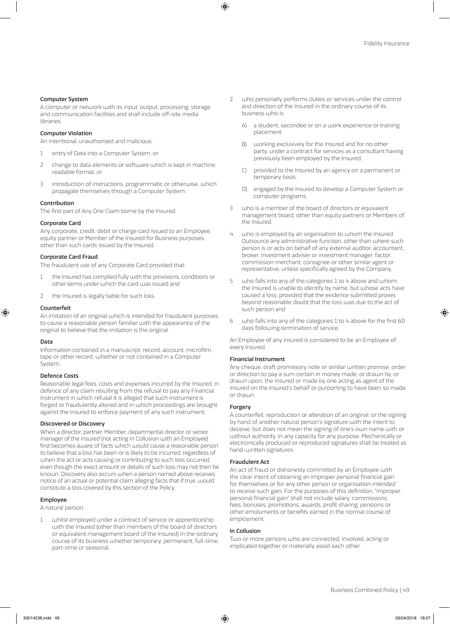### Computer System

A computer or network with its input, output, processing, storage and communication facilities and shall include off-site media libraries.

### Computer Violation

An intentional, unauthorised and malicious:

- 1 entry of Data into a Computer System, or
- 2 change to data elements or software which is kept in machine readable format, or
- 3 introduction of instructions, programmatic or otherwise, which propagate themselves through a Computer System.

### Contribution

The first part of Any One Claim borne by the Insured.

### Corporate Card

Any corporate, credit, debit or charge card issued to an Employee, equity partner or Member of the Insured for Business purposes, other than such cards issued by the Insured.

### Corporate Card Fraud

The fraudulent use of any Corporate Card provided that:

- the Insured has complied fully with the provisions, conditions or other terms under which the card was issued and
- 2 the Insured is legally liable for such loss.

### Counterfeit

An imitation of an original which is intended for fraudulent purposes to cause a reasonable person familiar with the appearance of the original to believe that the imitation is the original.

### Data

Information contained in a manuscript, record, account, microfilm, tape or other record, whether or not contained in a Computer System.

### Defence Costs

Reasonable legal fees, costs and expenses incurred by the Insured, in defence of any claim resulting from the refusal to pay any Financial Instrument in which refusal it is alleged that such instrument is forged or fraudulently altered and in which proceedings are brought against the Insured to enforce payment of any such instrument.

### Discovered or Discovery

When a director, partner, Member, departmental director or senior manager of the Insured (not acting In Collusion with an Employee) first becomes aware of facts which would cause a reasonable person to believe that a loss has been or is likely to be incurred, regardless of when the act or acts causing or contributing to such loss occurred, even though the exact amount or details of such loss may not then be known. Discovery also occurs when a person named above receives notice of an actual or potential claim alleging facts that if true, would constitute a loss covered by this section of the Policy.

### Employee

A natural person:

whilst employed under a contract of service or apprenticeship with the Insured (other than members of the board of directors or equivalent management board of the Insured) in the ordinary course of its business whether temporary, permanent, full-time, part-time or seasonal,

- 2 who personally performs duties or services under the control and direction of the Insured in the ordinary course of its business who is:
	- A) a student, secondee or on a work experience or training placement,
	- B) working exclusively for the Insured and for no other party, under a contract for services as a consultant having previously been employed by the Insured,
	- C) provided to the Insured by an agency on a permanent or temporary basis,
	- D) engaged by the Insured to develop a Computer System or computer programs,
- 3 who is a member of the board of directors or equivalent management board, other than equity partners or Members of the Insured.
- who is employed by an organisation to whom the Insured Outsource any administrative function, other than where such person is or acts on behalf of any external auditor, accountant, broker, investment adviser or investment manager, factor, commission merchant, consignee or other similar agent or representative, unless specifically agreed by the Company,
- 5 who falls into any of the categories 1 to 4 above and whom the Insured is unable to identify by name, but whose acts have caused a loss, provided that the evidence submitted proves beyond reasonable doubt that the loss was due to the act of such person and
- 6 who falls into any of the categories 1 to 4 above for the first 60 days following termination of service.

An Employee of any Insured is considered to be an Employee of every Insured.

#### Financial Instrument

Any cheque, draft promissory note or similar written promise, order or direction to pay a sum certain in money made, or drawn by, or drawn upon, the Insured or made by one acting as agent of the Insured on the Insured's behalf or purporting to have been so made or drawn.

### Forgery

A counterfeit, reproduction or alteration of an original, or the signing by hand of another natural person's signature with the intent to deceive, but does not mean the signing of one's own name with or without authority, in any capacity for any purpose. Mechanically or electronically produced or reproduced signatures shall be treated as hand-written signatures.

### Fraudulent Act

An act of fraud or dishonesty committed by an Employee with the clear intent of obtaining an improper personal financial gain for themselves or for any other person or organisation intended to receive such gain. For the purposes of this definition, "improper personal financial gain" shall not include salary, commissions, fees, bonuses, promotions, awards, profit sharing, pensions or other emoluments or benefits earned in the normal course of employment.

#### In Collusion

Two or more persons who are connected, involved, acting or implicated together or materially assist each other.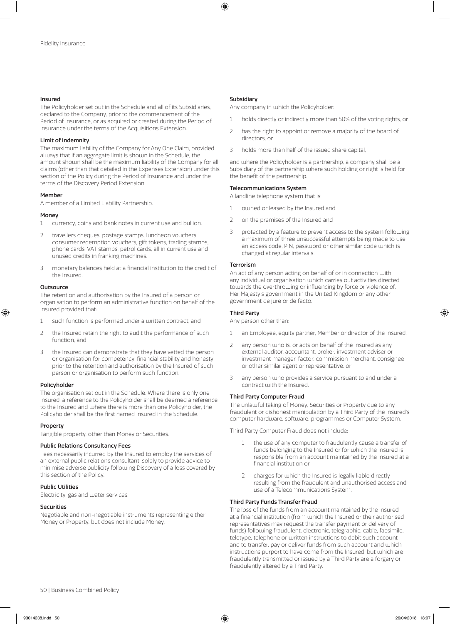### Insured

The Policyholder set out in the Schedule and all of its Subsidiaries, declared to the Company, prior to the commencement of the Period of Insurance, or as acquired or created during the Period of Insurance under the terms of the Acquisitions Extension.

### Limit of Indemnity

The maximum liability of the Company for Any One Claim, provided always that if an aggregate limit is shown in the Schedule, the amount shown shall be the maximum liability of the Company for all claims (other than that detailed in the Expenses Extension) under this section of the Policy during the Period of Insurance and under the terms of the Discovery Period Extension.

### Member

A member of a Limited Liability Partnership.

### Money

- 1 currency, coins and bank notes in current use and bullion.
- 2 travellers cheques, postage stamps, luncheon vouchers, consumer redemption vouchers, gift tokens, trading stamps, phone cards, VAT stamps, petrol cards, all in current use and unused credits in franking machines.
- 3 monetary balances held at a financial institution to the credit of the Insured.

### **Outsource**

The retention and authorisation by the Insured of a person or organisation to perform an administrative function on behalf of the Insured provided that:

- 1 such function is performed under a written contract, and
- 2 the Insured retain the right to audit the performance of such function, and
- 3 the Insured can demonstrate that they have vetted the person or organisation for competency, financial stability and honesty prior to the retention and authorisation by the Insured of such person or organisation to perform such function.

### Policyholder

The organisation set out in the Schedule. Where there is only one Insured, a reference to the Policyholder shall be deemed a reference to the Insured and where there is more than one Policyholder, the Policyholder shall be the first named Insured in the Schedule.

### Property

Tangible property, other than Money or Securities.

### Public Relations Consultancy Fees

Fees necessarily incurred by the Insured to employ the services of an external public relations consultant, solely to provide advice to minimise adverse publicity following Discovery of a loss covered by this section of the Policy.

## Public Utilities

Electricity, gas and water services.

### **Securities**

Negotiable and non-negotiable instruments representing either Money or Property, but does not include Money.

### Subsidiary

Any company in which the Policyholder:

- 1 holds directly or indirectly more than 50% of the voting rights, or
- 2 has the right to appoint or remove a majority of the board of directors, or
- 3 holds more than half of the issued share capital,

and where the Policyholder is a partnership, a company shall be a Subsidiary of the partnership where such holding or right is held for the benefit of the partnership.

#### Telecommunications System

A landline telephone system that is:

- 1 owned or leased by the Insured and
- 2 on the premises of the Insured and
- 3 protected by a feature to prevent access to the system following a maximum of three unsuccessful attempts being made to use an access code, PIN, password or other similar code which is changed at regular intervals.

### Terrorism

An act of any person acting on behalf of or in connection with any individual or organisation which carries out activities directed towards the overthrowing or influencing by force or violence of, Her Majesty's government in the United Kingdom or any other government de jure or de facto.

### Third Party

Any person other than:

- 1 an Employee, equity partner, Member or director of the Insured,
- 2 any person who is, or acts on behalf of the Insured as any external auditor, accountant, broker, investment adviser or investment manager, factor, commission merchant, consignee or other similar agent or representative, or
- 3 any person who provides a service pursuant to and under a contract with the Insured.

### Third Party Computer Fraud

The unlawful taking of Money, Securities or Property due to any fraudulent or dishonest manipulation by a Third Party of the Insured's computer hardware, software, programmes or Computer System.

Third Party Computer Fraud does not include:

- 1 the use of any computer to fraudulently cause a transfer of funds belonging to the Insured or for which the Insured is responsible from an account maintained by the Insured at a financial institution or
- 2 charges for which the Insured is legally liable directly resulting from the fraudulent and unauthorised access and use of a Telecommunications System.

### Third Party Funds Transfer Fraud

The loss of the funds from an account maintained by the Insured at a financial institution (from which the Insured or their authorised representatives may request the transfer payment or delivery of funds) following fraudulent, electronic, telegraphic, cable, facsimile, teletype, telephone or written instructions to debit such account and to transfer, pay or deliver funds from such account and which instructions purport to have come from the Insured, but which are fraudulently transmitted or issued by a Third Party are a forgery or fraudulently altered by a Third Party.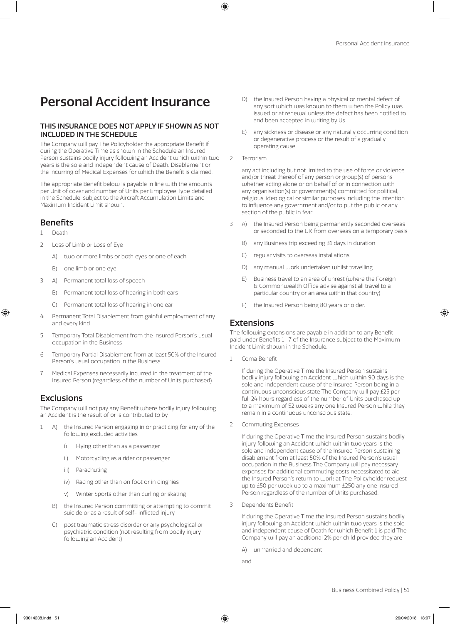# Personal Accident Insurance

## THIS INSURANCE DOES NOT APPLY IF SHOWN AS NOT INCLUDED IN THE SCHEDULE

The Company will pay The Policyholder the appropriate Benefit if during the Operative Time as shown in the Schedule an Insured Person sustains bodily injury following an Accident which within two years is the sole and independent cause of Death, Disablement or the incurring of Medical Expenses for which the Benefit is claimed.

The appropriate Benefit below is payable in line with the amounts per Unit of cover and number of Units per Employee Type detailed in the Schedule, subject to the Aircraft Accumulation Limits and Maximum Incident Limit shown.

# Benefits

- 1 Death
- 2 Loss of Limb or Loss of Eye
	- A) two or more limbs or both eyes or one of each
	- B) one limb or one eye
- 3 A) Permanent total loss of speech
	- B) Permanent total loss of hearing in both ears
	- C) Permanent total loss of hearing in one ear
- 4 Permanent Total Disablement from gainful employment of any and every kind
- 5 Temporary Total Disablement from the Insured Person's usual occupation in the Business
- 6 Temporary Partial Disablement from at least 50% of the Insured Person's usual occupation in the Business
- 7 Medical Expenses necessarily incurred in the treatment of the Insured Person (regardless of the number of Units purchased).

# **Exclusions**

The Company will not pay any Benefit where bodily injury following an Accident is the result of or is contributed to by

- 1 A) the Insured Person engaging in or practicing for any of the following excluded activities
	- i) Flying other than as a passenger
	- ii) Motorcycling as a rider or passenger
	- iii) Parachuting
	- iv) Racing other than on foot or in dinghies
	- v) Winter Sports other than curling or skating
	- B) the Insured Person committing or attempting to commit suicide or as a result of self- inflicted injury
	- C) post traumatic stress disorder or any psychological or psychiatric condition (not resulting from bodily injury following an Accident)
- D) the Insured Person having a physical or mental defect of any sort which was known to them when the Policy was issued or at renewal unless the defect has been notified to and been accepted in writing by Us
- E) any sickness or disease or any naturally occurring condition or degenerative process or the result of a gradually operating cause
- 2 Terrorism

any act including but not limited to the use of force or violence and/or threat thereof of any person or group(s) of persons whether acting alone or on behalf of or in connection with any organisation(s) or government(s) committed for political, religious, ideological or similar purposes including the intention to influence any government and/or to put the public or any section of the public in fear

- 3 A) the Insured Person being permanently seconded overseas or seconded to the UK from overseas on a temporary basis
	- B) any Business trip exceeding 31 days in duration
	- C) regular visits to overseas installations
	- D) any manual work undertaken whilst travelling
	- E) Business travel to an area of unrest (where the Foreign & Commonwealth Office advise against all travel to a particular country or an area within that country)
	- F) the Insured Person being 80 years or older

# **Extensions**

The following extensions are payable in addition to any Benefit paid under Benefits 1- 7 of the Insurance subject to the Maximum Incident Limit shown in the Schedule.

1 Coma Benefit

If during the Operative Time the Insured Person sustains bodily injury following an Accident which within 90 days is the sole and independent cause of the Insured Person being in a continuous unconscious state The Company will pay £25 per full 24 hours regardless of the number of Units purchased up to a maximum of 52 weeks any one Insured Person while they remain in a continuous unconscious state.

2 Commuting Expenses

If during the Operative Time the Insured Person sustains bodily injury following an Accident which within two years is the sole and independent cause of the Insured Person sustaining disablement from at least 50% of the Insured Person's usual occupation in the Business The Company will pay necessary expenses for additional commuting costs necessitated to aid the Insured Person's return to work at The Policyholder request up to £50 per week up to a maximum £250 any one Insured Person regardless of the number of Units purchased.

3 Dependents Benefit

If during the Operative Time the Insured Person sustains bodily injury following an Accident which within two years is the sole and independent cause of Death for which Benefit 1 is paid The Company will pay an additional 2% per child provided they are

- A) unmarried and dependent
- and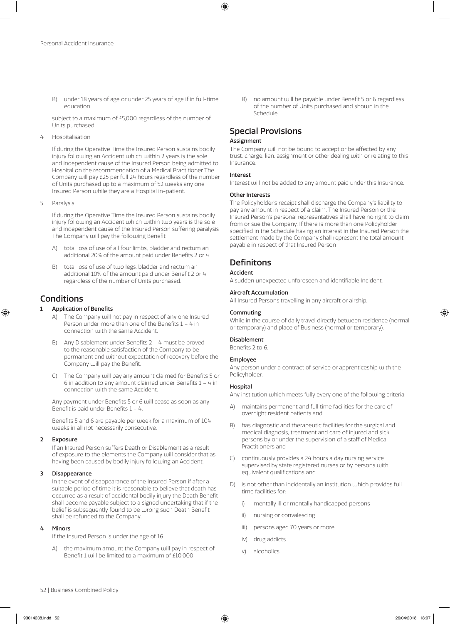B) under 18 years of age or under 25 years of age if in full-time education

subject to a maximum of £5,000 regardless of the number of Units purchased.

4 Hospitalisation

If during the Operative Time the Insured Person sustains bodily injury following an Accident which within 2 years is the sole and independent cause of the Insured Person being admitted to Hospital on the recommendation of a Medical Practitioner The Company will pay £25 per full 24 hours regardless of the number of Units purchased up to a maximum of 52 weeks any one Insured Person while they are a Hospital in-patient.

5 Paralysis

If during the Operative Time the Insured Person sustains bodily injury following an Accident which within two years is the sole and independent cause of the Insured Person suffering paralysis The Company will pay the following Benefit

- A) total loss of use of all four limbs, bladder and rectum an additional 20% of the amount paid under Benefits 2 or 4
- B) total loss of use of two legs, bladder and rectum an additional 10% of the amount paid under Benefit 2 or 4 regardless of the number of Units purchased.

# **Conditions**

### **Application of Benefits**

- A) The Company will not pay in respect of any one Insured Person under more than one of the Benefits 1 – 4 in connection with the same Accident.
- B) Any Disablement under Benefits 2 4 must be proved to the reasonable satisfaction of the Company to be permanent and without expectation of recovery before the Company will pay the Benefit.
- C) The Company will pay any amount claimed for Benefits 5 or 6 in addition to any amount claimed under Benefits 1 – 4 in connection with the same Accident.

Any payment under Benefits 5 or 6 will cease as soon as any Benefit is paid under Benefits 1 – 4.

Benefits 5 and 6 are payable per week for a maximum of 104 weeks in all not necessarily consecutive.

### 2 Exposure

If an Insured Person suffers Death or Disablement as a result of exposure to the elements the Company will consider that as having been caused by bodily injury following an Accident.

### 3 Disappearance

In the event of disappearance of the Insured Person if after a suitable period of time it is reasonable to believe that death has occurred as a result of accidental bodily injury the Death Benefit shall become payable subject to a signed undertaking that if the belief is subsequently found to be wrong such Death Benefit shall be refunded to the Company.

### 4 Minors

If the Insured Person is under the age of 16

the maximum amount the Company will pay in respect of Benefit 1 will be limited to a maximum of £10,000

B) no amount will be payable under Benefit 5 or 6 regardless of the number of Units purchased and shown in the Schedule.

# Special Provisions

### Assignment

The Company will not be bound to accept or be affected by any trust, charge, lien, assignment or other dealing with or relating to this Insurance.

### Interest

Interest will not be added to any amount paid under this Insurance.

### Other Interests

The Policyholder's receipt shall discharge the Company's liability to pay any amount in respect of a claim. The Insured Person or the Insured Person's personal representatives shall have no right to claim from or sue the Company. If there is more than one Policyholder specified in the Schedule having an interest in the Insured Person the settlement made by the Company shall represent the total amount payable in respect of that Insured Person

# **Definitons**

### Accident

A sudden unexpected unforeseen and identifiable Incident.

### Aircraft Accumulation

All Insured Persons travelling in any aircraft or airship.

### Commuting

While in the course of daily travel directly between residence (normal or temporary) and place of Business (normal or temporary).

### Disablement

Benefits 2 to 6.

### Employee

Any person under a contract of service or apprenticeship with the Policyholder.

### Hospital

Any institution which meets fully every one of the following criteria:

- A) maintains permanent and full time facilities for the care of overnight resident patients and
- B) has diagnostic and therapeutic facilities for the surgical and medical diagnosis, treatment and care of injured and sick persons by or under the supervision of a staff of Medical Practitioners and
- C) continuously provides a 24 hours a day nursing service supervised by state registered nurses or by persons with equivalent qualifications and
- D) is not other than incidentally an institution which provides full time facilities for:
	- i) mentally ill or mentally handicapped persons
	- ii) nursing or convalescing
	- iii) persons aged 70 years or more
	- iv) drug addicts
	- v) alcoholics.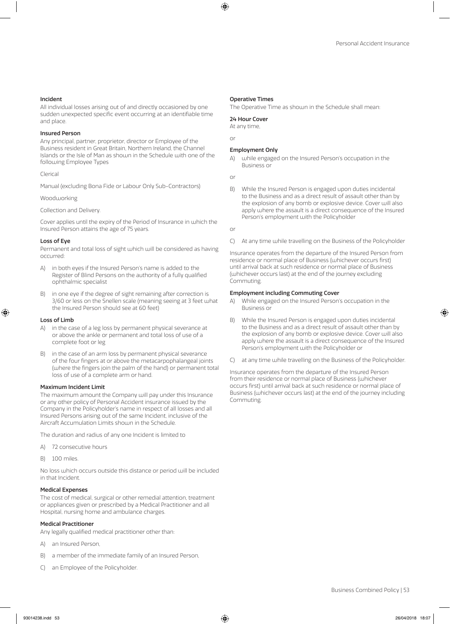### Incident

All individual losses arising out of and directly occasioned by one sudden unexpected specific event occurring at an identifiable time and place.

### Insured Person

Any principal, partner, proprietor, director or Employee of the Business resident in Great Britain, Northern Ireland, the Channel Islands or the Isle of Man as shown in the Schedule with one of the following Employee Types

### Clerical

Manual (excluding Bona Fide or Labour Only Sub-Contractors)

### Woodworking

Collection and Delivery.

Cover applies until the expiry of the Period of Insurance in which the Insured Person attains the age of 75 years.

### Loss of Eye

Permanent and total loss of sight which will be considered as having occurred:

- A) in both eyes if the Insured Person's name is added to the Register of Blind Persons on the authority of a fully qualified ophthalmic specialist
- B) in one eye if the degree of sight remaining after correction is 3/60 or less on the Snellen scale (meaning seeing at 3 feet what the Insured Person should see at 60 feet)

### Loss of Limb

- in the case of a leg loss by permanent physical severance at or above the ankle or permanent and total loss of use of a complete foot or leg
- in the case of an arm loss by permanent physical severance of the four fingers at or above the metacarpophalangeal joints (where the fingers join the palm of the hand) or permanent total loss of use of a complete arm or hand.

### Maximum Incident Limit

The maximum amount the Company will pay under this Insurance or any other policy of Personal Accident insurance issued by the Company in the Policyholder's name in respect of all losses and all Insured Persons arising out of the same Incident, inclusive of the Aircraft Accumulation Limits shown in the Schedule.

The duration and radius of any one Incident is limited to

- A) 72 consecutive hours
- B) 100 miles.

No loss which occurs outside this distance or period will be included in that Incident.

### Medical Expenses

The cost of medical, surgical or other remedial attention, treatment or appliances given or prescribed by a Medical Practitioner and all Hospital, nursing home and ambulance charges.

### Medical Practitioner

Any legally qualified medical practitioner other than:

- A) an Insured Person,
- B) a member of the immediate family of an Insured Person,
- C) an Employee of the Policyholder.

#### Operative Times

The Operative Time as shown in the Schedule shall mean:

### 24 Hour Cover

At any time,

## Employment Only

A) while engaged on the Insured Person's occupation in the Business or

or

or

B) While the Insured Person is engaged upon duties incidental to the Business and as a direct result of assault other than by the explosion of any bomb or explosive device. Cover will also apply where the assault is a direct consequence of the Insured Person's employment with the Policyholder

or

C) At any time while travelling on the Business of the Policyholder

Insurance operates from the departure of the Insured Person from residence or normal place of Business (whichever occurs first) until arrival back at such residence or normal place of Business (whichever occurs last) at the end of the journey excluding **Commuting** 

### Employment including Commuting Cover

- A) While engaged on the Insured Person's occupation in the Business or
- B) While the Insured Person is engaged upon duties incidental to the Business and as a direct result of assault other than by the explosion of any bomb or explosive device. Cover will also apply where the assault is a direct consequence of the Insured Person's employment with the Policyholder or
- C) at any time while travelling on the Business of the Policyholder.

Insurance operates from the departure of the Insured Person from their residence or normal place of Business (whichever occurs first) until arrival back at such residence or normal place of Business (whichever occurs last) at the end of the journey including Commuting.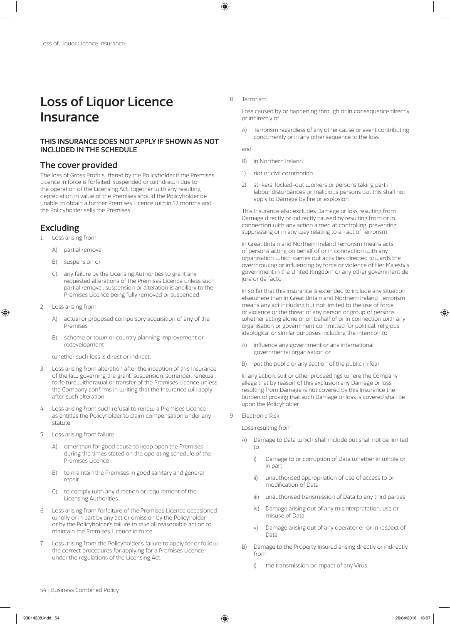# Loss of Liquor Licence Insurance

## THIS INSURANCE DOES NOT APPLY IF SHOWN AS NOT INCLUDED IN THE SCHEDULE

# The cover provided

The loss of Gross Profit suffered by the Policyholder if the Premises Licence in force is forfeited, suspended or withdrawn due to the operation of the Licensing Act, together with any resulting depreciation in value of the Premises should the Policyholder be unable to obtain a further Premises Licence within 12 months and the Policyholder sells the Premises.

# Excluding

- Loss arising from
	- A) partial removal
	- B) suspension or
	- C) any failure by the Licensing Authorities to grant any requested alterations of the Premises Licence unless such partial removal, suspension or alteration is ancillary to the Premises Licence being fully removed or suspended.
- 2 Loss arising from
	- A) actual or proposed compulsory acquisition of any of the Premises
	- B) scheme or town or country planning improvement or redevelopment

whether such loss is direct or indirect.

- 3 Loss arising from alteration after the inception of this Insurance of the law governing the grant, suspension, surrender, renewal, forfeiture,withdrawal or transfer of the Premises Licence unless the Company confirms in writing that the Insurance will apply after such alteration.
- 4 Loss arising from such refusal to renew a Premises Licence as entitles the Policyholder to claim compensation under any statute.
- 5 Loss arising from failure
	- A) other than for good cause to keep open the Premises during the times stated on the operating schedule of the Premises Licence
	- B) to maintain the Premises in good sanitary and general repair
	- C) to comply with any direction or requirement of the Licensing Authorities.
- 6 Loss arising from forfeiture of the Premises Licence occasioned wholly or in part by any act or omission by the Policyholder or by the Policyholder's failure to take all reasonable action to maintain the Premises Licence in force.
- 7 Loss arising from the Policyholder's failure to apply for or follow the correct procedures for applying for a Premises Licence under the regulations of the Licensing Act.

### 8 Terrorism

Loss caused by or happening through or in consequence directly or indirectly of

A) Terrorism regardless of any other cause or event contributing concurrently or in any other sequence to the loss

and

- B) in Northern Ireland
- 1) riot or civil commotion
- 2) strikers, locked-out workers or persons taking part in labour disturbances or malicious persons but this shall not apply to Damage by fire or explosion.

This Insurance also excludes Damage or loss resulting from Damage directly or indirectly caused by resulting from or in connection with any action aimed at controlling, preventing, suppressing or in any way relating to an act of Terrorism.

In Great Britain and Northern Ireland Terrorism means acts of persons acting on behalf of or in connection with any organisation which carries out activities directed towards the overthrowing or influencing by force or violence of Her Majesty's government in the United Kingdom or any other government de jure or de facto.

In so far that this Insurance is extended to include any situation elsewhere than in Great Britain and Northern Ireland, Terrorism means any act including but not limited to the use of force or violence or the threat of any person or group of persons whether acting alone or on behalf of or in connection with any organisation or government committed for political, religious, ideological or similar purposes including the intention to

- A) influence any government or any international governmental organisation or
- B) put the public or any section of the public in fear.

In any action, suit or other proceedings where the Company allege that by reason of this exclusion any Damage or loss resulting from Damage is not covered by this Insurance the burden of proving that such Damage or loss is covered shall be upon the Policyholder

9 Electronic Risk

Loss resulting from

- A) Damage to Data which shall include but shall not be limited to
	- i) Damage to or corruption of Data whether in whole or in part
	- ii) unauthorised appropriation of use of access to or modification of Data
	- iii) unauthorised transmission of Data to any third parties
	- iv) Damage arising out of any misinterpretation, use or misuse of Data
	- v) Damage arising out of any operator error in respect of Data.
- B) Damage to the Property Insured arising directly or indirectly from
	- i) the transmission or impact of any Virus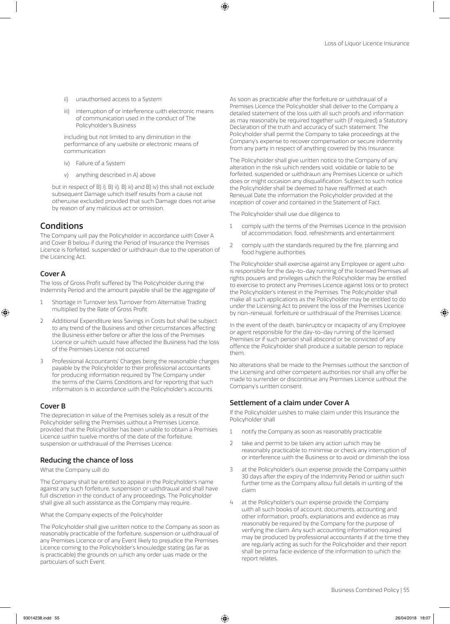- ii) unauthorised access to a System
- iii) interruption of or interference with electronic means of communication used in the conduct of The Policyholder's Business

including but not limited to any diminution in the performance of any website or electronic means of communication

- iv) Failure of a System
- v) anything described in A) above

but in respect of B) i), B) ii), B) iii) and B) iv) this shall not exclude subsequent Damage which itself results from a cause not otherwise excluded provided that such Damage does not arise by reason of any malicious act or omission.

# Conditions

The Company will pay the Policyholder in accordance with Cover A and Cover B below if during the Period of Insurance the Premises Licence is forfeited, suspended or withdrawn due to the operation of the Licencing Act.

### Cover A

The loss of Gross Profit suffered by The Policyholder during the Indemnity Period and the amount payable shall be the aggregate of

- 1 Shortage in Turnover less Turnover from Alternative Trading multiplied by the Rate of Gross Profit
- 2 Additional Expenditure less Savings in Costs but shall be subject to any trend of the Business and other circumstances affecting the Business either before or after the loss of the Premises Licence or which would have affected the Business had the loss of the Premises Licence not occurred
- 3 Professional Accountants' Charges being the reasonable charges payable by the Policyholder to their professional accountants for producing information required by The Company under the terms of the Claims Conditions and for reporting that such information is in accordance with the Policyholder's accounts.

### Cover B

The depreciation in value of the Premises solely as a result of the Policyholder selling the Premises without a Premises Licence, provided that the Policyholder has been unable to obtain a Premises Licence within twelve months of the date of the forfeiture, suspension or withdrawal of the Premises Licence.

### Reducing the chance of loss

What the Company will do

The Company shall be entitled to appeal in the Polcyholder's name against any such forfeiture, suspension or withdrawal and shall have full discretion in the conduct of any proceedings. The Policyholder shall give all such assistance as the Company may require.

What the Company expects of the Policyholder

The Policyholder shall give written notice to the Company as soon as reasonably practicable of the forfeiture, suspension or withdrawal of any Premises Licence or of any Event likely to prejudice the Premises Licence coming to the Policyholder's knowledge stating (as far as is practicable) the grounds on which any order was made or the particulars of such Event.

As soon as practicable after the forfeiture or withdrawal of a Premises Licence the Policyholder shall deliver to the Company a detailed statement of the loss with all such proofs and information as may reasonably be required together with (if required) a Statutory Declaration of the truth and accuracy of such statement. The Policyholder shall permit the Company to take proceedings at the Company's expense to recover compensation or secure indemnity from any party in respect of anything covered by this Insurance.

The Policyholder shall give written notice to the Company of any alteration in the risk which renders void, voidable or liable to be forfeited, suspended or withdrawn any Premises Licence or which does or might occasion any disqualification. Subject to such notice the Policyholder shall be deemed to have reaffirmed at each Renewal Date the information the Policyholder provided at the inception of cover and contained in the Statement of Fact.

The Policyholder shall use due diligence to

- 1 comply with the terms of the Premises Licence in the provision of accommodation, food, refreshments and entertainment
- 2 comply with the standards required by the fire, planning and food hygiene authorities.

The Policyholder shall exercise against any Employee or agent who is responsible for the day-to-day running of the licensed Premises all rights powers and privileges which the Policyholder may be entitled to exercise to protect any Premises Licence against loss or to protect the Policyholder's interest in the Premises. The Policyholder shall make all such applications as the Policyholder may be entitled to do under the Licensing Act to prevent the loss of the Premises Licence by non-renewal, forfeiture or withdrawal of the Premises Licence.

In the event of the death, bankruptcy or incapacity of any Employee or agent responsible for the day-to-day running of the licensed Premises or if such person shall abscond or be convicted of any offence the Policyholder shall produce a suitable person to replace them.

No alterations shall be made to the Premises without the sanction of the Licensing and other competent authorities nor shall any offer be made to surrender or discontinue any Premises Licence without the Company's written consent.

### Settlement of a claim under Cover A

If the Policyholder wishes to make claim under this Insurance the Policyholder shall

- 1 notify the Company as soon as reasonably practicable
- 2 take and permit to be taken any action which may be reasonably practicable to minimise or check any interruption of or interference with the Business or to avoid or diminish the loss
- 3 at the Policyholder's own expense provide the Company within 30 days after the expiry of the Indemnity Period or within such further time as the Company allow full details in writing of the claim
- 4 at the Policyholder's own expense provide the Company with all such books of account, documents, accounting and other information, proofs, explanations and evidence as may reasonably be required by the Company for the purpose of verifying the claim. Any such accounting information required may be produced by professional accountants if at the time they are regularly acting as such for the Policyholder and their report shall be prima facie evidence of the information to which the report relates.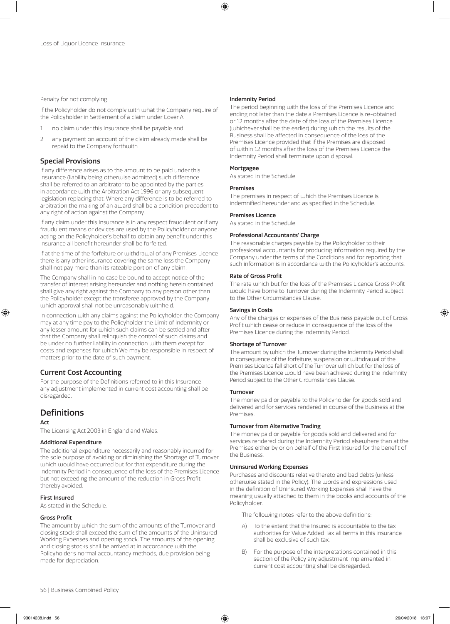### Penalty for not complying

If the Policyholder do not comply with what the Company require of the Policyholder in Settlement of a claim under Cover A

- 1 no claim under this Insurance shall be payable and
- 2 any payment on account of the claim already made shall be repaid to the Company forthwith

### Special Provisions

If any difference arises as to the amount to be paid under this Insurance (liability being otherwise admitted) such difference shall be referred to an arbitrator to be appointed by the parties in accordance with the Arbitration Act 1996 or any subsequent legislation replacing that. Where any difference is to be referred to arbitration the making of an award shall be a condition precedent to any right of action against the Company.

If any claim under this Insurance is in any respect fraudulent or if any fraudulent means or devices are used by the Policyholder or anyone acting on the Policyholder's behalf to obtain any benefit under this Insurance all benefit hereunder shall be forfeited.

If at the time of the forfeiture or withdrawal of any Premises Licence there is any other insurance covering the same loss the Company shall not pay more than its rateable portion of any claim.

The Company shall in no case be bound to accept notice of the transfer of interest arising hereunder and nothing herein contained shall give any right against the Company to any person other than the Policyholder except the transferee approved by the Company which approval shall not be unreasonably withheld.

In connection with any claims against the Policyholder, the Company may at any time pay to the Policyholder the Limit of Indemnity or any lesser amount for which such claims can be settled and after that the Company shall relinquish the control of such claims and be under no further liability in connection with them except for costs and expenses for which We may be responsible in respect of matters prior to the date of such payment.

# Current Cost Accounting

For the purpose of the Definitions referred to in this Insurance any adjustment implemented in current cost accounting shall be disregarded.

# **Definitions**

### Act

The Licensing Act 2003 in England and Wales.

### Additional Expenditure

The additional expenditure necessarily and reasonably incurred for the sole purpose of avoiding or diminishing the Shortage of Turnover which would have occurred but for that expenditure during the Indemnity Period in consequence of the loss of the Premises Licence but not exceeding the amount of the reduction in Gross Profit thereby avoided.

### First Insured

As stated in the Schedule.

### Gross Profit

The amount by which the sum of the amounts of the Turnover and closing stock shall exceed the sum of the amounts of the Uninsured Working Expenses and opening stock. The amounts of the opening and closing stocks shall be arrived at in accordance with the Policyholder's normal accountancy methods, due provision being made for depreciation.

#### Indemnity Period

The period beginning with the loss of the Premises Licence and ending not later than the date a Premises Licence is re-obtained or 12 months after the date of the loss of the Premises Licence (whichever shall be the earlier) during which the results of the Business shall be affected in consequence of the loss of the Premises Licence provided that if the Premises are disposed of within 12 months after the loss of the Premises Licence the Indemnity Period shall terminate upon disposal.

### Mortgagee

As stated in the Schedule.

### Premises

The premises in respect of which the Premises Licence is indemnified hereunder and as specified in the Schedule.

### Premises Licence

As stated in the Schedule.

### Professional Accountants' Charge

The reasonable charges payable by the Policyholder to their professional accountants for producing information required by the Company under the terms of the Conditions and for reporting that such information is in accordance with the Policyholder's accounts.

### Rate of Gross Profit

The rate which but for the loss of the Premises Licence Gross Profit would have borne to Turnover during the Indemnity Period subject to the Other Circumstances Clause.

### Savings in Costs

Any of the charges or expenses of the Business payable out of Gross Profit which cease or reduce in consequence of the loss of the Premises Licence during the Indemnity Period.

### Shortage of Turnover

The amount by which the Turnover during the Indemnity Period shall in consequence of the forfeiture, suspension or withdrawal of the Premises Licence fall short of the Turnover which but for the loss of the Premises Licence would have been achieved during the Indemnity Period subject to the Other Circumstances Clause.

### Turnover

The money paid or payable to the Policyholder for goods sold and delivered and for services rendered in course of the Business at the **Premises** 

### Turnover from Alternative Trading

The money paid or payable for goods sold and delivered and for services rendered during the Indemnity Period elsewhere than at the Premises either by or on behalf of the First Insured for the benefit of the Business.

### Uninsured Working Expenses

Purchases and discounts relative thereto and bad debts (unless otherwise stated in the Policy). The words and expressions used in the definition of Uninsured Working Expenses shall have the meaning usually attached to them in the books and accounts of the Policyholder.

The following notes refer to the above definitions:

- A) To the extent that the Insured is accountable to the tax authorities for Value Added Tax all terms in this insurance shall be exclusive of such tax.
- B) For the purpose of the interpretations contained in this section of the Policy any adjustment implemented in current cost accounting shall be disregarded.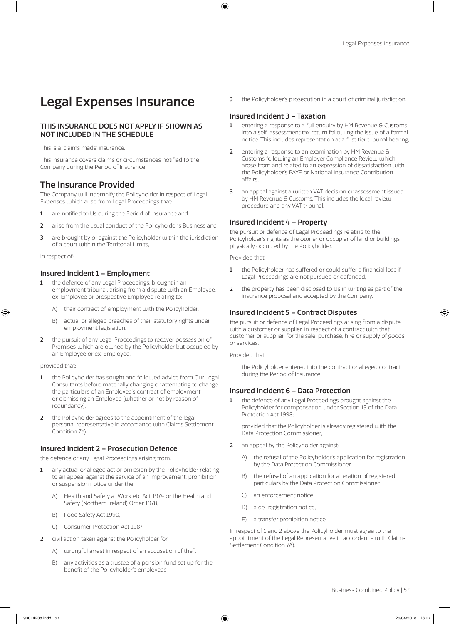# Legal Expenses Insurance

# THIS INSURANCE DOES NOT APPLY IF SHOWN AS NOT INCLUDED IN THE SCHEDULE

This is a 'claims made' insurance.

This insurance covers claims or circumstances notified to the Company during the Period of Insurance.

# The Insurance Provided

The Company will indemnify the Policyholder in respect of Legal Expenses which arise from Legal Proceedings that:

- 1 are notified to Us during the Period of Insurance and
- 2 arise from the usual conduct of the Policyholder's Business and
- 3 are brought by or against the Policyholder within the jurisdiction of a court within the Territorial Limits,

in respect of

# Insured Incident 1 – Employment

- the defence of any Legal Proceedings, brought in an employment tribunal, arising from a dispute with an Employee, ex-Employee or prospective Employee relating to:
	- A) their contract of employment with the Policyholder,
	- B) actual or alleged breaches of their statutory rights under employment legislation.
- 2 the pursuit of any Legal Proceedings to recover possession of Premises which are owned by the Policyholder but occupied by an Employee or ex-Employee,

### provided that:

- the Policyholder has sought and followed advice from Our Legal Consultants before materially changing or attempting to change the particulars of an Employee's contract of employment or dismissing an Employee (whether or not by reason of redundancy),
- 2 the Policyholder agrees to the appointment of the legal personal representative in accordance with Claims Settlement Condition 7a).

## Insured Incident 2 – Prosecution Defence

the defence of any Legal Proceedings arising from:

- 1 any actual or alleged act or omission by the Policyholder relating to an appeal against the service of an improvement, prohibition or suspension notice under the:
	- A) Health and Safety at Work etc Act 1974 or the Health and Safety (Northern Ireland) Order 1978,
	- B) Food Safety Act 1990,
	- C) Consumer Protection Act 1987.
- 2 civil action taken against the Policyholder for:
	- A) wrongful arrest in respect of an accusation of theft,
	- B) any activities as a trustee of a pension fund set up for the benefit of the Policyholder's employees,

3 the Policyholder's prosecution in a court of criminal jurisdiction.

# Insured Incident 3 – Taxation

- 1 entering a response to a full enquiry by HM Revenue & Customs into a self-assessment tax return following the issue of a formal notice. This includes representation at a first tier tribunal hearing,
- 2 entering a response to an examination by HM Revenue & Customs following an Employer Compliance Review which arose from and related to an expression of dissatisfaction with the Policyholder's PAYE or National Insurance Contribution affairs,
- 3 an appeal against a written VAT decision or assessment issued by HM Revenue & Customs. This includes the local review procedure and any VAT tribunal.

## Insured Incident 4 – Property

the pursuit or defence of Legal Proceedings relating to the Policyholder's rights as the owner or occupier of land or buildings physically occupied by the Policyholder.

Provided that:

- 1 the Policyholder has suffered or could suffer a financial loss if Legal Proceedings are not pursued or defended,
- 2 the property has been disclosed to Us in writing as part of the insurance proposal and accepted by the Company.

### Insured Incident 5 – Contract Disputes

the pursuit or defence of Legal Proceedings arising from a dispute with a customer or supplier, in respect of a contract with that customer or supplier, for the sale, purchase, hire or supply of goods or services.

Provided that:

the Policyholder entered into the contract or alleged contract during the Period of Insurance.

### Insured Incident 6 – Data Protection

1 the defence of any Legal Proceedings brought against the Policyholder for compensation under Section 13 of the Data Protection Act 1998;

provided that the Policyholder is already registered with the Data Protection Commissioner,

- 2 an appeal by the Policyholder against:
	- A) the refusal of the Policyholder's application for registration by the Data Protection Commissioner,
	- B) the refusal of an application for alteration of registered particulars by the Data Protection Commissioner,
	- C) an enforcement notice,
	- D) a de-registration notice,
	- E) a transfer prohibition notice.

In respect of 1 and 2 above the Policyholder must agree to the appointment of the Legal Representative in accordance with Claims Settlement Condition 7A).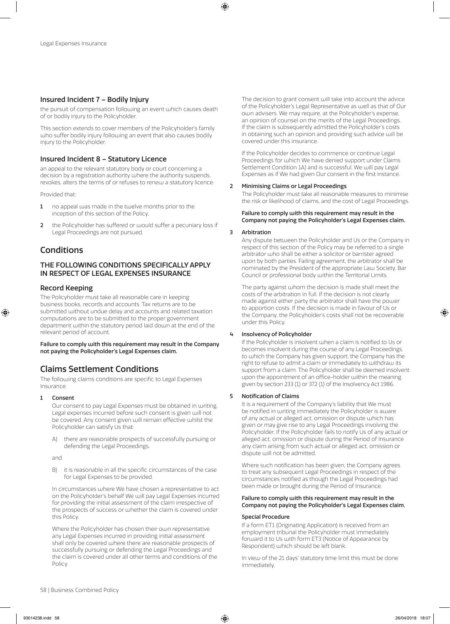### Insured Incident 7 – Bodily Injury

the pursuit of compensation following an event which causes death of or bodily injury to the Policyholder.

This section extends to cover members of the Policyholder's family who suffer bodily injury following an event that also causes bodily injury to the Policyholder.

### Insured Incident 8 – Statutory Licence

an appeal to the relevant statutory body or court concerning a decision by a registration authority where the authority suspends, revokes, alters the terms of or refuses to renew a statutory licence:

Provided that:

- 1 no appeal was made in the twelve months prior to the inception of this section of the Policy,
- 2 the Policyholder has suffered or would suffer a pecuniary loss if Legal Proceedings are not pursued.

# Conditions

# THE FOLLOWING CONDITIONS SPECIFICALLY APPLY IN RESPECT OF LEGAL EXPENSES INSURANCE

### Record Keeping

The Policyholder must take all reasonable care in keeping business books, records and accounts. Tax returns are to be submitted without undue delay and accounts and related taxation computations are to be submitted to the proper government department within the statutory period laid down at the end of the relevant period of account.

Failure to comply with this requirement may result in the Company not paying the Policyholder's Legal Expenses claim.

# Claims Settlement Conditions

The following claims conditions are specific to Legal Expenses Insurance:

### 1 Consent

Our consent to pay Legal Expenses must be obtained in writing. Legal expenses incurred before such consent is given will not be covered. Any consent given will remain effective whilst the Policyholder can satisfy Us that:

A) there are reasonable prospects of successfully pursuing or defending the Legal Proceedings,

and

B) it is reasonable in all the specific circumstances of the case for Legal Expenses to be provided.

In circumstances where We have chosen a representative to act on the Policyholder's behalf We will pay Legal Expenses incurred for providing the initial assessment of the claim irrespective of the prospects of success or whether the claim is covered under this Policy.

Where the Policyholder has chosen their own representative any Legal Expenses incurred in providing initial assessment shall only be covered where there are reasonable prospects of successfully pursuing or defending the Legal Proceedings and the claim is covered under all other terms and conditions of the Policy.

The decision to grant consent will take into account the advice of the Policyholder's Legal Representative as well as that of Our own advisers. We may require, at the Policyholder's expense, an opinion of counsel on the merits of the Legal Proceedings. If the claim is subsequently admitted the Policyholder's costs in obtaining such an opinion and providing such advice will be covered under this insurance.

If the Policyholder decides to commence or continue Legal Proceedings for which We have denied support under Claims Settlement Condition 1A) and is successful, We will pay Legal Expenses as if We had given Our consent in the first instance.

### 2 Minimising Claims or Legal Proceedings

The Policyholder must take all reasonable measures to minimise the risk or likelihood of claims, and the cost of Legal Proceedings.

### Failure to comply with this requirement may result in the Company not paying the Policyholder's Legal Expenses claim.

### 3 Arbitration

Any dispute between the Policyholder and Us or the Company in respect of this section of the Policy may be referred to a single arbitrator who shall be either a solicitor or barrister agreed upon by both parties. Failing agreement, the arbitrator shall be nominated by the President of the appropriate Law Society, Bar Council or professional body within the Territorial Limits.

The party against whom the decision is made shall meet the costs of the arbitration in full. If the decision is not clearly made against either party the arbitrator shall have the power to apportion costs. If the decision is made in favour of Us or the Company, the Policyholder's costs shall not be recoverable under this Policy.

### 4 Insolvency of Policyholder

If the Policyholder is insolvent when a claim is notified to Us or becomes insolvent during the course of any Legal Proceedings, to which the Company has given support, the Company has the right to refuse to admit a claim or immediately to withdraw its support from a claim. The Policyholder shall be deemed insolvent upon the appointment of an office-holder within the meaning given by section 233 (1) or 372 (1) of the Insolvency Act 1986.

### 5 Notification of Claims

It is a requirement of the Company's liability that We must be notified in writing immediately the Policyholder is aware of any actual or alleged act, omission or dispute which has given or may give rise to any Legal Proceedings involving the Policyholder. If the Policyholder fails to notify Us of any actual or alleged act, omission or dispute during the Period of Insurance any claim arising from such actual or alleged act, omission or dispute will not be admitted.

Where such notification has been given, the Company agrees to treat any subsequent Legal Proceedings in respect of the circumstances notified as though the Legal Proceedings had been made or brought during the Period of Insurance.

### Failure to comply with this requirement may result in the Company not paying the Policyholder's Legal Expenses claim.

### Special Procedure

If a form ET1 (Originating Application) is received from an employment tribunal the Policyholder must immediately forward it to Us with form ET3 (Notice of Appearance by Respondent) which should be left blank.

In view of the 21 days' statutory time limit this must be done immediately.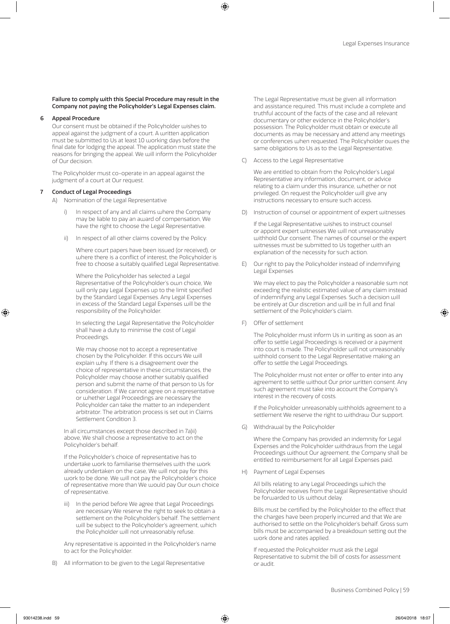### Failure to comply with this Special Procedure may result in the Company not paying the Policyholder's Legal Expenses claim.

### 6 Appeal Procedure

Our consent must be obtained if the Policyholder wishes to appeal against the judgment of a court. A written application must be submitted to Us at least 10 working days before the final date for lodging the appeal. The application must state the reasons for bringing the appeal. We will inform the Policyholder of Our decision.

The Policyholder must co-operate in an appeal against the judgment of a court at Our request.

### 7 Conduct of Legal Proceedings

- A) Nomination of the Legal Representative
	- In respect of any and all claims where the Company may be liable to pay an award of compensation, We have the right to choose the Legal Representative.
	- ii) In respect of all other claims covered by the Policy:

Where court papers have been issued (or received), or where there is a conflict of interest, the Policyholder is free to choose a suitably qualified Legal Representative.

Where the Policyholder has selected a Legal Representative of the Policyholder's own choice, We will only pay Legal Expenses up to the limit specified by the Standard Legal Expenses. Any Legal Expenses in excess of the Standard Legal Expenses will be the responsibility of the Policyholder.

In selecting the Legal Representative the Policyholder shall have a duty to minimise the cost of Legal Proceedings.

We may choose not to accept a representative chosen by the Policyholder. If this occurs We will explain why. If there is a disagreement over the choice of representative in these circumstances, the Policyholder may choose another suitably qualified person and submit the name of that person to Us for consideration. If We cannot agree on a representative or whether Legal Proceedings are necessary the Policyholder can take the matter to an independent arbitrator. The arbitration process is set out in Claims Settlement Condition 3.

In all circumstances except those described in 7a)ii) above, We shall choose a representative to act on the Policyholder's behalf.

If the Policyholder's choice of representative has to undertake work to familiarise themselves with the work already undertaken on the case, We will not pay for this work to be done. We will not pay the Policyholder's choice of representative more than We would pay Our own choice of representative.

iii) In the period before We agree that Legal Proceedings are necessary We reserve the right to seek to obtain a settlement on the Policyholder's behalf. The settlement will be subject to the Policyholder's agreement, which the Policyholder will not unreasonably refuse.

Any representative is appointed in the Policyholder's name to act for the Policyholder.

B) All information to be given to the Legal Representative

The Legal Representative must be given all information and assistance required. This must include a complete and truthful account of the facts of the case and all relevant documentary or other evidence in the Policyholder's possession. The Policyholder must obtain or execute all documents as may be necessary and attend any meetings or conferences when requested. The Policyholder owes the same obligations to Us as to the Legal Representative.

C) Access to the Legal Representative

We are entitled to obtain from the Policyholder's Legal Representative any information, document, or advice relating to a claim under this insurance, whether or not privileged. On request the Policyholder will give any instructions necessary to ensure such access.

D) Instruction of counsel or appointment of expert witnesses

If the Legal Representative wishes to instruct counsel or appoint expert witnesses We will not unreasonably withhold Our consent. The names of counsel or the expert witnesses must be submitted to Us together with an explanation of the necessity for such action.

E) Our right to pay the Policyholder instead of indemnifying Legal Expenses

We may elect to pay the Policyholder a reasonable sum not exceeding the realistic estimated value of any claim instead of indemnifying any Legal Expenses. Such a decision will be entirely at Our discretion and will be in full and final settlement of the Policyholder's claim.

F) Offer of settlement

The Policyholder must inform Us in writing as soon as an offer to settle Legal Proceedings is received or a payment into court is made. The Policyholder will not unreasonably withhold consent to the Legal Representative making an offer to settle the Legal Proceedings.

The Policyholder must not enter or offer to enter into any agreement to settle without Our prior written consent. Any such agreement must take into account the Company's interest in the recovery of costs.

If the Policyholder unreasonably withholds agreement to a settlement We reserve the right to withdraw Our support.

G) Withdrawal by the Policyholder

Where the Company has provided an indemnity for Legal Expenses and the Policyholder withdraws from the Legal Proceedings without Our agreement, the Company shall be entitled to reimbursement for all Legal Expenses paid.

H) Payment of Legal Expenses

All bills relating to any Legal Proceedings which the Policyholder receives from the Legal Representative should be forwarded to Us without delay.

Bills must be certified by the Policyholder to the effect that the charges have been properly incurred and that We are authorised to settle on the Policyholder's behalf. Gross sum bills must be accompanied by a breakdown setting out the work done and rates applied.

If requested the Policyholder must ask the Legal Representative to submit the bill of costs for assessment or audit.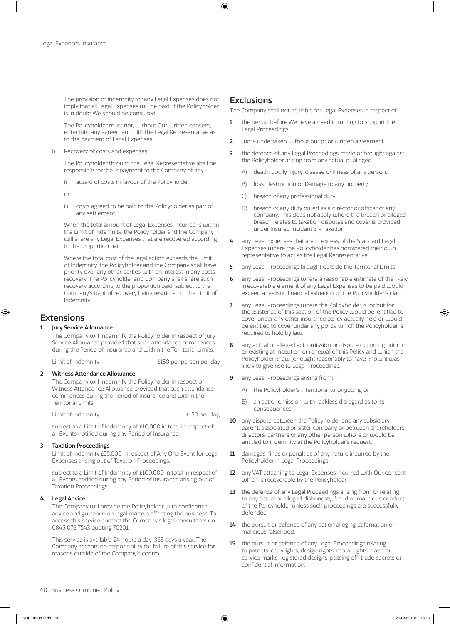The provision of indemnity for any Legal Expenses does not imply that all Legal Expenses will be paid. If the Policyholder is in doubt We should be consulted.

The Policyholder must not, without Our written consent, enter into any agreement with the Legal Representative as to the payment of Legal Expenses.

I) Recovery of costs and expenses

The Policyholder through the Legal Representative shall be responsible for the repayment to the Company of any:

i) award of costs in favour of the Policyholder,

or

ii) costs agreed to be paid to the Policyholder as part of any settlement.

When the total amount of Legal Expenses incurred is within the Limit of Indemnity, the Policyholder and the Company will share any Legal Expenses that are recovered according to the proportion paid.

Where the total cost of the legal action exceeds the Limit of Indemnity, the Policyholder and the Company shall have priority over any other parties with an interest in any costs recovery. The Policyholder and Company shall share such recovery according to the proportion paid, subject to the Company's right of recovery being restricted to the Limit of Indemnity

# Extensions

### 1 Jury Service Allowance

The Company will indemnify the Policyholder in respect of Jury Service Allowance provided that such attendance commences during the Period of Insurance and within the Territorial Limits.

Limit of Indemnity entity and the E150 per person per day

### 2 Witness Attendance Allowance

The Company will indemnify the Policyholder in respect of Witness Attendance Allowance provided that such attendance commences during the Period of Insurance and within the Territorial Limits.

Limit of Indemnity £150 per day,

subject to a Limit of Indemnity of £10,000 in total in respect of all Events notified during any Period of Insurance.

### 3 Taxation Proceedings

Limit of Indemnity £25,000 in respect of Any One Event for Legal Expenses arising out of Taxation Proceedings,

subject to a Limit of Indemnity of £100,000 in total in respect of all Events notified during any Period of Insurance arising out of Taxation Proceedings.

### 4 Legal Advice

The Company will provide the Policyholder with confidential advice and guidance on legal matters affecting the business. To access this service contact the Company's legal consultants on 0845 078 7543 quoting 70201.

This service is available 24 hours a day, 365 days a year. The Company accepts no responsibility for failure of this service for reasons outside of the Company's control.

# **Exclusions**

The Company shall not be liable for Legal Expenses in respect of:

- 1 the period before We have agreed in writing to support the Legal Proceedings,
- 2 work undertaken without our prior written agreement
- 3 the defence of any Legal Proceedings made or brought against the Policyholder arising from any actual or alleged:
	- A) death, bodily injury, disease or illness of any person,
	- B) loss, destruction or Damage to any property,
	- C) breach of any professional duty,
	- D) breach of any duty owed as a director or officer of any company. This does not apply where the breach or alleged breach relates to taxation disputes and cover is provided under Insured Incident 3 - Taxation.
- 4 any Legal Expenses that are in excess of the Standard Legal Expenses where the Policyholder has nominated their own representative to act as the Legal Representative.
- 5 any Legal Proceedings brought outside the Territorial Limits,
- 6 any Legal Proceedings where a reasonable estimate of the likely irrecoverable element of any Legal Expenses to be paid would exceed a realistic financial valuation of the Policyholder's claim,
- 7 any Legal Proceedings where the Policyholder is, or but for the existence of this section of the Policy would be, entitled to cover under any other insurance policy actually held or would be entitled to cover under any policy which the Policyholder is required to hold by law,
- 8 any actual or alleged act, omission or dispute occurring prior to, or existing at inception or renewal of this Policy and which the Policyholder knew (or ought reasonably to have known) was likely to give rise to Legal Proceedings,
- 9 any Legal Proceedings arising from:
	- A) the Policyholder's intentional wrongdoing or
	- B) an act or omission with reckless disregard as to its consequences.
- 10 any dispute between the Policyholder and any subsidiary, parent, associated or sister company or between shareholders, directors, partners or any other person who is or would be entitled to indemnity at the Policyholder's request,
- 11 damages, fines or penalties of any nature incurred by the Policyholder in Legal Proceedings,
- 12 any VAT attaching to Legal Expenses incurred with Our consent which is recoverable by the Policyholder,
- 13 the defence of any Legal Proceedings arising from or relating to any actual or alleged dishonesty, fraud or malicious conduct of the Policyholder unless such proceedings are successfully defended,
- 14 the pursuit or defence of any action alleging defamation or malicious falsehood,
- 15 the pursuit or defence of any Legal Proceedings relating to patents, copyrights, design rights, moral rights, trade or service marks, registered designs, passing off, trade secrets or confidential information,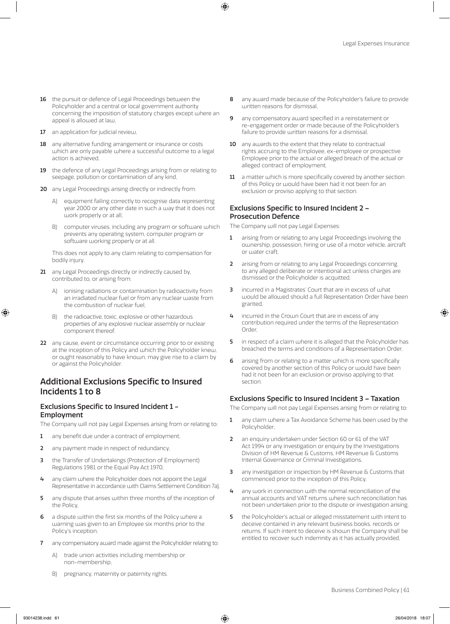- 16 the pursuit or defence of Legal Proceedings between the Policyholder and a central or local government authority concerning the imposition of statutory charges except where an appeal is allowed at law,
- 17 an application for judicial review,
- 18 any alternative funding arrangement or insurance or costs which are only payable where a successful outcome to a legal action is achieved,
- 19 the defence of any Legal Proceedings arising from or relating to seepage, pollution or contamination of any kind,
- 20 any Legal Proceedings arising directly or indirectly from:
	- A) equipment failing correctly to recognise data representing year 2000 or any other date in such a way that it does not work properly or at all,
	- B) computer viruses, including any program or software which prevents any operating system, computer program or software working properly or at all.

This does not apply to any claim relating to compensation for bodily injury.

- 21 any Legal Proceedings directly or indirectly caused by, contributed to, or arising from:
	- ionising radiations or contamination by radioactivity from an irradiated nuclear fuel or from any nuclear waste from the combustion of nuclear fuel,
	- B) the radioactive, toxic, explosive or other hazardous properties of any explosive nuclear assembly or nuclear component thereof.
- 22 any cause, event or circumstance occurring prior to or existing at the inception of this Policy and which the Policyholder knew, or ought reasonably to have known, may give rise to a claim by or against the Policyholder.

# Additional Exclusions Specific to Insured Incidents 1 to 8

## Exclusions Specific to Insured Incident 1 - Employment

The Company will not pay Legal Expenses arising from or relating to:

- 1 any benefit due under a contract of employment,
- 2 any payment made in respect of redundancy,
- 3 the Transfer of Undertakings (Protection of Employment) Regulations 1981 or the Equal Pay Act 1970,
- 4 any claim where the Policyholder does not appoint the Legal Representative in accordance with Claims Settlement Condition 7a),
- 5 any dispute that arises within three months of the inception of the Policy,
- a dispute within the first six months of the Policy where a warning was given to an Employee six months prior to the Policy's inception,
- any compensatory award made against the Policyholder relating to:
	- A) trade union activities including membership or non-membership,
	- B) pregnancy, maternity or paternity rights.
- 8 any award made because of the Policyholder's failure to provide written reasons for dismissal,
- **9** any compensatory award specified in a reinstatement or re-engagement order or made because of the Policyholder's failure to provide written reasons for a dismissal,
- 10 any awards to the extent that they relate to contractual rights accruing to the Employee, ex-employee or prospective Employee prior to the actual or alleged breach of the actual or alleged contract of employment,
- 11 a matter which is more specifically covered by another section of this Policy or would have been had it not been for an exclusion or proviso applying to that section.

## Exclusions Specific to Insured Incident 2 – Prosecution Defence

The Company will not pay Legal Expenses:

- 1 arising from or relating to any Legal Proceedings involving the ownership, possession, hiring or use of a motor vehicle, aircraft or water craft,
- 2 arising from or relating to any Legal Proceedings concerning to any alleged deliberate or intentional act unless charges are dismissed or the Policyholder is acquitted,
- 3 incurred in a Magistrates' Court that are in excess of what would be allowed should a full Representation Order have been granted,
- 4 incurred in the Crown Court that are in excess of any contribution required under the terms of the Representation Order,
- 5 in respect of a claim where it is alleged that the Policyholder has breached the terms and conditions of a Representation Order,
- 6 arising from or relating to a matter which is more specifically covered by another section of this Policy or would have been had it not been for an exclusion or proviso applying to that section.

### Exclusions Specific to Insured Incident 3 – Taxation

The Company will not pay Legal Expenses arising from or relating to:

- 1 any claim where a Tax Avoidance Scheme has been used by the Policyholder,
- 2 an enquiry undertaken under Section 60 or 61 of the VAT Act 1994 or any investigation or enquiry by the Investigations Division of HM Revenue & Customs, HM Revenue & Customs Internal Governance or Criminal Investigations,
- 3 any investigation or inspection by HM Revenue & Customs that commenced prior to the inception of this Policy,
- 4 any work in connection with the normal reconciliation of the annual accounts and VAT returns where such reconciliation has not been undertaken prior to the dispute or investigation arising,
- 5 the Policyholder's actual or alleged misstatement with intent to deceive contained in any relevant business books, records or returns. If such intent to deceive is shown the Company shall be entitled to recover such indemnity as it has actually provided,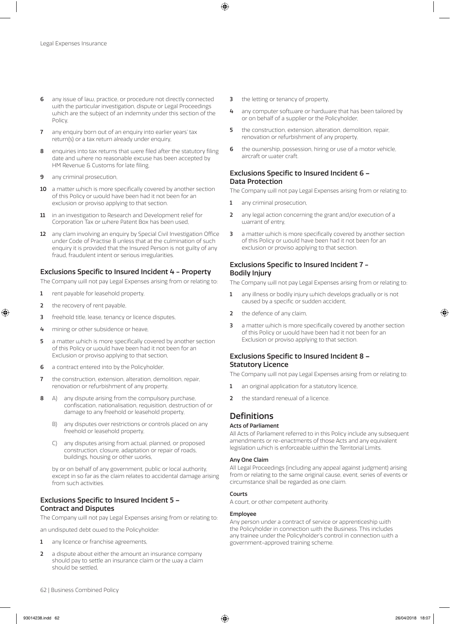- 6 any issue of law, practice, or procedure not directly connected with the particular investigation, dispute or Legal Proceedings which are the subject of an indemnity under this section of the Policy,
- 7 any enquiry born out of an enquiry into earlier years' tax return(s) or a tax return already under enquiry,
- enquiries into tax returns that were filed after the statutory filing date and where no reasonable excuse has been accepted by HM Revenue & Customs for late filing,
- **9** any criminal prosecution,
- 10 a matter which is more specifically covered by another section of this Policy or would have been had it not been for an exclusion or proviso applying to that section.
- 11 in an investigation to Research and Development relief for Corporation Tax or where Patent Box has been used,
- 12 any clam involving an enquiry by Special Civil Investigation Office under Code of Practise 8 unless that at the culmination of such enquiry it is provided that the Insured Person is not guilty of any fraud, fraudulent intent or serious irregularities.

### Exclusions Specific to Insured Incident 4 - Property

The Company will not pay Legal Expenses arising from or relating to:

- 1 rent payable for leasehold property,
- 2 the recovery of rent payable,
- **3** freehold title, lease, tenancy or licence disputes,
- 4 mining or other subsidence or heave,
- 5 a matter which is more specifically covered by another section of this Policy or would have been had it not been for an Exclusion or proviso applying to that section,
- 6 a contract entered into by the Policyholder,
- 7 the construction, extension, alteration, demolition, repair, renovation or refurbishment of any property,
- 8 A) any dispute arising from the compulsory purchase, confiscation, nationalisation, requisition, destruction of or damage to any freehold or leasehold property,
	- B) any disputes over restrictions or controls placed on any freehold or leasehold property,
	- C) any disputes arising from actual, planned, or proposed construction, closure, adaptation or repair of roads, buildings, housing or other works,

by or on behalf of any government, public or local authority, except in so far as the claim relates to accidental damage arising from such activities.

## Exclusions Specific to Insured Incident 5 – Contract and Disputes

The Company will not pay Legal Expenses arising from or relating to:

an undisputed debt owed to the Policyholder:

- 1 any licence or franchise agreements,
- 2 a dispute about either the amount an insurance company should pay to settle an insurance claim or the way a claim should be settled,
- **3** the letting or tenancy of property,
- 4 any computer software or hardware that has been tailored by or on behalf of a supplier or the Policyholder,
- 5 the construction, extension, alteration, demolition, repair, renovation or refurbishment of any property,
- 6 the ownership, possession, hiring or use of a motor vehicle, aircraft or water craft.

## Exclusions Specific to Insured Incident 6 – Data Protection

The Company will not pay Legal Expenses arising from or relating to:

- 1 any criminal prosecution,
- 2 any legal action concerning the grant and/or execution of a warrant of entry,
- 3 a matter which is more specifically covered by another section of this Policy or would have been had it not been for an exclusion or proviso applying to that section.

# Exclusions Specific to Insured Incident 7 - Bodily Injury

The Company will not pay Legal Expenses arising from or relating to:

- 1 any illness or bodily injury which develops gradually or is not caused by a specific or sudden accident,
- 2 the defence of any claim,
- 3 a matter which is more specifically covered by another section of this Policy or would have been had it not been for an Exclusion or proviso applying to that section.

# Exclusions Specific to Insured Incident 8 – Statutory Licence

The Company will not pay Legal Expenses arising from or relating to:

- 1 an original application for a statutory licence,
- 2 the standard renewal of a licence.

# **Definitions**

### Acts of Parliament

All Acts of Parliament referred to in this Policy include any subsequent amendments or re-enactments of those Acts and any equivalent legislation which is enforceable within the Territorial Limits.

### Any One Claim

All Legal Proceedings (including any appeal against judgment) arising from or relating to the same original cause, event, series of events or circumstance shall be regarded as one claim.

### Courts

A court, or other competent authority.

### Employee

Any person under a contract of service or apprenticeship with the Policyholder in connection with the Business. This includes any trainee under the Policyholder's control in connection with a government-approved training scheme.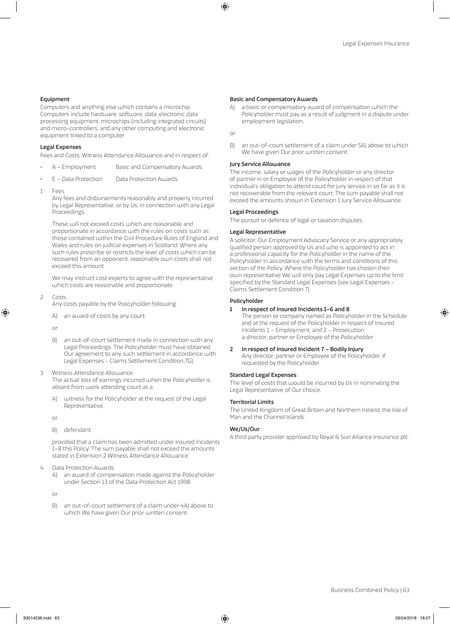### Equipment

Computers and anything else which contains a microchip. Computers include hardware, software, data, electronic data processing equipment, microchips (including integrated circuits) and micro-controllers, and any other computing and electronic equipment linked to a computer.

### Legal Expenses

Fees and Costs, Witness Attendance Allowance and in respect of:

- A Employment Basic and Compensatory Awards,
- E Data Protection Data Protection Awards.
- 1 Fees

Any fees and disbursements reasonably and properly incurred by Legal Representative, or by Us, in connection with any Legal Proceedings.

These will not exceed costs which are reasonable and proportionate in accordance with the rules on costs such as those contained within the Civil Procedure Rules of England and Wales and rules on judicial expenses in Scotland. Where any such rules prescribe or restricts the level of costs which can be recovered from an opponent, reasonable own costs shall not exceed this amount.

We may instruct cost experts to agree with the representative which costs are reasonable and proportionate.

2 Costs

Any costs payable by the Policyholder following:

A) an award of costs by any court;

or

- B) an out-of-court settlement made in connection with any Legal Proceedings. The Policyholder must have obtained Our agreement to any such settlement in accordance with Legal Expenses - Claims Settlement Condition 7G).
- 3 Witness Attendance Allowance The actual loss of earnings incurred when the Policyholder is absent from work attending court as a:
	- A) witness for the Policyholder at the request of the Legal Representative,

or

B) defendant,

provided that a claim has been admitted under Insured Incidents 1–8 this Policy. The sum payable shall not exceed the amounts stated in Extension 2 Witness Attendance Allowance.

- 4 Data Protection Awards
	- A) an award of compensation made against the Policyholder under Section 13 of the Data Protection Act 1998,

or

B) an out-of-court settlement of a claim under 4A) above to which We have given Our prior written consent.

### Basic and Compensatory Awards

A) a basic or compensatory award of compensation which the Policyholder must pay as a result of judgment in a dispute under employment legislation,

or

B) an out-of-court settlement of a claim under 5A) above to which We have given Our prior written consent.

#### Jury Service Allowance

The income, salary or wages of the Policyholder or any director of partner in or Employee of the Policyholder in respect of that individual's obligation to attend court for jury service in so far as it is not recoverable from the relevant court. The sum payable shall not exceed the amounts shown in Extension 1 Jury Service Allowance.

### Legal Proceedings

The pursuit or defence of legal or taxation disputes.

### Legal Representative

A solicitor, Our Employment Advocacy Service or any appropriately qualified person approved by Us and who is appointed to act in a professional capacity for the Policyholder in the name of the Policyholder in accordance with the terms and conditions of this section of the Policy. Where the Policyholder has chosen their own representative We will only pay Legal Expenses up to the limit specified by the Standard Legal Expenses (see Legal Expenses - Claims Settlement Condition 7).

### Policyholder

### 1 In respect of Insured Incidents 1–6 and 8

The person or company named as Policyholder in the Schedule and at the request of the Policyholder in respect of Insured Incidents 1 – Employment, and 2 – Prosecution, a director, partner or Employee of the Policyholder.

2 In respect of Insured Incident 7 – Bodily Injury Any director, partner or Employee of the Policyholder, if requested by the Policyholder.

### Standard Legal Expenses

The level of costs that would be incurred by Us in nominating the Legal Representative of Our choice.

### Territorial Limits

The United Kingdom of Great Britain and Northern Ireland, the Isle of Man and the Channel Islands.

### We/Us/Our

A third party provider approved by Royal & Sun Alliance Insurance plc.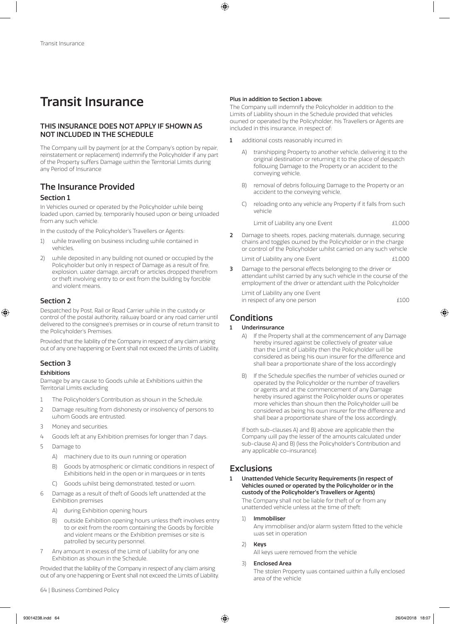# Transit Insurance

# THIS INSURANCE DOES NOT APPLY IF SHOWN AS NOT INCLUDED IN THE SCHEDULE

The Company will by payment (or at the Company's option by repair, reinstatement or replacement) indemnify the Policyholder if any part of the Property suffers Damage within the Territorial Limits during any Period of Insurance

# The Insurance Provided

# Section 1

In Vehicles owned or operated by the Policyholder while being loaded upon, carried by, temporarily housed upon or being unloaded from any such vehicle.

In the custody of the Policyholder's Travellers or Agents:

- 1) while travelling on business including while contained in vehicles,
- 2) while deposited in any building not owned or occupied by the Policyholder but only in respect of Damage as a result of fire, explosion, water damage, aircraft or articles dropped therefrom or theft involving entry to or exit from the building by forcible and violent means.

# Section 2

Despatched by Post, Rail or Road Carrier while in the custody or control of the postal authority, railway board or any road carrier until delivered to the consignee's premises or in course of return transit to the Policyholder's Premises.

Provided that the liability of the Company in respect of any claim arising out of any one happening or Event shall not exceed the Limits of Liability.

# Section 3

# Exhibitions

Damage by any cause to Goods while at Exhibitions within the Territorial Limits excluding

- 1 The Policyholder's Contribution as shown in the Schedule.
- 2 Damage resulting from dishonesty or insolvency of persons to whom Goods are entrusted.
- 3 Money and securities.
- 4 Goods left at any Exhibition premises for longer than 7 days.
- 5 Damage to
	- A) machinery due to its own running or operation
		- B) Goods by atmospheric or climatic conditions in respect of Exhibitions held in the open or in marquees or in tents
	- Goods whilst being demonstrated, tested or worn.
- Damage as a result of theft of Goods left unattended at the Exhibition premises
	- A) during Exhibition opening hours
	- B) outside Exhibition opening hours unless theft involves entry to or exit from the room containing the Goods by forcible and violent means or the Exhibition premises or site is patrolled by security personnel.
- 7 Any amount in excess of the Limit of Liability for any one Exhibition as shown in the Schedule.

Provided that the liability of the Company in respect of any claim arising out of any one happening or Event shall not exceed the Limits of Liability.

### Plus in addition to Section 1 above:

The Company will indemnify the Policyholder in addition to the Limits of Liability shown in the Schedule provided that vehicles owned or operated by the Policyholder, his Travellers or Agents are included in this insurance, in respect of:

- 1 additional costs reasonably incurred in:
	- A) transhipping Property to another vehicle, delivering it to the original destination or returning it to the place of despatch following Damage to the Property or an accident to the conveying vehicle,
	- B) removal of debris following Damage to the Property or an accident to the conveying vehicle,
	- C) reloading onto any vehicle any Property if it falls from such vehicle

Limit of Liability any one Event **Example 21,000** 

2 Damage to sheets, ropes, packing materials, dunnage, securing chains and toggles owned by the Policyholder or in the charge or control of the Policyholder whilst carried on any such vehicle

Limit of Liability any one Event **Example 2018** E1,000

3 Damage to the personal effects belonging to the driver or attendant whilst carried by any such vehicle in the course of the employment of the driver or attendant with the Policyholder

 Limit of Liability any one Event in respect of any one person **Election** 2000

# **Conditions**

# 1 Underinsurance

- A) If the Property shall at the commencement of any Damage hereby insured against be collectively of greater value than the Limit of Liability then the Policyholder will be considered as being his own insurer for the difference and shall bear a proportionate share of the loss accordingly
- B) If the Schedule specifies the number of vehicles owned or operated by the Policyholder or the number of travellers or agents and at the commencement of any Damage hereby insured against the Policyholder owns or operates more vehicles than shown then the Policyholder will be considered as being his own insurer for the difference and shall bear a proportionate share of the loss accordingly.

If both sub-clauses A) and B) above are applicable then the Company will pay the lesser of the amounts calculated under sub-clause A) and B) (less the Policyholder's Contribution and any applicable co-insurance).

# **Exclusions**

### 1 Unattended Vehicle Security Requirements (in respect of Vehicles owned or operated by the Policyholder or in the custody of the Policyholder's Travellers or Agents)

The Company shall not be liable for theft of or from any unattended vehicle unless at the time of theft:

### 1) Immobiliser

Any immobiliser and/or alarm system fitted to the vehicle was set in operation

### 2) Keys

All keys were removed from the vehicle

### 3) Enclosed Area

The stolen Property was contained within a fully enclosed area of the vehicle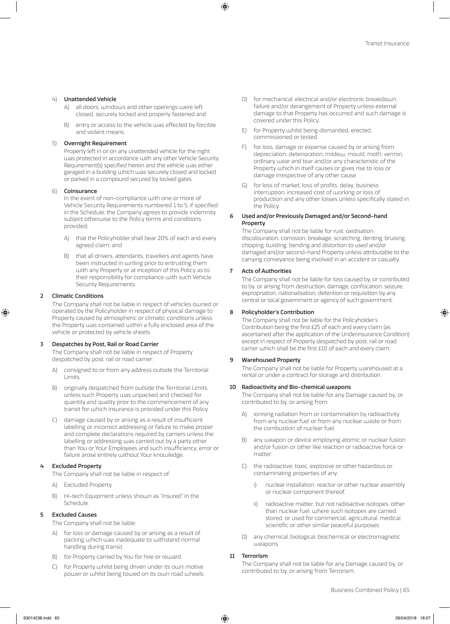### 4) Unattended Vehicle

- A) all doors, windows and other openings were left closed, securely locked and properly fastened and
- B) entry or access to the vehicle was effected by forcible and violent means.

### 5) Overnight Requirement

Property left in or on any unattended vehicle for the night was protected in accordance with any other Vehicle Security Requirement(s) specified herein and the vehicle was either garaged in a building which was securely closed and locked or parked in a compound secured by locked gates.

### 6) Coinsurance

In the event of non-compliance with one or more of Vehicle Security Requirements numbered 1 to 5, if specified in the Schedule, the Company agrees to provide indemnity subject otherwise to the Policy terms and conditions provided;

- A) that the Policyholder shall bear 20% of each and every agreed claim; and
- B) that all drivers, attendants, travellers and agents have been instructed in writing prior to entrusting them with any Property or at inception of this Policy as to their responsibility for compliance with such Vehicle Security Requirements.

### 2 Climatic Conditions

The Company shall not be liable in respect of vehicles owned or operated by the Policyholder in respect of physical damage to Property caused by atmospheric or climatic conditions unless the Property was contained within a fully enclosed area of the vehicle or protected by vehicle sheets.

### Despatches by Post, Rail or Road Carrier

The Company shall not be liable in respect of Property despatched by post, rail or road carrier:

- A) consigned to or from any address outside the Territorial Limits.
- B) originally despatched from outside the Territorial Limits unless such Property was unpacked and checked for quantity and quality prior to the commencement of any transit for which insurance is provided under this Policy.
- C) damage caused by or arising as a result of insufficient labelling or incorrect addressing or failure to make proper and complete declarations required by carriers unless the labelling or addressing was carried out by a party other than You or Your Employees and such insufficiency, error or failure arose entirely without Your knowledge.

### **Excluded Property**

The Company shall not be liable in respect of:

- A) Excluded Property.
- B) Hi-tech Equipment unless shown as "Insured" in the Schedule.

### 5 Excluded Causes

The Company shall not be liable:

- for loss or damage caused by or arising as a result of packing which was inadequate to withstand normal handling during transit.
- B) for Property carried by You for hire or reward.
- C) for Property whilst being driven under its own motive power or whilst being towed on its own road wheels.
- D) for mechanical, electrical and/or electronic breakdown, failure and/or derangement of Property unless external damage to that Property has occurred and such damage is covered under this Policy.
- E) for Property whilst being dismantled, erected, commissioned or tested.
- F) for loss, damage or expense caused by or arising from depreciation, deterioration, mildew, mould, moth, vermin, ordinary wear and tear and/or any characteristic of the Property which in itself causes or gives rise to loss or damage irrespective of any other cause.
- G) for loss of market, loss of profits, delay, business interruption, increased cost of working or loss of production and any other losses unless specifically stated in the Policy.

### 6 Used and/or Previously Damaged and/or Second-hand Property

The Company shall not be liable for rust, oxidisation, discolouration, corrosion, breakage, scratching, denting, bruising, chipping, twisting, bending and distortion to used and/or damaged and/or second-hand Property unless attributable to the carrying conveyance being involved in an accident or casualty.

### 7 Acts of Authorities

The Company shall not be liable for loss caused by, or contributed to by, or arising from destruction, damage, confiscation, seizure, expropriation, nationalisation, detention or requisition by any central or local government or agency of such government.

### 8 Policyholder's Contribution

The Company shall not be liable for the Policyholder's Contribution being the first £25 of each and every claim (as ascertained after the application of the Underinsurance Condition) except in respect of Property despatched by post, rail or road carrier which shall be the first £10 of each and every claim.

### 9 Warehoused Property

The Company shall not be liable for Property warehoused at a rental or under a contract for storage and distribution.

### 10 Radioactivity and Bio-chemical weapons

The Company shall not be liable for any Damage caused by, or contributed to by, or arising from:

- A) ionising radiation from or contamination by radioactivity from any nuclear fuel or from any nuclear waste or from the combustion of nuclear fuel.
- B) any weapon or device employing atomic or nuclear fusion and/or fusion or other like reaction or radioactive force or matter
- C) the radioactive, toxic, explosive or other hazardous or contaminating properties of any:
	- i) nuclear installation, reactor or other nuclear assembly or nuclear component thereof.
	- ii) radioactive matter, but not radioactive isotopes, other than nuclear fuel, where such isotopes are carried, stored, or used for commercial, agricultural, medical, scientific or other similar peaceful purposes.
- D) any chemical, biological, biochemical or electromagnetic weapons.

### 11 Terrorism

The Company shall not be liable for any Damage caused by, or contributed to by, or arising from Terrorism.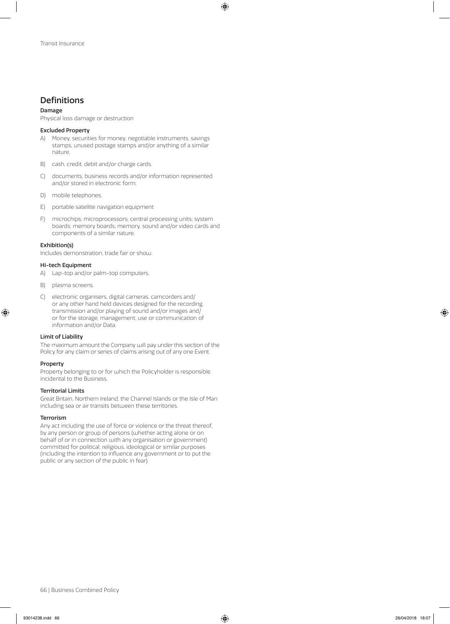# **Definitions**

### Damage

Physical loss damage or destruction

### Excluded Property

- A) Money, securities for money, negotiable instruments, savings stamps, unused postage stamps and/or anything of a similar nature,
- B) cash, credit, debit and/or charge cards,
- C) documents, business records and/or information represented and/or stored in electronic form,
- D) mobile telephones,
- E) portable satellite navigation equipment
- F) microchips; microprocessors; central processing units; system boards; memory boards; memory, sound and/or video cards and components of a similar nature.

### Exhibition(s)

Includes demonstration, trade fair or show.

### Hi-tech Equipment

- A) Lap-top and/or palm-top computers,
- B) plasma screens,
- C) electronic organisers, digital cameras, camcorders and/ or any other hand held devices designed for the recording, transmission and/or playing of sound and/or images and/ or for the storage, management, use or communication of information and/or Data.

### Limit of Liability

The maximum amount the Company will pay under this section of the Policy for any claim or series of claims arising out of any one Event.

### Property

Property belonging to or for which the Policyholder is responsible incidental to the Business.

### Territorial Limits

Great Britain, Northern Ireland, the Channel Islands or the Isle of Man including sea or air transits between these territories.

### Terrorism

Any act including the use of force or violence or the threat thereof, by any person or group of persons (whether acting alone or on behalf of or in connection with any organisation or government) committed for political, religious, ideological or similar purposes (including the intention to influence any government or to put the public or any section of the public in fear).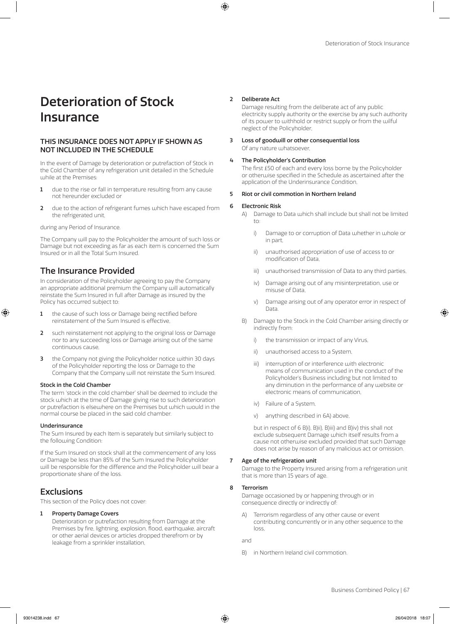# Deterioration of Stock Insurance

## THIS INSURANCE DOES NOT APPLY IF SHOWN AS NOT INCLUDED IN THE SCHEDULE

In the event of Damage by deterioration or putrefaction of Stock in the Cold Chamber of any refrigeration unit detailed in the Schedule while at the Premises:

- 1 due to the rise or fall in temperature resulting from any cause not hereunder excluded or
- 2 due to the action of refrigerant fumes which have escaped from the refrigerated unit,

during any Period of Insurance.

The Company will pay to the Policyholder the amount of such loss or Damage but not exceeding as far as each item is concerned the Sum Insured or in all the Total Sum Insured.

# The Insurance Provided

In consideration of the Policyholder agreeing to pay the Company an appropriate additional premium the Company will automatically reinstate the Sum Insured in full after Damage as insured by the Policy has occurred subject to:

- 1 the cause of such loss or Damage being rectified before reinstatement of the Sum Insured is effective,
- 2 such reinstatement not applying to the original loss or Damage nor to any succeeding loss or Damage arising out of the same continuous cause,
- 3 the Company not giving the Policyholder notice within 30 days of the Policyholder reporting the loss or Damage to the Company that the Company will not reinstate the Sum Insured.

### Stock in the Cold Chamber

The term 'stock in the cold chamber' shall be deemed to include the stock which at the time of Damage giving rise to such deterioration or putrefaction is elsewhere on the Premises but which would in the normal course be placed in the said cold chamber.

### **Underinsurance**

The Sum Insured by each Item is separately but similarly subject to the following Condition:

If the Sum Insured on stock shall at the commencement of any loss or Damage be less than 85% of the Sum Insured the Policyholder will be responsible for the difference and the Policyholder will bear a proportionate share of the loss.

# **Exclusions**

This section of the Policy does not cover:

### 1 Property Damage Covers

Deterioration or putrefaction resulting from Damage at the Premises by fire, lightning, explosion, flood, earthquake, aircraft or other aerial devices or articles dropped therefrom or by leakage from a sprinkler installation,

### 2 Deliberate Act

Damage resulting from the deliberate act of any public electricity supply authority or the exercise by any such authority of its power to withhold or restrict supply or from the wilful neglect of the Policyholder,

### 3 Loss of goodwill or other consequential loss Of any nature whatsoever,

### 4 The Policyholder's Contribution

The first £50 of each and every loss borne by the Policyholder or otherwise specified in the Schedule as ascertained after the application of the Underinsurance Condition,

### 5 Riot or civil commotion in Northern Ireland

### 6 Electronic Risk

- A) Damage to Data which shall include but shall not be limited to:
	- i) Damage to or corruption of Data whether in whole or in part,
	- ii) unauthorised appropriation of use of access to or modification of Data,
	- iii) unauthorised transmission of Data to any third parties,
	- iv) Damage arising out of any misinterpretation, use or misuse of Data,
	- v) Damage arising out of any operator error in respect of Data.
- B) Damage to the Stock in the Cold Chamber arising directly or indirectly from:
	- i) the transmission or impact of any Virus
	- ii) unauthorised access to a System,
	- iii) interruption of or interference with electronic means of communication used in the conduct of the Policyholder's Business including but not limited to any diminution in the performance of any website or electronic means of communication,
	- iv) Failure of a System,
	- v) anything described in 6A) above,

but in respect of 6 B)i), B)ii), B)iii) and B)iv) this shall not exclude subsequent Damage which itself results from a cause not otherwise excluded provided that such Damage does not arise by reason of any malicious act or omission.

### 7 Age of the refrigeration unit

Damage to the Property Insured arising from a refrigeration unit that is more than 15 years of age.

### 8 Terrorism

Damage occasioned by or happening through or in consequence directly or indirectly of:

A) Terrorism regardless of any other cause or event contributing concurrently or in any other sequence to the loss,

and

B) in Northern Ireland civil commotion.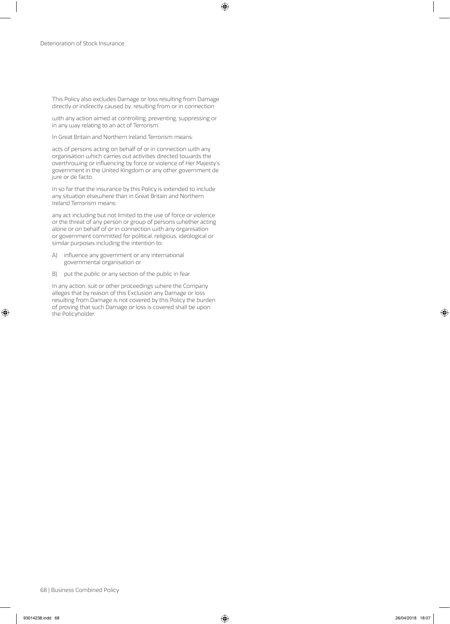This Policy also excludes Damage or loss resulting from Damage directly or indirectly caused by, resulting from or in connection

with any action aimed at controlling, preventing, suppressing or in any way relating to an act of Terrorism.

In Great Britain and Northern Ireland Terrorism means:

acts of persons acting on behalf of or in connection with any organisation which carries out activities directed towards the overthrowing or influencing by force or violence of Her Majesty's government in the United Kingdom or any other government de jure or de facto.

In so far that the insurance by this Policy is extended to include any situation elsewhere than in Great Britain and Northern Ireland Terrorism means:

any act including but not limited to the use of force or violence or the threat of any person or group of persons whether acting alone or on behalf of or in connection with any organisation or government committed for political, religious, ideological or similar purposes including the intention to:

- A) influence any government or any international governmental organisation or
- B) put the public or any section of the public in fear.

In any action, suit or other proceedings where the Company alleges that by reason of this Exclusion any Damage or loss resulting from Damage is not covered by this Policy the burden of proving that such Damage or loss is covered shall be upon the Policyholder.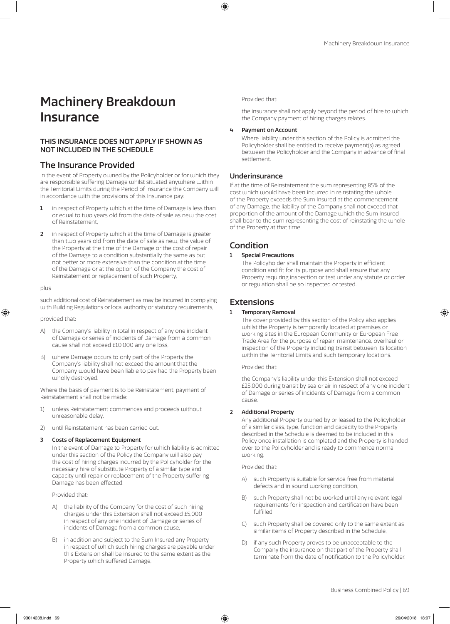# Machinery Breakdown Insurance

# THIS INSURANCE DOES NOT APPLY IF SHOWN AS NOT INCLUDED IN THE SCHEDULE

# The Insurance Provided

In the event of Property owned by the Policyholder or for which they are responsible suffering Damage whilst situated anywhere within the Territorial Limits during the Period of Insurance the Company will in accordance with the provisions of this Insurance pay:

- 1 in respect of Property which at the time of Damage is less than or equal to two years old from the date of sale as new the cost of Reinstatement,
- 2 in respect of Property which at the time of Damage is greater than two years old from the date of sale as new, the value of the Property at the time of the Damage or the cost of repair of the Damage to a condition substantially the same as but not better or more extensive than the condition at the time of the Damage or at the option of the Company the cost of Reinstatement or replacement of such Property,

### plus

such additional cost of Reinstatement as may be incurred in complying with Building Regulations or local authority or statutory requirements,

provided that:

- A) the Company's liability in total in respect of any one incident of Damage or series of incidents of Damage from a common cause shall not exceed £10,000 any one loss,
- B) where Damage occurs to only part of the Property the Company's liability shall not exceed the amount that the Company would have been liable to pay had the Property been wholly destroyed.

Where the basis of payment is to be Reinstatement, payment of Reinstatement shall not be made:

- 1) unless Reinstatement commences and proceeds without unreasonable delay,
- 2) until Reinstatement has been carried out.

### 3 Costs of Replacement Equipment

In the event of Damage to Property for which liability is admitted under this section of the Policy the Company will also pay the cost of hiring charges incurred by the Policyholder for the necessary hire of substitute Property of a similar type and capacity until repair or replacement of the Property suffering Damage has been effected,

Provided that:

- A) the liability of the Company for the cost of such hiring charges under this Extension shall not exceed £5,000 in respect of any one incident of Damage or series of incidents of Damage from a common cause,
- B) in addition and subject to the Sum Insured any Property in respect of which such hiring charges are payable under this Extension shall be insured to the same extent as the Property which suffered Damage,

Provided that:

the insurance shall not apply beyond the period of hire to which the Company payment of hiring charges relates.

### 4 Payment on Account

Where liability under this section of the Policy is admitted the Policyholder shall be entitled to receive payment(s) as agreed between the Policyholder and the Company in advance of final settlement.

### Underinsurance

If at the time of Reinstatement the sum representing 85% of the cost which would have been incurred in reinstating the whole of the Property exceeds the Sum Insured at the commencement of any Damage, the liability of the Company shall not exceed that proportion of the amount of the Damage which the Sum Insured shall bear to the sum representing the cost of reinstating the whole of the Property at that time.

# Condition

### **Special Precautions**

The Policyholder shall maintain the Property in efficient condition and fit for its purpose and shall ensure that any Property requiring inspection or test under any statute or order or regulation shall be so inspected or tested.

# Extensions

### **Temporary Removal**

The cover provided by this section of the Policy also applies whilst the Property is temporarily located at premises or working sites in the European Community or European Free Trade Area for the purpose of repair, maintenance, overhaul or inspection of the Property including transit between its location within the Territorial Limits and such temporary locations.

Provided that:

the Company's liability under this Extension shall not exceed £25,000 during transit by sea or air in respect of any one incident of Damage or series of incidents of Damage from a common cause.

### 2 Additional Property

Any additional Property owned by or leased to the Policyholder of a similar class, type, function and capacity to the Property described in the Schedule is deemed to be included in this Policy once installation is completed and the Property is handed over to the Policyholder and is ready to commence normal working,

Provided that:

- A) such Property is suitable for service free from material defects and in sound working condition,
- B) such Property shall not be worked until any relevant legal requirements for inspection and certification have been fulfilled,
- C) such Property shall be covered only to the same extent as similar items of Property described in the Schedule,
- if any such Property proves to be unacceptable to the Company the insurance on that part of the Property shall terminate from the date of notification to the Policyholder.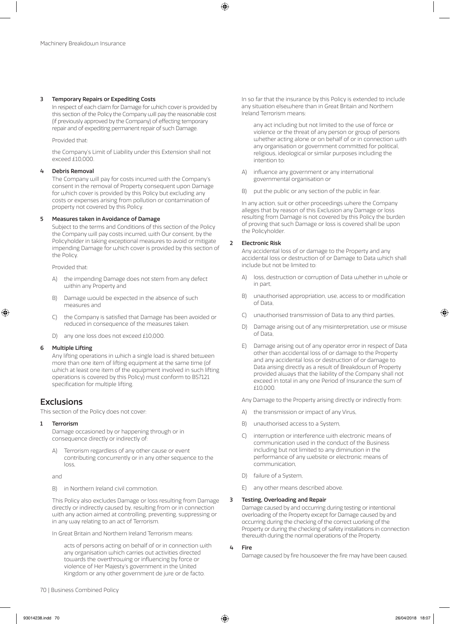### 3 Temporary Repairs or Expediting Costs

In respect of each claim for Damage for which cover is provided by this section of the Policy the Company will pay the reasonable cost (if previously approved by the Company) of effecting temporary repair and of expediting permanent repair of such Damage.

Provided that:

the Company's Limit of Liability under this Extension shall not exceed £10,000.

### 4 Debris Removal

The Company will pay for costs incurred with the Company's consent in the removal of Property consequent upon Damage for which cover is provided by this Policy but excluding any costs or expenses arising from pollution or contamination of property not covered by this Policy.

### 5 Measures taken in Avoidance of Damage

Subject to the terms and Conditions of this section of the Policy the Company will pay costs incurred, with Our consent, by the Policyholder in taking exceptional measures to avoid or mitigate impending Damage for which cover is provided by this section of the Policy.

Provided that:

- A) the impending Damage does not stem from any defect within any Property and
- B) Damage would be expected in the absence of such measures and
- C) the Company is satisfied that Damage has been avoided or reduced in consequence of the measures taken.
- D) any one loss does not exceed £10,000.

### 6 Multiple Lifting

Any lifting operations in which a single load is shared between more than one item of lifting equipment at the same time (of which at least one item of the equipment involved in such lifting operations is covered by this Policy) must conform to BS7121 specification for multiple lifting.

# **Exclusions**

This section of the Policy does not cover:

### 1 Terrorism

Damage occasioned by or happening through or in consequence directly or indirectly of:

A) Terrorism regardless of any other cause or event contributing concurrently or in any other sequence to the loss,

and

B) in Northern Ireland civil commotion.

This Policy also excludes Damage or loss resulting from Damage directly or indirectly caused by, resulting from or in connection with any action aimed at controlling, preventing, suppressing or in any way relating to an act of Terrorism.

In Great Britain and Northern Ireland Terrorism means:

acts of persons acting on behalf of or in connection with any organisation which carries out activities directed towards the overthrowing or influencing by force or violence of Her Majesty's government in the United Kingdom or any other government de jure or de facto.

In so far that the insurance by this Policy is extended to include any situation elsewhere than in Great Britain and Northern Ireland Terrorism means:

any act including but not limited to the use of force or violence or the threat of any person or group of persons whether acting alone or on behalf of or in connection with any organisation or government committed for political, religious, ideological or similar purposes including the intention to:

- A) influence any government or any international governmental organisation or
- B) put the public or any section of the public in fear.

In any action, suit or other proceedings where the Company alleges that by reason of this Exclusion any Damage or loss resulting from Damage is not covered by this Policy the burden of proving that such Damage or loss is covered shall be upon the Policyholder.

### 2 Electronic Risk

Any accidental loss of or damage to the Property and any accidental loss or destruction of or Damage to Data which shall include but not be limited to:

- A) loss, destruction or corruption of Data whether in whole or in part,
- B) unauthorised appropriation, use, access to or modification of Data,
- C) unauthorised transmission of Data to any third parties,
- D) Damage arising out of any misinterpretation, use or misuse of Data,
- E) Damage arising out of any operator error in respect of Data other than accidental loss of or damage to the Property and any accidental loss or destruction of or damage to Data arising directly as a result of Breakdown of Property provided always that the liability of the Company shall not exceed in total in any one Period of Insurance the sum of £10,000.

Any Damage to the Property arising directly or indirectly from:

- A) the transmission or impact of any Virus,
- B) unauthorised access to a System,
- C) interruption or interference with electronic means of communication used in the conduct of the Business including but not limited to any diminution in the performance of any website or electronic means of communication,
- D) failure of a System,
- E) any other means described above.

### 3 Testing, Overloading and Repair

Damage caused by and occurring during testing or intentional overloading of the Property except for Damage caused by and occurring during the checking of the correct working of the Property or during the checking of safety installations in connection therewith during the normal operations of the Property.

### 4 Fire

Damage caused by fire howsoever the fire may have been caused.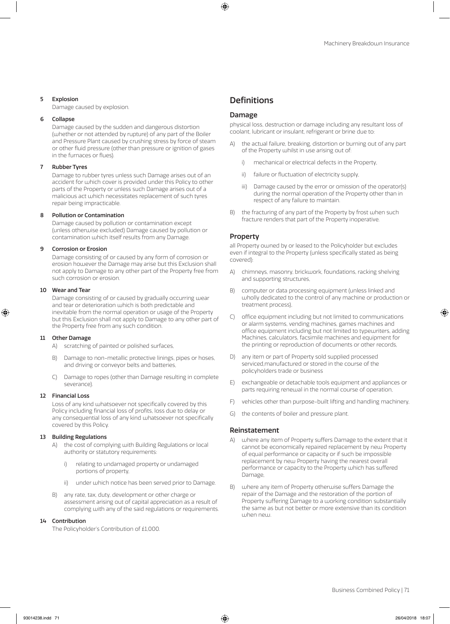#### 5 Explosion

Damage caused by explosion.

#### 6 Collapse

Damage caused by the sudden and dangerous distortion (whether or not attended by rupture) of any part of the Boiler and Pressure Plant caused by crushing stress by force of steam or other fluid pressure (other than pressure or ignition of gases in the furnaces or flues).

#### **Rubber Tyres**

Damage to rubber tyres unless such Damage arises out of an accident for which cover is provided under this Policy to other parts of the Property or unless such Damage arises out of a malicious act which necessitates replacement of such tyres repair being impracticable.

#### 8 Pollution or Contamination

Damage caused by pollution or contamination except (unless otherwise excluded) Damage caused by pollution or contamination which itself results from any Damage.

#### 9 Corrosion or Erosion

Damage consisting of or caused by any form of corrosion or erosion however the Damage may arise but this Exclusion shall not apply to Damage to any other part of the Property free from such corrosion or erosion.

#### 10 Wear and Tear

Damage consisting of or caused by gradually occurring wear and tear or deterioration which is both predictable and inevitable from the normal operation or usage of the Property but this Exclusion shall not apply to Damage to any other part of the Property free from any such condition.

#### 11 Other Damage

A) scratching of painted or polished surfaces,

- B) Damage to non-metallic protective linings, pipes or hoses, and driving or conveyor belts and batteries,
- C) Damage to ropes (other than Damage resulting in complete severance).

#### 12 Financial Loss

Loss of any kind whatsoever not specifically covered by this Policy including financial loss of profits, loss due to delay or any consequential loss of any kind whatsoever not specifically covered by this Policy.

#### 13 Building Regulations

- A) the cost of complying with Building Regulations or local authority or statutory requirements:
	- i) relating to undamaged property or undamaged portions of property,
	- ii) under which notice has been served prior to Damage.
- B) any rate, tax, duty, development or other charge or assessment arising out of capital appreciation as a result of complying with any of the said regulations or requirements.

#### 14 Contribution

The Policyholder's Contribution of £1,000.

## **Definitions**

#### Damage

physical loss, destruction or damage including any resultant loss of coolant, lubricant or insulant, refrigerant or brine due to:

- A) the actual failure, breaking, distortion or burning out of any part of the Property whilst in use arising out of:
	- i) mechanical or electrical defects in the Property,
	- ii) failure or fluctuation of electricity supply,
	- iii) Damage caused by the error or omission of the operator(s) during the normal operation of the Property other than in respect of any failure to maintain.
- B) the fracturing of any part of the Property by frost when such fracture renders that part of the Property inoperative.

#### Property

all Property owned by or leased to the Policyholder but excludes even if integral to the Property (unless specifically stated as being covered):

- A) chimneys, masonry, brickwork, foundations, racking shelving and supporting structures,
- B) computer or data processing equipment (unless linked and wholly dedicated to the control of any machine or production or treatment process),
- C) office equipment including but not limited to communications or alarm systems, vending machines, games machines and office equipment including but not limited to typewriters, adding Machines, calculators, facsimile machines and equipment for the printing or reproduction of documents or other records,
- D) any item or part of Property sold supplied processed serviced,manufactured or stored in the course of the policyholders trade or business
- E) exchangeable or detachable tools equipment and appliances or parts requiring renewal in the normal course of operation,
- F) vehicles other than purpose-built lifting and handling machinery,
- G) the contents of boiler and pressure plant.

#### Reinstatement

- A) where any item of Property suffers Damage to the extent that it cannot be economically repaired replacement by new Property of equal performance or capacity or if such be impossible replacement by new Property having the nearest overall performance or capacity to the Property which has suffered Damage,
- B) where any item of Property otherwise suffers Damage the repair of the Damage and the restoration of the portion of Property suffering Damage to a working condition substantially the same as but not better or more extensive than its condition when new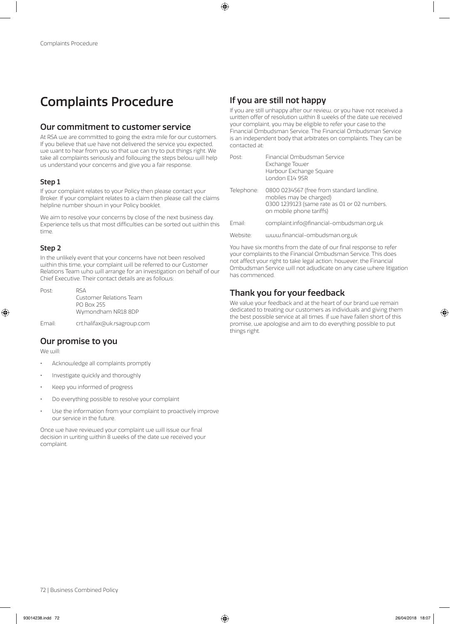# Complaints Procedure

## Our commitment to customer service

At RSA we are committed to going the extra mile for our customers. If you believe that we have not delivered the service you expected, we want to hear from you so that we can try to put things right. We take all complaints seriously and following the steps below will help us understand your concerns and give you a fair response.

### Step 1

If your complaint relates to your Policy then please contact your Broker. If your complaint relates to a claim then please call the claims helpline number shown in your Policy booklet.

We aim to resolve your concerns by close of the next business day. Experience tells us that most difficulties can be sorted out within this time.

#### Step 2

In the unlikely event that your concerns have not been resolved within this time, your complaint will be referred to our Customer Relations Team who will arrange for an investigation on behalf of our Chief Executive. Their contact details are as follows:

| Post: | RSA                     |
|-------|-------------------------|
|       | Customer Relations Team |
|       | <b>PO Box 255</b>       |
|       | Wymondham NR18 8DP      |
|       |                         |

Email: crt.halifax@uk.rsagroup.com

## Our promise to you

We will:

- Acknowledge all complaints promptly
- Investigate quickly and thoroughly
- Keep you informed of progress
- Do everything possible to resolve your complaint
- Use the information from your complaint to proactively improve our service in the future.

Once we have reviewed your complaint we will issue our final decision in writing within 8 weeks of the date we received your complaint.

# If you are still not happy

If you are still unhappy after our review, or you have not received a written offer of resolution within 8 weeks of the date we received your complaint, you may be eligible to refer your case to the Financial Ombudsman Service. The Financial Ombudsman Service is an independent body that arbitrates on complaints. They can be contacted at:

| Post       | Financial Ombudsman Service<br>Exchange Tower<br>Harbour Exchange Square<br>London F14 9SR                                                        |
|------------|---------------------------------------------------------------------------------------------------------------------------------------------------|
| Telephone: | 0800 0234567 (free from standard landline,<br>mobiles may be charged)<br>0300 1239123 (same rate as 01 or 02 numbers,<br>on mobile phone tariffs) |
| Fmail·     | complaint.info@financial-ombudsman.org.uk                                                                                                         |
| Website:   | www.financial-ombudsman.org.uk                                                                                                                    |

You have six months from the date of our final response to refer your complaints to the Financial Ombudsman Service. This does not affect your right to take legal action; however, the Financial Ombudsman Service will not adjudicate on any case where litigation has commenced.

# Thank you for your feedback

We value your feedback and at the heart of our brand we remain dedicated to treating our customers as individuals and giving them the best possible service at all times. If we have fallen short of this promise, we apologise and aim to do everything possible to put things right.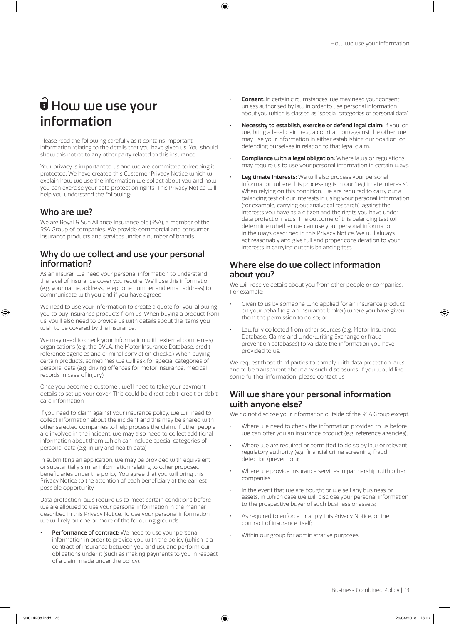# $\widehat{\mathbf{U}}$  How we use your information

Please read the following carefully as it contains important information relating to the details that you have given us. You should show this notice to any other party related to this insurance.

Your privacy is important to us and we are committed to keeping it protected. We have created this Customer Privacy Notice which will explain how we use the information we collect about you and how you can exercise your data protection rights. This Privacy Notice will help you understand the following:

### Who are use?

We are Royal & Sun Alliance Insurance plc (RSA), a member of the RSA Group of companies. We provide commercial and consumer insurance products and services under a number of brands.

## Why do we collect and use your personal information?

As an insurer, we need your personal information to understand the level of insurance cover you require. We'll use this information (e.g. your name, address, telephone number and email address) to communicate with you and if you have agreed.

We need to use your information to create a quote for you, allowing you to buy insurance products from us. When buying a product from us, you'll also need to provide us with details about the items you wish to be covered by the insurance.

We may need to check your information with external companies/ organisations (e.g. the DVLA, the Motor Insurance Database, credit reference agencies and criminal conviction checks.) When buying certain products, sometimes we will ask for special categories of personal data (e.g. driving offences for motor insurance, medical records in case of injury).

Once you become a customer, we'll need to take your payment details to set up your cover. This could be direct debit, credit or debit card information.

If you need to claim against your insurance policy, we will need to collect information about the incident and this may be shared with other selected companies to help process the claim. If other people are involved in the incident, we may also need to collect additional information about them which can include special categories of personal data (e.g. injury and health data).

In submitting an application, we may be provided with equivalent or substantially similar information relating to other proposed beneficiaries under the policy. You agree that you will bring this Privacy Notice to the attention of each beneficiary at the earliest possible opportunity.

Data protection laws require us to meet certain conditions before we are allowed to use your personal information in the manner described in this Privacy Notice. To use your personal information, we will rely on one or more of the following grounds:

Performance of contract: We need to use your personal information in order to provide you with the policy (which is a contract of insurance between you and us), and perform our obligations under it (such as making payments to you in respect of a claim made under the policy).

- Consent: In certain circumstances, we may need your consent unless authorised by law in order to use personal information about you which is classed as "special categories of personal data".
- Necessity to establish, exercise or defend legal claim: If you, or we, bring a legal claim (e.g. a court action) against the other, we may use your information in either establishing our position, or defending ourselves in relation to that legal claim.
- **Compliance with a legal obligation:** Where laws or regulations may require us to use your personal information in certain ways.
- Legitimate Interests: We will also process your personal information where this processing is in our "legitimate interests". When relying on this condition, we are required to carry out a balancing test of our interests in using your personal information (for example, carrying out analytical research), against the interests you have as a citizen and the rights you have under data protection laws. The outcome of this balancing test will determine whether we can use your personal information in the ways described in this Privacy Notice. We will always act reasonably and give full and proper consideration to your interests in carrying out this balancing test.

## Where else do we collect information about you?

We will receive details about you from other people or companies. For example:

- Given to us by someone who applied for an insurance product on your behalf (e.g. an insurance broker) where you have given them the permission to do so; or
- Lawfully collected from other sources (e.g. Motor Insurance Database, Claims and Underwriting Exchange or fraud prevention databases) to validate the information you have provided to us.

We request those third parties to comply with data protection laws and to be transparent about any such disclosures. If you would like some further information, please contact us.

## Will we share your personal information with anyone else?

We do not disclose your information outside of the RSA Group except:

- Where we need to check the information provided to us before we can offer you an insurance product (e.g. reference agencies);
- Where we are required or permitted to do so by law or relevant regulatory authority (e.g. financial crime screening, fraud detection/prevention);
- Where we provide insurance services in partnership with other companies;
- In the event that we are bought or we sell any business or assets, in which case we will disclose your personal information to the prospective buyer of such business or assets;
- As required to enforce or apply this Privacy Notice, or the contract of insurance itself;
- Within our group for administrative purposes;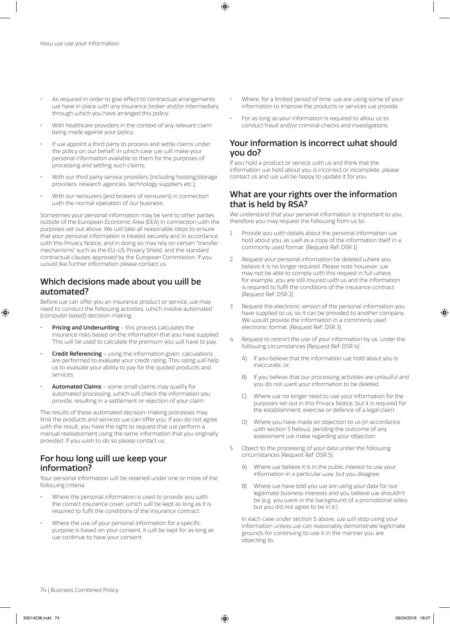- As required in order to give effect to contractual arrangements we have in place with any insurance broker and/or intermediary through which you have arranged this policy;
- With healthcare providers in the context of any relevant claim being made against your policy;
- If we appoint a third party to process and settle claims under the policy on our behalf, in which case we will make your personal information available to them for the purposes of processing and settling such claims;
- With our third party service providers (including hosting/storage providers, research agencies, technology suppliers etc.);
- With our reinsurers (and brokers of reinsurers) in connection with the normal operation of our business;

Sometimes your personal information may be sent to other parties outside of the European Economic Area (EEA) in connection with the purposes set out above. We will take all reasonable steps to ensure that your personal information is treated securely and in accordance with this Privacy Notice, and in doing so may rely on certain "transfer mechanisms" such as the EU-US Privacy Shield, and the standard contractual clauses approved by the European Commission. If you would like further information please contact us.

## Which decisions made about you will be automated?

Before we can offer you an insurance product or service, we may need to conduct the following activities, which involve automated (computer based) decision-making:

- Pricing and Underwriting this process calculates the insurance risks based on the information that you have supplied. This will be used to calculate the premium you will have to pay.
- **Credit Referencing** using the information given, calculations are performed to evaluate your credit rating. This rating will help us to evaluate your ability to pay for the quoted products and services.
- Automated Claims some small claims may qualify for automated processing, which will check the information you provide, resulting in a settlement or rejection of your claim.

The results of these automated decision-making processes may limit the products and services we can offer you. If you do not agree with the result, you have the right to request that we perform a manual reassessment using the same information that you originally provided. If you wish to do so please contact us.

## For how long will we keep your information?

Your personal information will be retained under one or more of the following criteria:

- Where the personal information is used to provide you with the correct insurance cover, which will be kept as long as it is required to fulfil the conditions of the insurance contract.
- Where the use of your personal information for a specific purpose is based on your consent, it will be kept for as long as we continue to have your consent.
- Where, for a limited period of time, we are using some of your information to improve the products or services we provide.
- For as long as your information is required to allow us to conduct fraud and/or criminal checks and investigations.

## Your information is incorrect what should you do?

If you hold a product or service with us and think that the information we hold about you is incorrect or incomplete, please contact us and we will be happy to update it for you.

## What are your rights over the information that is held by RSA?

We understand that your personal information is important to you, therefore you may request the following from us to:

- 1 Provide you with details about the personal information we hold about you, as well as a copy of the information itself in a commonly used format. [Request Ref: DSR 1]
- 2 Request your personal information be deleted where you believe it is no longer required. Please note however, we may not be able to comply with this request in full where, for example, you are still insured with us and the information is required to fulfil the conditions of the insurance contract. [Request Ref: DSR 2]
- 3 Request the electronic version of the personal information you have supplied to us, so it can be provided to another company. We would provide the information in a commonly used electronic format. [Request Ref: DSR 3]
- 4 Request to restrict the use of your information by us, under the following circumstances [Request Ref: DSR 4]:
	- A) If you believe that the information we hold about you is inaccurate, or;
	- B) If you believe that our processing activities are unlawful and you do not want your information to be deleted.
	- C) Where we no longer need to use your information for the purposes set out in this Privacy Notice, but it is required for the establishment, exercise or defence of a legal claim.
	- D) Where you have made an objection to us (in accordance with section 5 below), pending the outcome of any assessment we make regarding your objection.
- 5 Object to the processing of your data under the following circumstances [Request Ref: DSR 5]:
	- A) Where we believe it is in the public interest to use your information in a particular way, but you disagree.
	- B) Where we have told you we are using your data for our legitimate business interests and you believe we shouldn't be (e.g. you were in the background of a promotional video but you did not agree to be in it.)

In each case under section 5 above, we will stop using your information unless we can reasonably demonstrate legitimate grounds for continuing to use it in the manner you are objecting to.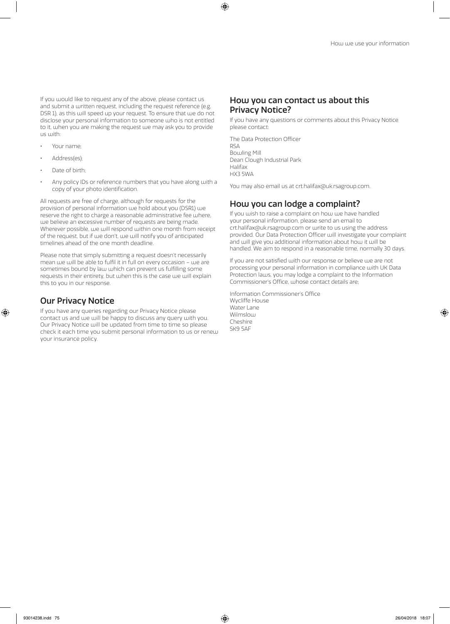If you would like to request any of the above, please contact us and submit a written request, including the request reference (e.g. DSR 1), as this will speed up your request. To ensure that we do not disclose your personal information to someone who is not entitled to it, when you are making the request we may ask you to provide us with:

- Your name;
- Address(es);
- Date of birth;
- Any policy IDs or reference numbers that you have along with a copy of your photo identification.

All requests are free of charge, although for requests for the provision of personal information we hold about you (DSR1) we reserve the right to charge a reasonable administrative fee where, we believe an excessive number of requests are being made. Wherever possible, we will respond within one month from receipt of the request, but if we don't, we will notify you of anticipated timelines ahead of the one month deadline.

Please note that simply submitting a request doesn't necessarily mean we will be able to fulfil it in full on every occasion – we are sometimes bound by law which can prevent us fulfilling some requests in their entirety, but when this is the case we will explain this to you in our response.

## Our Privacy Notice

If you have any queries regarding our Privacy Notice please contact us and we will be happy to discuss any query with you. Our Privacy Notice will be updated from time to time so please check it each time you submit personal information to us or renew your insurance policy.

## How you can contact us about this Privacy Notice?

If you have any questions or comments about this Privacy Notice please contact:

The Data Protection Officer RSA Bowling Mill Dean Clough Industrial Park Halifax HX3 5WA

You may also email us at crt.halifax@uk.rsagroup.com.

# How you can lodge a complaint?

If you wish to raise a complaint on how we have handled your personal information, please send an email to crt.halifax@uk.rsagroup.com or write to us using the address provided. Our Data Protection Officer will investigate your complaint and will give you additional information about how it will be handled. We aim to respond in a reasonable time, normally 30 days.

If you are not satisfied with our response or believe we are not processing your personal information in compliance with UK Data Protection laws, you may lodge a complaint to the Information Commissioner's Office, whose contact details are;

Information Commissioner's Office Wycliffe House Water Lane Wilmslow Cheshire SK9 5AF